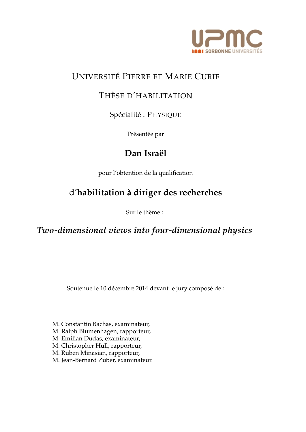

## UNIVERSITE´ PIERRE ET MARIE CURIE

### THÈSE D'HABILITATION

Spécialité : PHYSIQUE

Présentée par

## Dan Israël

pour l'obtention de la qualification

## d'**habilitation `a diriger des recherches**

Sur le thème :

*Two-dimensional views into four-dimensional physics*

Soutenue le 10 décembre 2014 devant le jury composé de :

- M. Constantin Bachas, examinateur,
- M. Ralph Blumenhagen, rapporteur,
- M. Emilian Dudas, examinateur,
- M. Christopher Hull, rapporteur,
- M. Ruben Minasian, rapporteur,
- M. Jean-Bernard Zuber, examinateur.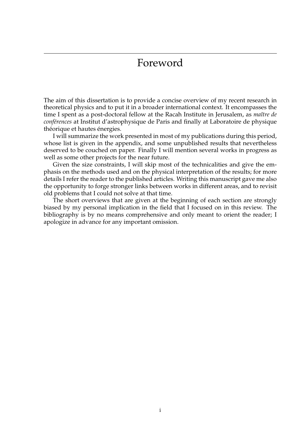## Foreword

The aim of this dissertation is to provide a concise overview of my recent research in theoretical physics and to put it in a broader international context. It encompasses the time I spent as a post-doctoral fellow at the Racah Institute in Jerusalem, as *maître de conf´erences* at Institut d'astrophysique de Paris and finally at Laboratoire de physique théorique et hautes énergies.

I will summarize the work presented in most of my publications during this period, whose list is given in the appendix, and some unpublished results that nevertheless deserved to be couched on paper. Finally I will mention several works in progress as well as some other projects for the near future.

Given the size constraints, I will skip most of the technicalities and give the emphasis on the methods used and on the physical interpretation of the results; for more details I refer the reader to the published articles. Writing this manuscript gave me also the opportunity to forge stronger links between works in different areas, and to revisit old problems that I could not solve at that time.

The short overviews that are given at the beginning of each section are strongly biased by my personal implication in the field that I focused on in this review. The bibliography is by no means comprehensive and only meant to orient the reader; I apologize in advance for any important omission.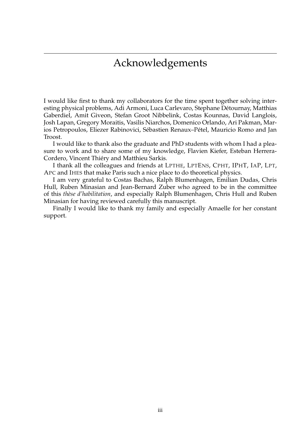## Acknowledgements

I would like first to thank my collaborators for the time spent together solving interesting physical problems, Adi Armoni, Luca Carlevaro, Stephane Détournay, Matthias Gaberdiel, Amit Giveon, Stefan Groot Nibbelink, Costas Kounnas, David Langlois, Josh Lapan, Gregory Moraitis, Vasilis Niarchos, Domenico Orlando, Ari Pakman, Marios Petropoulos, Eliezer Rabinovici, Sébastien Renaux-Pétel, Mauricio Romo and Jan Troost.

I would like to thank also the graduate and PhD students with whom I had a pleasure to work and to share some of my knowledge, Flavien Kiefer, Esteban Herrera-Cordero, Vincent Thiéry and Matthieu Sarkis.

I thank all the colleagues and friends at LPTHE, LPTENS, CPHT, IPHT, IAP, LPT, APC and IHES that make Paris such a nice place to do theoretical physics.

I am very grateful to Costas Bachas, Ralph Blumenhagen, Emilian Dudas, Chris Hull, Ruben Minasian and Jean-Bernard Zuber who agreed to be in the committee of this *th`ese d'habilitation*, and especially Ralph Blumenhagen, Chris Hull and Ruben Minasian for having reviewed carefully this manuscript.

Finally I would like to thank my family and especially Amaelle for her constant support.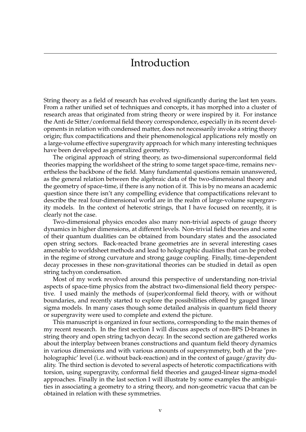## Introduction

String theory as a field of research has evolved significantly during the last ten years. From a rather unified set of techniques and concepts, it has morphed into a cluster of research areas that originated from string theory or were inspired by it. For instance the Anti de Sitter/conformal field theory correspondence, especially in its recent developments in relation with condensed matter, does not necessarily invoke a string theory origin; flux compactifications and their phenomenological applications rely mostly on a large-volume effective supergravity approach for which many interesting techniques have been developed as generalized geometry.

The original approach of string theory, as two-dimensional superconformal field theories mapping the worldsheet of the string to some target space-time, remains nevertheless the backbone of the field. Many fundamental questions remain unanswered, as the general relation between the algebraic data of the two-dimensional theory and the geometry of space-time, if there is any notion of it. This is by no means an academic question since there isn't any compelling evidence that compactifications relevant to describe the real four-dimensional world are in the realm of large-volume supergravity models. In the context of heterotic strings, that I have focused on recently, it is clearly not the case.

Two-dimensional physics encodes also many non-trivial aspects of gauge theory dynamics in higher dimensions, at different levels. Non-trivial field theories and some of their quantum dualities can be obtained from boundary states and the associated open string sectors. Back-reacted brane geometries are in several interesting cases amenable to worldsheet methods and lead to holographic dualities that can be probed in the regime of strong curvature and strong gauge coupling. Finally, time-dependent decay processes in these non-gravitational theories can be studied in detail as open string tachyon condensation.

Most of my work revolved around this perspective of understanding non-trivial aspects of space-time physics from the abstract two-dimensional field theory perspective. I used mainly the methods of (super)conformal field theory, with or without boundaries, and recently started to explore the possibilities offered by gauged linear sigma models. In many cases though some detailed analysis in quantum field theory or supergravity were used to complete and extend the picture.

This manuscript is organized in four sections, corresponding to the main themes of my recent research. In the first section I will discuss aspects of non-BPS D-branes in string theory and open string tachyon decay. In the second section are gathered works about the interplay between branes constructions and quantum field theory dynamics in various dimensions and with various amounts of supersymmetry, both at the 'preholographic' level (i.e. without back-reaction) and in the context of gauge/gravity duality. The third section is devoted to several aspects of heterotic compactifications with torsion, using supergravity, conformal field theories and gauged-linear sigma-model approaches. Finally in the last section I will illustrate by some examples the ambiguities in associating a geometry to a string theory, and non-geometric vacua that can be obtained in relation with these symmetries.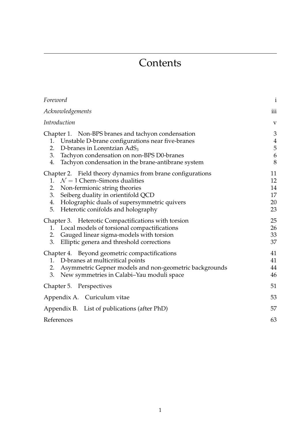# **Contents**

| Foreword                                                                                                                                                                                                                                                                                      | $\mathbf{i}$                       |
|-----------------------------------------------------------------------------------------------------------------------------------------------------------------------------------------------------------------------------------------------------------------------------------------------|------------------------------------|
| Acknowledgements                                                                                                                                                                                                                                                                              | iii                                |
| Introduction                                                                                                                                                                                                                                                                                  | $\mathbf{V}$                       |
| Chapter 1. Non-BPS branes and tachyon condensation<br>Unstable D-brane configurations near five-branes<br>1.<br>D-branes in Lorentzian AdS <sub>3</sub><br>2.<br>3. Tachyon condensation on non-BPS D0-branes<br>4.<br>Tachyon condensation in the brane-antibrane system                     | 3<br>$\overline{4}$<br>5<br>6<br>8 |
| Chapter 2. Field theory dynamics from brane configurations<br>1. $\mathcal{N} = 1$ Chern–Simons dualities<br>Non-fermionic string theories<br>2.<br>Seiberg duality in orientifold QCD<br>3.<br>Holographic duals of supersymmetric quivers<br>4.<br>5.<br>Heterotic conifolds and holography | 11<br>12<br>14<br>17<br>20<br>23   |
| Chapter 3. Heterotic Compactifications with torsion<br>Local models of torsional compactifications<br>1.<br>2. Gauged linear sigma-models with torsion<br>Elliptic genera and threshold corrections<br>3.                                                                                     | 25<br>26<br>33<br>37               |
| Chapter 4. Beyond geometric compactifications<br>D-branes at multicritical points<br>1.<br>Asymmetric Gepner models and non-geometric backgrounds<br>2.<br>3.<br>New symmetries in Calabi-Yau moduli space                                                                                    | 41<br>41<br>44<br>46               |
| Chapter 5. Perspectives                                                                                                                                                                                                                                                                       | 51                                 |
| Appendix A. Curiculum vitae                                                                                                                                                                                                                                                                   | 53                                 |
| Appendix B. List of publications (after PhD)                                                                                                                                                                                                                                                  | 57                                 |
| References                                                                                                                                                                                                                                                                                    | 63                                 |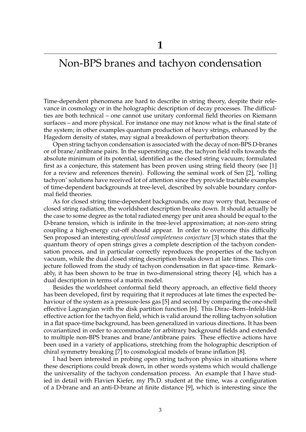## Non-BPS branes and tachyon condensation

Time-dependent phenomena are hard to describe in string theory, despite their relevance in cosmology or in the holographic description of decay processes. The difficulties are both technical – one cannot use unitary conformal field theories on Riemann surfaces – and more physical. For instance one may not know what is the final state of the system; in other examples quantum production of heavy strings, enhanced by the Hagedorn density of states, may signal a breakdown of perturbation theory.

Open string tachyon condensation is associated with the decay of non-BPS D-branes or of brane/antibrane pairs. In the superstring case, the tachyon field rolls towards the absolute minimum of its potential, identified as the closed string vacuum; formulated first as a conjecture, this statement has been proven using string field theory (see [1] for a review and references therein). Following the seminal work of Sen [2], 'rolling tachyon' solutions have received lot of attention since they provide tractable examples of time-dependent backgrounds at tree-level, described by solvable boundary conformal field theories.

As for closed string time-dependent backgrounds, one may worry that, because of closed string radiation, the worldsheet description breaks down. It should actually be the case to some degree as the total radiated energy per unit area should be equal to the D-brane tension, which is infinite in the tree-level approximation; at non-zero string coupling a high-energy cut-off should appear. In order to overcome this difficulty Sen proposed an interesting *open/closed completeness conjecture* [3] which states that the quantum theory of open strings gives a complete description of the tachyon condensation process, and in particular correctly reproduces the properties of the tachyon vacuum, while the dual closed string description breaks down at late times. This conjecture followed from the study of tachyon condensation in flat space-time. Remarkably, it has been shown to be true in two-dimensional string theory [4], which has a dual description in terms of a matrix model.

Besides the worldsheet conformal field theory approach, an effective field theory has been developed, first by requiring that it reproduces at late times the expected behaviour of the system as a pressure-less gas [5] and second by comparing the one-shell effective Lagrangian with the disk partition function [6]. This Dirac–Born–Infeld-like effective action for the tachyon field, which is valid around the rolling tachyon solution in a flat space-time background, has been generalized in various directions. It has been covariantized in order to accommodate for arbitrary background fields and extended to multiple non-BPS branes and brane/antibrane pairs. These effective actions have been used in a variety of applications, stretching from the holographic description of chiral symmetry breaking [7] to cosmological models of brane inflation [8].

I had been interested in probing open string tachyon physics in situations where these descriptions could break down, in other words systems which would challenge the universality of the tachyon condensation process. An example that I have studied in detail with Flavien Kiefer, my Ph.D. student at the time, was a configuration of a D-brane and an anti-D-brane at finite distance [9], which is interesting since the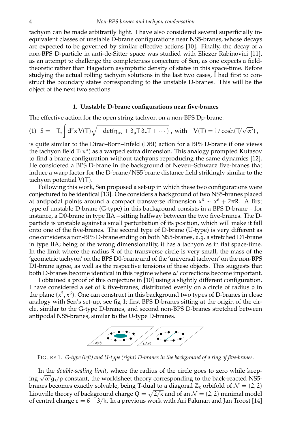tachyon can be made arbitrarily light. I have also considered several superficially inequivalent classes of unstable D-brane configurations near NS5-branes, whose decays are expected to be governed by similar effective actions [10]. Finally, the decay of a non-BPS D-particle in anti-de-Sitter space was studied with Eliezer Rabinovici [11], as an attempt to challenge the completeness conjecture of Sen, as one expects a fieldtheoretic rather than Hagedorn asymptotic density of states in this space-time. Before studying the actual rolling tachyon solutions in the last two cases, I had first to construct the boundary states corresponding to the unstable D-branes. This will be the object of the next two sections.

### **1. Unstable D-brane configurations near five-branes**

The effective action for the open string tachyon on a non-BPS Dp-brane:

$$
(1) \ \ S=-T_p\int d^px\, V(T)\sqrt{-\det(\eta_{\mu\nu}+\partial_\mu T\,\partial_\nu T+\cdots)}\ , \ \text{with} \quad V(T)=1/\cosh(T/\sqrt{\alpha'})\,,
$$

is quite similar to the Dirac–Born–Infeld (DBI) action for a BPS D-brane if one views the tachyon field  $T(x^{\mu})$  as a warped extra dimension. This analogy prompted Kutasov to find a brane configuration without tachyons reproducing the same dynamics [12]. He considered a BPS D-brane in the background of Neveu–Schwarz five-branes that induce a warp factor for the D-brane/NS5 brane distance field strikingly similar to the tachyon potential  $V(T)$ .

Following this work, Sen proposed a set-up in which these two configurations were conjectured to be identical [13]. One considers a background of two NS5-branes placed at antipodal points around a compact transverse dimension  $\chi^6\,\sim\,\chi^6\,+\,2\pi$ R. A first type of unstable D-brane (G-type) in this background consists in a BPS D-brane – for instance, a D0-brane in type IIA – sitting halfway between the two five-branes. The Dparticle is unstable against a small perturbation of its position, which will make it fall onto one of the five-branes. The second type of D-brane (U-type) is very different as one considers a non-BPS D-brane ending on both NS5-branes, e.g. a stretched D1-brane in type IIA; being of the wrong dimensionality, it has a tachyon as in flat space-time. In the limit where the radius R of the transverse circle is very small, the mass of the 'geometric tachyon' on the BPS D0-brane and of the 'universal tachyon' on the non-BPS D1-brane agree, as well as the respective tensions of these objects. This suggests that both D-branes become identical in this regime where  $\alpha'$  corrections become important.

I obtained a proof of this conjecture in [10] using a slightly different configuration. I have considered a set of k five-branes, distributed evenly on a circle of radius ρ in the plane  $(x^5, x^6)$ . One can construct in this background two types of D-branes in close analogy with Sen's set-up, see fig 1; first BPS D-branes sitting at the origin of the circle, similar to the G-type D-branes, and second non-BPS D-branes stretched between antipodal NS5-branes, similar to the U-type D-branes.



FIGURE 1. *G-type (left) and U-type (right) D-branes in the background of a ring of five-branes.*

In the *double-scaling limit*, where the radius of the circle goes to zero while keeping  $\sqrt{\alpha'} g_s / \rho$  constant, the worldsheet theory corresponding to the back-reacted NS5branes becomes exactly solvable, being T-dual to a diagonal  $\mathbb{Z}_k$  orbifold of  $\mathcal{N} = (2, 2)$ Liouville theory of background charge  $Q = \sqrt{2/k}$  and of an  $\mathcal{N} = (2, 2)$  minimal model of central charge  $c = 6 - 3/k$ . In a previous work with Ari Pakman and Jan Troost [14]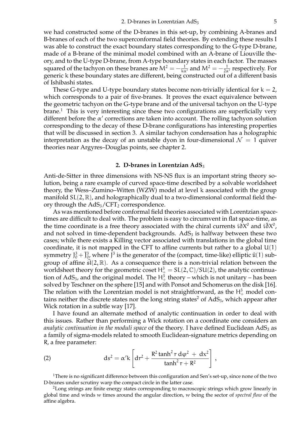we had constructed some of the D-branes in this set-up, by combining A-branes and B-branes of each of the two superconformal field theories. By extending these results I was able to construct the exact boundary states corresponding to the G-type D-brane, made of a B-brane of the minimal model combined with an A-brane of Liouville theory, and to the U-type D-brane, from A-type boundary states in each factor. The masses squared of the tachyon on these branes are  $M^2 = -\frac{1}{k\alpha'}$  and  $M^2 = -\frac{1}{2\alpha'}$  respectively. For generic k these boundary states are different, being constructed out of a different basis of Ishibashi states.

These G-type and U-type boundary states become non-trivially identical for  $k = 2$ , which corresponds to a pair of five-branes. It proves the exact equivalence between the geometric tachyon on the G-type brane and of the universal tachyon on the U-type  $brane<sup>1</sup>$ . This is very interesting since these two configurations are superficially very different before the  $\alpha'$  corrections are taken into account. The rolling tachyon solution corresponding to the decay of these D-brane configurations has interesting properties that will be discussed in section 3. A similar tachyon condensation has a holographic interpretation as the decay of an unstable dyon in four-dimensional  $\mathcal{N} = 1$  quiver theories near Argyres–Douglas points, see chapter 2.

### **2. D-branes in Lorentzian AdS**<sup>3</sup>

Anti-de-Sitter in three dimensions with NS-NS flux is an important string theory solution, being a rare example of curved space-time described by a solvable worldsheet theory, the Wess–Zumino–Witten (WZW) model at level k associated with the group manifold  $SL(2,\mathbb{R})$ , and holographically dual to a two-dimensional conformal field theory through the  $AdS_3/CFT_2$  correspondence.

As was mentioned before conformal field theories associated with Lorentzian spacetimes are difficult to deal with. The problem is easy to circumvent in flat space-time, as the time coordinate is a free theory associated with the chiral currents  $i\partial X^0$  and  $i\partial X^0$ , and not solved in time-dependent backgrounds.  $AdS<sub>3</sub>$  is halfway between these two cases; while there exists a Killing vector associated with translations in the global time coordinate, it is not mapped in the CFT to affine currents but rather to a global  $U(1)$ symmetry  $J_0^3 + \bar{J}_{0}^3$  where  $\bar{J}^3$  is the generator of the (compact, time-like) elliptic  $\hat{u}(1)$  subgroup of affine  $\hat{\mathfrak{sl}}(2,\mathbb{R})$ . As a consequence there is a non-trivial relation between the worldsheet theory for the geometric coset  $H^3_+ = SL(2,\mathbb{C})/SU(2)$ , the analytic continuation of AdS<sub>3</sub>, and the original model. The  $H^3_+$  theory – which is not unitary – has been solved by Teschner on the sphere [15] and with Ponsot and Schomerus on the disk [16]. The relation with the Lorentzian model is not straightforward, as the  $H^3_+$  model contains neither the discrete states nor the long string states<sup>2</sup> of  $AdS<sub>3</sub>$ , which appear after Wick rotation in a subtle way [17].

I have found an alternate method of analytic continuation in order to deal with this issues. Rather than performing a Wick rotation on a coordinate one considers an *analytic continuation in the moduli space* of the theory. I have defined Euclidean AdS<sub>3</sub> as a family of sigma-models related to smooth Euclidean-signature metrics depending on R, a free parameter:

(2) 
$$
ds^{2} = \alpha' k \left[ dr^{2} + \frac{R^{2} \tanh^{2} r d\varphi^{2} + dx^{2}}{\tanh^{2} r + R^{2}} \right],
$$

<sup>1</sup>There is no significant difference between this configuration and Sen's set-up, since none of the two D-branes under scrutiny warp the compact circle in the latter case.

<sup>2</sup>Long strings are finite energy states corresponding to macroscopic strings which grow linearly in global time and winds w times around the angular direction, w being the sector of *spectral flow* of the affine algebra.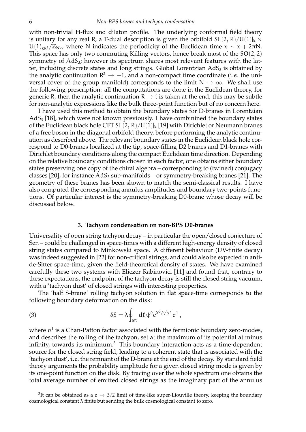with non-trivial H-flux and dilaton profile. The underlying conformal field theory is unitary for any real R; a T-dual description is given the orbifold  $SL(2,\mathbb{R})/U(1)|_k \times$  $U(1)_{kR^2}/\mathbb{Z}_{Nk}$ , where N indicates the periodicity of the Euclidean time  $x \sim x + 2\pi N$ . This space has only two commuting Killing vectors, hence break most of the  $SO(2, 2)$ symmetry of  $AdS<sub>3</sub>$ ; however its spectrum shares most relevant features with the latter, including discrete states and long strings. Global Lorentzian  $AdS<sub>3</sub>$  is obtained by the analytic continuation  $\mathbb{R}^2 \to -1$ , and a non-compact time coordinate (i.e. the uni-<br>wavel agrees of the group manifold) corresponds to the limit  $N_{\text{max}}$  as  $N_{\text{max}}$  abell was versal cover of the group manifold) corresponds to the limit  $N \to \infty$ . We shall use the following prescription: all the computations are done in the Euclidean theory, for generic R, then the analytic continuation  $R \rightarrow i$  is taken at the end; this may be subtle for non-analytic expressions like the bulk three-point function but of no concern here.

I have used this method to obtain the boundary states for D-branes in Lorentzian  $AdS<sub>3</sub>$  [18], which were not known previously. I have combinined the boundary states of the Euclidean black hole CFT  $SL(2,\mathbb{R})/U(1)|_k$  [19] with Dirichlet or Neumann branes of a free boson in the diagonal orbifold theory, before performing the analytic continuation as described above. The relevant boundary states in the Euclidean black hole correspond to D0-branes localized at the tip, space-filling D2 branes and D1-branes with Dirichlet boundary conditions along the compact Euclidean time direction. Depending on the relative boundary conditions chosen in each factor, one obtains either boundary states preserving one copy of the chiral algebra – corresponding to (twined) conjugacy classes [20], for instance  $AdS_2$  sub-manifolds – or symmetry-breaking branes [21]. The geometry of these branes has been shown to match the semi-classical results. I have also computed the corresponding annulus amplitudes and boundary two-points functions. Of particular interest is the symmetry-breaking D0-brane whose decay will be discussed below.

### **3. Tachyon condensation on non-BPS D0-branes**

Universality of open string tachyon decay – in particular the open/closed conjecture of Sen – could be challenged in space-times with a different high-energy density of closed string states compared to Minkowski space. A different behaviour (UV-finite decay) was indeed suggested in [22] for non-critical strings, and could also be expected in antide-Sitter space-time, given the field-theoretical density of states. We have examined carefully these two systems with Eliezer Rabinovici [11] and found that, contrary to these expectations, the endpoint of the tachyon decay is still the closed string vacuum, with a 'tachyon dust' of closed strings with interesting properties.

The 'half S-brane' rolling tachyon solution in flat space-time corresponds to the following boundary deformation on the disk:

(3) 
$$
\delta S = \lambda \oint_{\partial D} d\ell \psi^0 e^{X^0/\sqrt{\alpha'}} \sigma^1,
$$

where  $\sigma$ <sup>1</sup> is a Chan-Patton factor associated with the fermionic boundary zero-modes, and describes the rolling of the tachyon, set at the maximum of its potential at minus infinity, towards its minimum. $3$  This boundary interaction acts as a time-dependent source for the closed string field, leading to a coherent state that is associated with the 'tachyon dust', i.e. the remnant of the D-brane at the end of the decay. By standard field theory arguments the probability amplitude for a given closed string mode is given by its one-point function on the disk. By tracing over the whole spectrum one obtains the total average number of emitted closed strings as the imaginary part of the annulus

<sup>3</sup>It can be obtained as a c  $\rightarrow$  3/2 limit of time-like super-Liouville theory, keeping the boundary cosmological constant λ finite but sending the bulk cosmological constant to zero.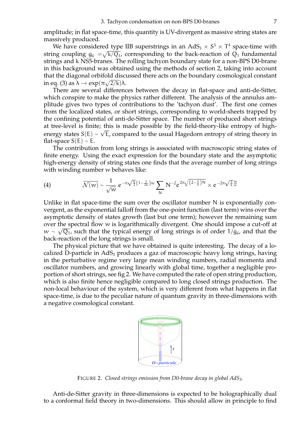amplitude; in flat space-time, this quantity is UV-divergent as massive string states are massively produced.

We have considered type IIB superstrings in an  $AdS_3 \times S^3 \times T^4$  space-time with string coupling  $g_6\ =\!\!\sqrt{k/Q_1}$ , corresponding to the back-reaction of  $Q_1$  fundamental strings and k NS5-branes. The rolling tachyon boundary state for a non-BPS D0-brane in this background was obtained using the methods of section 2, taking into account that the diagonal orbifold discussed there acts on the boundary cosmological constant in eq. (3) as  $\lambda \to \exp(\pi \sqrt{2/k})\lambda$ .<br>These are assembly different.

There are several differences between the decay in flat-space and anti-de-Sitter, which conspire to make the physics rather different. The analysis of the annulus amplitude gives two types of contributions to the 'tachyon dust'. The first one comes from the localized states, or short strings, corresponding to world-sheets trapped by the confining potential of anti-de-Sitter space. The number of produced short strings at tree-level is finite; this is made possible by the field-theory-like entropy of highenergy states  $S(E) \sim \sqrt{E}$ , compared to the usual Hagedorn entropy of string theory in flat-space  $S(E) \sim E$ .

The contribution from long strings is associated with macroscopic string states of finite energy. Using the exact expression for the boundary state and the asymptotic high-energy density of string states one finds that the average number of long strings with winding number w behaves like:

(4) 
$$
\overline{\mathcal{N}(w)} \sim \frac{1}{\sqrt{w}} e^{-\pi \sqrt{\frac{k}{2}} \left(1 - \frac{1}{2k}\right) w} \sum_{N} N^{-2} e^{2\pi \sqrt{\left(2 - \frac{1}{k}\right) N}} \times e^{-2\pi \sqrt{\frac{2}{k}} \frac{N}{w}}
$$

Unlike in flat space-time the sum over the oscillator number N is exponentially convergent, as the exponential falloff from the one-point function (last term) wins over the asymptotic density of states growth (last but one term); however the remaining sum over the spectral flow w is logarithmically divergent. One should impose a cut-off at  $w \sim \sqrt{Q_1}$ , such that the typical energy of long strings is of order 1/g<sub>6</sub>, and that the back-reaction of the long strings is small.

The physical picture that we have obtained is quite interesting. The decay of a localized D-particle in  $AdS<sub>3</sub>$  produces a gaz of macroscopic heavy long strings, having in the perturbative regime very large mean winding numbers, radial momenta and oscillator numbers, and growing linearly with global time, together a negligible proportion of short strings, see fig 2. We have computed the rate of open string production, which is also finite hence negligible compared to long closed strings production. The non-local behaviour of the system, which is very different from what happens in flat space-time, is due to the peculiar nature of quantum gravity in three-dimensions with a negative cosmological constant.



FIGURE 2. *Closed strings emission from D0-brane decay in global AdS*3*.*

Anti-de-Sitter gravity in three-dimensions is expected to be holographically dual to a conformal field theory in two-dimensions. This should allow in principle to find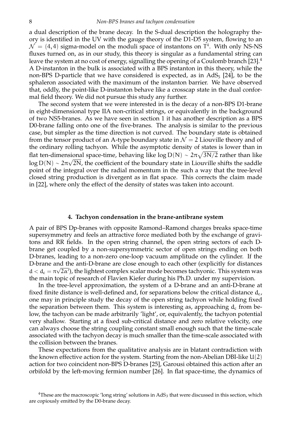a dual description of the brane decay. In the S-dual description the holography theory is identified in the UV with the gauge theory of the D1-D5 system, flowing to an  $\mathcal{N} = (4, 4)$  sigma-model on the moduli space of instantons on  $T<sup>4</sup>$ . With only NS-NS fluxes turned on, as in our study, this theory is singular as a fundamental string can leave the system at no cost of energy, signalling the opening of a Coulomb branch [23].<sup>4</sup> A D-instanton in the bulk is associated with a BPS instanton in this theory, while the non-BPS D-particle that we have considered is expected, as in  $AdS<sub>5</sub>$  [24], to be the sphaleron associated with the maximum of the instanton barrier. We have observed that, oddly, the point-like D-instanton behave like a crosscap state in the dual conformal field theory. We did not pursue this study any further.

The second system that we were interested in is the decay of a non-BPS D1-brane in eight-dimensional type IIA non-critical strings, or equivalently in the background of two NS5-branes. As we have seen in section 1 it has another description as a BPS D0-brane falling onto one of the five-branes. The analysis is similar to the previous case, but simpler as the time direction is not curved. The boundary state is obtained from the tensor product of an A-type boundary state in  $\mathcal{N} = 2$  Liouville theory and of the ordinary rolling tachyon. While the asymptotic density of states is lower than in flat ten-dimensional space-time, behaving like log D(N) ~  $2\pi\sqrt{3\mathrm{N}/2}$  rather than like log D(N) ~  $2\pi\sqrt{2N}$ , the coefficient of the boundary state in Liouville shifts the saddle point of the integral over the radial momentum in the such a way that the tree-level closed string production is divergent as in flat space. This corrects the claim made in [22], where only the effect of the density of states was taken into account.

### **4. Tachyon condensation in the brane-antibrane system**

A pair of BPS Dp-branes with opposite Ramond–Ramond charges breaks space-time supersymmetry and feels an attractive force mediated both by the exchange of gravitons and RR fields. In the open string channel, the open string sectors of each Dbrane get coupled by a non-supersymmetric sector of open strings ending on both D-branes, leading to a non-zero one-loop vacuum amplitude on the cylinder. If the D-brane and the anti-D-brane are close enough to each other (explicitly for distances  $d < d_c = \pi \sqrt{2\alpha'}$ , the lightest complex scalar mode becomes tachyonic. This system was the main topic of research of Flavien Kiefer during his Ph.D. under my supervision.

In the tree-level approximation, the system of a D-brane and an anti-D-brane at fixed finite distance is well-defined and, for separations below the critical distance  $d_{c}$ , one may in principle study the decay of the open string tachyon while holding fixed the separation between them. This system is interesting as, approaching  $d_c$  from below, the tachyon can be made arbitrarily 'light', or, equivalently, the tachyon potential very shallow. Starting at a fixed sub-critical distance and zero relative velocity, one can always choose the string coupling constant small enough such that the time-scale associated with the tachyon decay is much smaller than the time-scale associated with the collision between the branes.

These expectations from the qualitative analysis are in blatant contradiction with the known effective action for the system. Starting from the non-Abelian DBI-like U(2) action for two coincident non-BPS D-branes [25], Garousi obtained this action after an orbifold by the left-moving fermion number [26]. In flat space-time, the dynamics of

 $4$ These are the macroscopic 'long string' solutions in AdS<sub>3</sub> that were discussed in this section, which are copiously emitted by the D0-brane decay.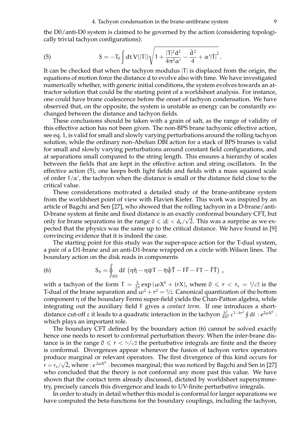the D0/anti-D0 system is claimed to be governed by the action (considering topologically trivial tachyon configurations):

(5) 
$$
S = -T_0 \int dt \, V(|T|) \sqrt{1 + \frac{|T|^2 d^2}{4\pi^2 \alpha'} - \frac{\dot{d}^2}{4} + \alpha' |\dot{T}|^2}.
$$

It can be checked that when the tachyon modulus  $|T|$  is displaced from the origin, the equations of motion force the distance d to evolve also with time. We have investigated numerically whether, with generic initial conditions, the system evolves towards an attractor solution that could be the starting point of a worldsheet analysis. For instance, one could have brane coalescence before the onset of tachyon condensation. We have observed that, on the opposite, the system is unstable as energy can be constantly exchanged between the distance and tachyon fields.

These conclusions should be taken with a grain of salt, as the range of validity of this effective action has not been given. The non-BPS brane tachyonic effective action, see eq. 1, is valid for small and slowly varying perturbations around the rolling tachyon solution, while the ordinary non-Abelian DBI action for a stack of BPS branes is valid for small and slowly varying perturbations around constant field configurations, and at separations small compared to the string length. This ensures a hierarchy of scales between the fields that are kept in the effective action and string oscillators. In the effective action (5), one keeps both light fields and fields with a mass squared scale of order  $1/\alpha'$ , the tachyon when the distance is small or the distance field close to the critical value.

These considerations motivated a detailed study of the brane-antibrane system from the worldsheet point of view with Flavien Kiefer. This work was inspired by an article of Bagchi and Sen [27], who showed that the rolling tachyon in a D-brane/anti-D-brane system at finite and fixed distance is an exactly conformal boundary CFT, but only for brane separations in the range  $0 \leq d/d < d_c/\sqrt{2}$ . This was a surprise as we expected that the physics was the same up to the critical distance. We have found in [9] convincing evidence that it is indeed the case.

The starting point for this study was the super-space action for the T-dual system, a pair of a D1-brane and an anti-D1-brane wrapped on a circle with Wilson lines. The boundary action on the disk reads in components

(6) 
$$
S_b = \oint_{\partial D} d\ell \, (\eta \dot{\eta} - \eta \psi T - \bar{\eta} \bar{\psi} \bar{T} - F\bar{F} - FT - \bar{F}\bar{T}) ,
$$

with a tachyon of the form  $T = \frac{\lambda}{2\pi} \exp{(\omega X^0 + irX)}$ , where  $0 \le r < r_c = 1/\sqrt{2}$  is the T-dual of the brane separation and  $\omega^2 + r^2 = 1/2$ . Canonical quantization of the bottom component η of the boundary Fermi super-field yields the Chan-Patton algebra, while integrating out the auxiliary field F gives a *contact term*. If one introduces a shortdistance cut-off ε it leads to a quadratic interaction in the tachyon  $\frac{\lambda^2}{4\pi^2}$  ε<sup>1-4r<sup>2</sup></sup> ∮ dl : e<sup>2ωX°</sup> : which plays an important role.

The boundary CFT defined by the boundary action (6) cannot be solved exactly hence one needs to resort to conformal perturbation theory. When the inter-brane distance is in the range  $0 \leq r < \frac{r_c}{\sqrt{2}}$  the perturbative integrals are finite and the theory is conformal. Divergences appear whenever the fusion of tachyon vertex operators produce marginal or relevant operators. The first divergence of this kind occurs for  $r = r_c/\sqrt{2}$ , where :  $e^{2\omega X^0}$  : becomes marginal; this was noticed by Bagchi and Sen in [27] who concluded that the theory is not conformal any more past this value. We have shown that the contact term already discussed, dictated by worldsheet supersymmetry, precisely cancels this divergence and leads to UV-finite perturbative integrals.

In order to study in detail whether this model is conformal for larger separations we have computed the beta-functions for the boundary couplings, including the tachyon,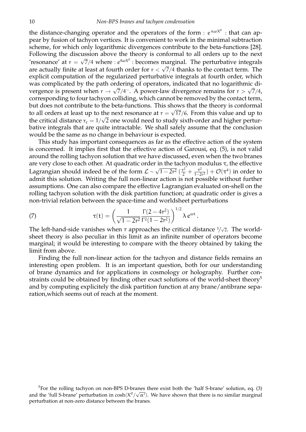the distance-changing operator and the operators of the form :  $e^{n\omega X^0}$  : that can appear by fusion of tachyon vertices. It is convenient to work in the minimal subtraction scheme, for which only logarithmic divergences contribute to the beta-functions [28]. Following the discussion above the theory is conformal to all orders up to the next 'resonance' at  $r = \sqrt{7}/4$  where :  $e^{4\omega X^0}$  : becomes marginal. The perturbative integrals are actually finite at least at fourth order for  $r < \sqrt{7}/4$  thanks to the contact term. The explicit computation of the regularized perturbative integrals at fourth order, which was complicated by the path ordering of operators, indicated that no logarithmic divergence is present when  $r \to \sqrt{7}/4^-$ . A power-law divergence remains for  $r > \sqrt{7}/4$ , corresponding to four tachyon colliding, which cannot be removed by the contact term, but does not contribute to the beta-functions. This shows that the theory is conformal to all orders at least up to the next resonance at  $r = \sqrt{17}/6$ . From this value and up to the critical distance  $r_c = 1/\sqrt{2}$  one would need to study sixth-order and higher perturbative integrals that are quite intractable. We shall safely assume that the conclusion would be the same as no change in behaviour is expected.

This study has important consequences as far as the effective action of the system is concerned. It implies first that the effective action of Garousi, eq. (5), is not valid around the rolling tachyon solution that we have discussed, even when the two branes are very close to each other. At quadratic order in the tachyon modulus  $\tau$ , the effective Lagrangian should indeed be of the form  $\mathcal{L} \sim \sqrt{1-2r^2} \left( \frac{\tau^2}{2} + \frac{\tau^2}{1-2r^2} \right) + \mathcal{O}(\tau^4)$  in order to admit this solution. Writing the full non-linear action is not possible without further assumptions. One can also compare the effective Lagrangian evaluated on-shell on the rolling tachyon solution with the disk partition function; at quadratic order is gives a non-trivial relation between the space-time and worldsheet perturbations

(7) 
$$
\tau(t) = \left(\frac{1}{\sqrt{1-2r^2}} \frac{\Gamma(2-4r^2)}{\Gamma^2(1-2r^2)}\right)^{1/2} \lambda e^{\omega t}.
$$

The left-hand-side vanishes when r approaches the critical distance  $1/\sqrt{2}$ . The worldsheet theory is also peculiar in this limit as an infinite number of operators become marginal; it would be interesting to compare with the theory obtained by taking the limit from above.

Finding the full non-linear action for the tachyon and distance fields remains an interesting open problem. It is an important question, both for our understanding of brane dynamics and for applications in cosmology or holography. Further constraints could be obtained by finding other exact solutions of the world-sheet theory<sup>5</sup> and by computing explicitely the disk partition function at any brane/antibrane separation,which seems out of reach at the moment.

<sup>&</sup>lt;sup>5</sup>For the rolling tachyon on non-BPS D-branes there exist both the 'half S-brane' solution, eq. (3) and the 'full S-brane' perturbation in  $cosh(X^0/\sqrt{\alpha'})$ . We have shown that there is no similar marginal perturbation at non-zero distance between the branes.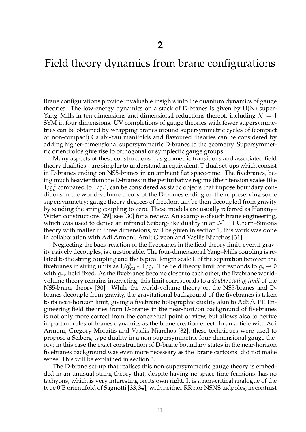## Field theory dynamics from brane configurations

Brane configurations provide invaluable insights into the quantum dynamics of gauge theories. The low-energy dynamics on a stack of D-branes is given by  $U(N)$  super-Yang–Mills in ten dimensions and dimensional reductions thereof, including  $\mathcal{N} = 4$ SYM in four dimensions. UV completions of gauge theories with fewer supersymmetries can be obtained by wrapping branes around supersymmetric cycles of (compact or non-compact) Calabi-Yau manifolds and flavoured theories can be considered by adding higher-dimensional supersymmetric D-branes to the geometry. Supersymmetric orientifolds give rise to orthogonal or symplectic gauge groups.

Many aspects of these constructions – as geometric transitions and associated field theory dualities – are simpler to understand in equivalent, T-dual set-ups which consist in D-branes ending on NS5-branes in an ambient flat space-time. The fivebranes, being much heavier than the D-branes in the perturbative regime (their tension scales like  $1/g_s^2$  compared to  $1/g_s$ ), can be considered as static objects that impose boundary conditions in the world-volume theory of the D-branes ending on them, preserving some supersymmetry; gauge theory degrees of freedom can be then decoupled from gravity by sending the string coupling to zero. These models are usually referred as Hanany– Witten constructions [29]; see [30] for a review. An example of such brane engineering, which was used to derive an infrared Seiberg-like duality in an  $\mathcal{N} = 1$  Chern–Simons theory with matter in three dimensions, will be given in section 1; this work was done in collaboration with Adi Armoni, Amit Giveon and Vasilis Niarchos [31].

Neglecting the back-reaction of the fivebranes in the field theory limit, even if gravity naively decouples, is questionable. The four-dimensional Yang–Mills coupling is related to the string coupling and the typical length scale L of the separation between the fivebranes in string units as  $1/g_{\rm M}^2 \sim L/g_s$ . The field theory limit corresponds to  $g_s \to 0$ with  $g_{YM}$  held fixed. As the fivebranes become closer to each other, the fivebrane worldvolume theory remains interacting; this limit corresponds to a *double scaling limit* of the NS5-brane theory [30]. While the world-volume theory on the NS5-branes and Dbranes decouple from gravity, the gravitational background of the fivebranes is taken to its near-horizon limit, giving a fivebrane holographic duality akin to AdS/CFT. Engineering field theories from D-branes in the near-horizon background of fivebranes is not only more correct from the conceptual point of view, but allows also to derive important rules of branes dynamics as the brane creation effect. In an article with Adi Armoni, Gregory Moraitis and Vasilis Niarchos [32], these techniques were used to propose a Seiberg-type duality in a non-supersymmetric four-dimensional gauge theory; in this case the exact construction of D-brane boundary states in the near-horizon fivebranes background was even more necessary as the 'brane cartoons' did not make sense. This will be explained in section 3.

The D-brane set-up that realises this non-supersymmetric gauge theory is embedded in an unusual string theory that, despite having no space-time fermions, has no tachyons, which is very interesting on its own right. It is a non-critical analogue of the type 0'B orientifold of Sagnotti [33,34], with neither RR nor NSNS tadpoles, in contrast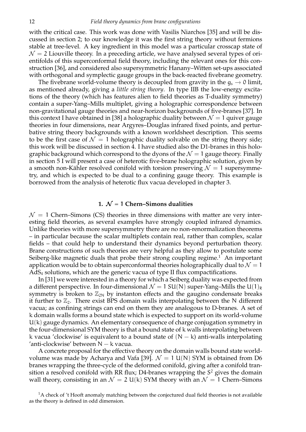with the critical case. This work was done with Vasilis Niarchos [35] and will be discussed in section 2; to our knowledge it was the first string theory without fermions stable at tree-level. A key ingredient in this model was a particular crosscap state of  $\mathcal{N} = 2$  Liouville theory. In a preceding article, we have analysed several types of orientifolds of this superconformal field theory, including the relevant ones for this construction [36], and considered also supersymmetric Hanany–Witten set-ups associated with orthogonal and symplectic gauge groups in the back-reacted fivebrane geometry.

The fivebrane world-volume theory is decoupled from gravity in the  $g_s \to 0$  limit, as mentioned already, giving a *little string theory*. In type IIB the low-energy excitations of the theory (which has features alien to field theories as T-duality symmetry) contain a super-Yang–Mills multiplet, giving a holographic correspondence between non-gravitational gauge theories and near-horizon backgrounds of five-branes [37]. In this context I have obtained in [38] a holographic duality between  $\mathcal{N} = 1$  quiver gauge theories in four dimensions, near Argyres–Douglas infrared fixed points, and perturbative string theory backgrounds with a known worldsheet description. This seems to be the first case of  $\mathcal{N} = 1$  holographic duality solvable on the string theory side; this work will be discussed in section 4. I have studied also the D1-branes in this holographic background which correspond to the dyons of the  $\mathcal{N} = 1$  gauge theory. Finally in section 5 I will present a case of heterotic five-brane holographic solution, given by a smooth non-Kähler resolved conifold with torsion preserving  $\mathcal{N} = 1$  supersymmetry, and which is expected to be dual to a confining gauge theory. This example is borrowed from the analysis of heterotic flux vacua developed in chapter 3.

### **1.**  $N = 1$  Chern–Simons dualities

 $\mathcal{N} = 1$  Chern–Simons (CS) theories in three dimensions with matter are very interesting field theories, as several examples have strongly coupled infrared dynamics. Unlike theories with more supersymmetry there are no non-renormalization theorems – in particular because the scalar multiplets contain real, rather than complex, scalar fields – that could help to understand their dynamics beyond perturbation theory. Brane constructions of such theories are very helpful as they allow to postulate some Seiberg-like magnetic duals that probe their strong coupling regime.<sup>1</sup> An important application would be to obtain superconformal theories holographically dual to  $\mathcal{N} = 1$ AdS<sup>4</sup> solutions, which are the generic vacua of type II flux compactifications.

In [31] we were interested in a theory for which a Seiberg duality was expected from a different perspective. In four-dimensional  $\mathcal{N} = 1$  SU(N) super-Yang–Mills the U(1)<sub>R</sub> symmetry is broken to  $\mathbb{Z}_{2N}$  by instanton effects and the gaugino condensate breaks it further to  $\mathbb{Z}_2$ . There exist BPS domain walls interpolating between the N different vacua; as confining strings can end on them they are analogous to D-branes. A set of k domain walls forms a bound state which is expected to support on its world-volume U(k) gauge dynamics. An elementary consequence of charge conjugation symmetry in the four-dimensional SYM theory is that a bound state of k walls interpolating between k vacua 'clockwise' is equivalent to a bound state of  $(N - k)$  anti-walls interpolating 'anti-clockwise' between N − k vacua.

A concrete proposal for the effective theory on the domain walls bound state worldvolume was made by Acharya and Vafa [39].  $\mathcal{N} = 1$  U(N) SYM is obtained from D6 branes wrapping the three-cycle of the deformed conifold, giving after a conifold transition a resolved conifold with RR flux; D4-branes wrapping the  $S^2$  gives the domain wall theory, consisting in an  $\mathcal{N} = 2 \mathsf{U}(\mathsf{k})$  SYM theory with an  $\mathcal{N} = 1$  Chern–Simons

<sup>&</sup>lt;sup>1</sup>A check of 't Hooft anomaly matching between the conjectured dual field theories is not available as the theory is defined in odd dimension.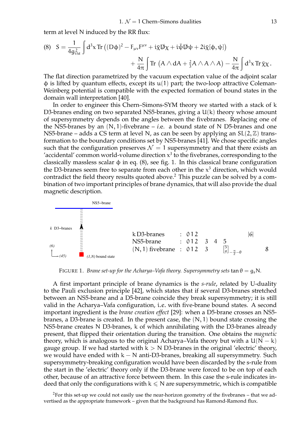term at level N induced by the RR flux:

(8) 
$$
S = \frac{1}{4g_{YM}^2} \int d^3x \operatorname{Tr} ((D\varphi)^2 - F_{\mu\nu}F^{\mu\nu} + i\overline{\chi}\mathcal{D}\chi + i\overline{\psi}\mathcal{D}\psi + 2i\overline{\chi}[\varphi, \psi]) + \frac{N}{4\pi} \int \operatorname{Tr} (A \wedge dA + \frac{2}{3}A \wedge A \wedge A) - \frac{N}{4\pi} \int d^3x \operatorname{Tr} \overline{\chi}\chi.
$$

The flat direction parametrized by the vacuum expectation value of the adjoint scalar  $\phi$  is lifted by quantum effects, except its  $u(1)$  part; the two-loop attractive Coleman-Weinberg potential is compatible with the expected formation of bound states in the domain wall interpretation [40].

In order to engineer this Chern–Simons-SYM theory we started with a stack of k D3-branes ending on two separated NS5-branes, giving a U(k) theory whose amount of supersymmetry depends on the angles between the fivebranes. Replacing one of the NS5-branes by an  $(N, 1)$ -fivebrane – *i*.e. a bound state of N D5-branes and one NS5-brane – adds a CS term at level N, as can be seen by applying an  $SL(2, \mathbb{Z})$  transformation to the boundary conditions set by NS5-branes [41]. We chose specific angles such that the configuration preserves  $\mathcal{N} = 1$  supersymmetry and that there exists an 'accidental' common world-volume direction  $x^3$  to the fivebranes, corresponding to the classically massless scalar  $\phi$  in eq. (8), see fig. 1. In this classical brane configuration the D3-branes seem free to separate from each other in the  $x^3$  direction, which would contradict the field theory results quoted above.<sup>2</sup> This puzzle can be solved by a combination of two important principles of brane dynamics, that will also provide the dual magnetic description.



FIGURE 1. *Brane set-up for the Acharya–Vafa theory. Supersymmetry sets*  $\tan \theta = g_s N$ .

A first important principle of brane dynamics is the *s-rule*, related by U-duality to the Pauli exclusion principle [42], which states that if several D3-branes stretched between an NS5-brane and a D5-brane coincide they break supersymmetry; it is still valid in the Acharya–Vafa configuration, i.e. with five-brane bound states. A second important ingredient is the *brane creation effect* [29]: when a D5-brane crosses an NS5 branes, a D3-brane is created. In the present case, the  $(N, 1)$  bound state crossing the NS5-brane creates N D3-branes, k of which annihilating with the D3-branes already present, that flipped their orientation during the transition. One obtains the *magnetic* theory, which is analogous to the original Acharya–Vafa theory but with a  $U(N - k)$ gauge group. If we had started with  $k > N$  D3-branes in the original 'electric' theory, we would have ended with  $k - N$  anti-D3-branes, breaking all supersymmetry. Such supersymmetry-breaking configuration would have been discarded by the s-rule from the start in the 'electric' theory only if the D3-brane were forced to be on top of each other, because of an attractive force between them. In this case the s-rule indicates indeed that only the configurations with  $k \leq N$  are supersymmetric, which is compatible

<sup>2</sup>For this set-up we could not easily use the near-horizon geometry of the fivebranes – that we advertised as the appropriate framework – given that the background has Ramond-Ramond flux.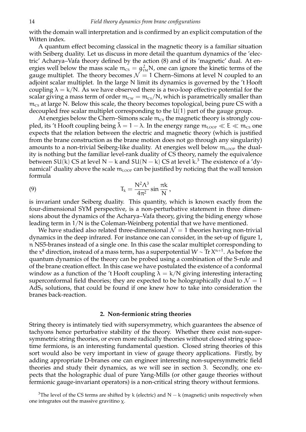with the domain wall interpretation and is confirmed by an explicit computation of the Witten index.

A quantum effect becoming classical in the magnetic theory is a familiar situation with Seiberg duality. Let us discuss in more detail the quantum dynamics of the 'electric' Acharya–Vafa theory defined by the action (8) and of its 'magnetic' dual. At energies well below the mass scale  $m_{\text{cs}} = g_{\text{YM}}^2 N$ , one can ignore the kinetic terms of the gauge multiplet. The theory becomes  $\mathcal{N} = 1$  Chern–Simons at level N coupled to an adjoint scalar multiplet. In the large N limit its dynamics is governed by the 't Hooft coupling  $\lambda = k/N$ . As we have observed there is a two-loop effective potential for the scalar giving a mass term of order  $m_{\text{cw}} = m_{\text{cs}}/N$ , which is parametrically smaller than  $m_{\text{CS}}$  at large N. Below this scale, the theory becomes topological, being pure CS with a decoupled free scalar multiplet corresponding to the U(1) part of the gauge group.

At energies below the Chern–Simons scale  $m_{\text{cs}}$  the magnetic theory is strongly coupled, its 't Hooft coupling being  $\tilde{\lambda} = 1 - \lambda$ . In the energy range  $m_{\text{LOOP}} \ll E \ll m_{\text{CS}}$  one expects that the relation between the electric and magnetic theory (which is justified from the brane construction as the brane motion does not go through any singularity) amounts to a non-trivial Seiberg-like duality. At energies well below  $m_{\text{LOOP}}$  the duality is nothing but the familiar level-rank duality of CS theory, namely the equivalence between SU(k) CS at level N  $-$  k and SU(N  $-$  k) CS at level k.<sup>3</sup> The existence of a 'dynamical' duality above the scale  $m_{\text{LOOP}}$  can be justified by noticing that the wall tension formula

(9) 
$$
T_k = \frac{N^2 \Lambda^3}{4\pi^2} \sin \frac{\pi k}{N},
$$

is invariant under Seiberg duality. This quantity, which is known exactly from the four-dimensional SYM perspective, is a non-perturbative statement in three dimensions about the dynamics of the Acharya–Vafa theory, giving the biding energy whose leading term in 1/N is the Coleman-Weinberg potential that we have mentioned.

We have studied also related three-dimensional  $\mathcal{N} = 1$  theories having non-trivial dynamics in the deep infrared. For instance one can consider, in the set-up of figure 1, n NS5-branes instead of a single one. In this case the scalar multiplet corresponding to the  $\mathsf{x}^8$  direction, instead of a mass term, has a superpotential  $\mathsf{W}\sim \text{Tr} \, \mathsf{X}^{\mathfrak{n}+1}.$  As before the quantum dynamics of the theory can be probed using a combination of the S-rule and of the brane creation effect. In this case we have postulated the existence of a conformal window as a function of the 't Hooft coupling  $\lambda = k/N$  giving interesting interacting superconformal field theories; they are expected to be holographically dual to  $\mathcal{N} = 1$ AdS<sup>4</sup> solutions, that could be found if one knew how to take into consideration the branes back-reaction.

### **2. Non-fermionic string theories**

String theory is intimately tied with supersymmetry, which guarantees the absence of tachyons hence perturbative stability of the theory. Whether there exist non-supersymmetric string theories, or even more radically theories without closed string spacetime fermions, is an interesting fundamental question. Closed string theories of this sort would also be very important in view of gauge theory applications. Firstly, by adding appropriate D-branes one can engineer interesting non-supersymmetric field theories and study their dynamics, as we will see in section 3. Secondly, one expects that the holographic dual of pure Yang-Mills (or other gauge theories without fermionic gauge-invariant operators) is a non-critical string theory without fermions.

<sup>&</sup>lt;sup>3</sup>The level of the CS terms are shifted by k (electric) and N – k (magnetic) units respectively when one integrates out the massive gravitino χ.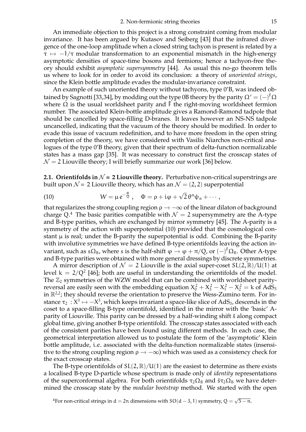An immediate objection to this project is a strong constraint coming from modular invariance. It has been argued by Kutasov and Seiberg [43] that the infrared divergence of the one-loop amplitude when a closed string tachyon is present is related by a  $\tau \mapsto -1/\tau$  modular transformation to an exponential mismatch in the high-energy asymptotic densities of space-time bosons and fermions; hence a tachyon-free theory should exhibit *asymptotic supersymmetry* [44]. As usual this no-go theorem tells us where to look for in order to avoid its conclusion: a theory of *unoriented strings*, since the Klein bottle amplitude evades the modular-invariance constraint.

An example of such unoriented theory without tachyons, type 0'B, was indeed obtained by Sagnotti [33,34], by modding out the type 0B theory by the parity  $\Omega' = (-)^{F} \Omega$ where  $\Omega$  is the usual worldsheet parity and  $\bar{F}$  the right-moving worldsheet fermion number. The associated Klein-bottle amplitude gives a Ramond-Ramond tadpole that should be cancelled by space-filling D-branes. It leaves however an NS-NS tadpole uncancelled, indicating that the vacuum of the theory should be modified. In order to evade this issue of vacuum redefinition, and to have more freedom in the open string completion of the theory, we have considered with Vasilis Niarchos non-critical analogues of the type 0'B theory, given that their spectrum of delta-function normalizable states has a mass gap [35]. It was necessary to construct first the crosscap states of  $\mathcal{N} = 2$  Liouville theory; I will briefly summarize our work [36] below.

**2.1. Orientifolds in**  $\mathcal{N} = 2$  Liouville theory. Perturbative non-critical superstrings are built upon  $\mathcal{N} = 2$  Liouville theory, which has an  $\mathcal{N} = (2, 2)$  superpotential

(10) 
$$
W = \mu e^{-\frac{\Phi}{Q}}, \quad \Phi = \rho + i\varphi + \sqrt{2} \theta^{\alpha} \psi_{\alpha} + \cdots,
$$

that regularizes the strong coupling region  $\rho \to -\infty$  of the linear dilaton of background charge Q.<sup>4</sup> The basic parities compatible with  $\mathcal{N} = 2$  supersymmetry are the A-type and B-type parities, which are exchanged by mirror symmetry [45]. The A-parity is a symmetry of the action with superpotential (10) provided that the cosmological constant  $\mu$  is real; under the B-parity the superpotential is odd. Combining the B-parity with involutive symmetries we have defined B-type orientifolds leaving the action invariant, such as s $\Omega_{\rm B}$ , where s is the half-shift  $\varphi \to \varphi + \pi/Q$ , or  $\left(-\right)^{\rm F} \Omega_{\rm B}$ . Other A-type and B-type parities were obtained with more general dressings by discrete symmetries.

A mirror description of  $\mathcal{N} = 2$  Liouville is the axial super-coset  $SL(2,\mathbb{R})/U(1)$  at level  $k = 2/Q^2$  [46]; both are useful in understanding the orientifolds of the model. The  $\mathbb{Z}_2$  symmetries of the WZW model that can be combined with worldsheet parityreversal are easily seen with the embedding equation  $X_0^2 + X_3^2 - X_1^2 - X_2^2 = k$  of AdS<sub>3</sub> in  $\mathbb{R}^{2,2}$ ; they should reverse the orientation to preserve the Wess-Zumino term. For instance  $\tau_2 : X^3 \mapsto -X^3$ , which keeps invariant a space-like slice of AdS<sub>3</sub>, descends in the coset to a space-filling B-type orientifold, identified in the mirror with the 'basic' Aparity of Liouville. This parity can be dressed by a half-winding shift  $\tilde{s}$  along compact global time, giving another B-type orientifold. The crosscap states associated with each of the consistent parities have been found using different methods. In each case, the geometrical interpretation allowed us to postulate the form of the 'asymptotic' Klein bottle amplitude, i.e. associated with the delta-function normalizable states (insensitive to the strong coupling region  $\rho \rightarrow -\infty$ ) which was used as a consistency check for the exact crosscap states.

The B-type orientifolds of  $SL(2,\mathbb{R})/U(1)$  are the easiest to determine as there exists a localised B-type D-particle whose spectrum is made only of *identity* representations of the superconformal algebra. For both orientifolds  $\tau_2\Omega_B$  and  $\tilde{s}\tau_2\Omega_B$  we have determined the crosscap state by the *modular bootstrap* method. We started with the open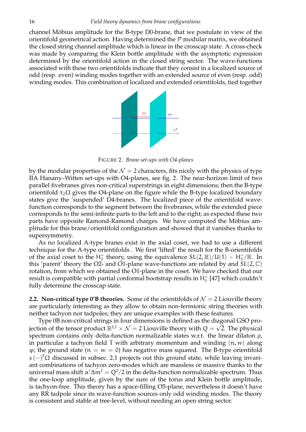channel Möbius amplitude for the B-type D0-brane, that we postulate in view of the orientifold geometrical action. Having determined the  $P$  modular matrix, we obtained the closed string channel amplitude which is linear in the crosscap state. A cross-check was made by comparing the Klein bottle amplitude with the asymptotic expression determined by the orientifold action in the closed string sector. The wave-functions associated with these two orientifolds indicate that they consist in a localized source of odd (resp. even) winding modes together with an extended source of even (resp. odd) winding modes. This combination of localized and extended orientifolds, tied together



FIGURE 2. *Brane set-ups with O4-planes*

by the modular properties of the  $\mathcal{N} = 2$  characters, fits nicely with the physics of type IIA Hanany–Witten set-ups with O4-planes, see fig. 2. The near-horizon limit of two parallel fivebranes gives non-critical superstrings in eight dimensions; then the B-type orientifold  $\tau_2\Omega$  gives the O4-plane on the figure while the B-type localized boundary states give the 'suspended' D4-branes. The localized piece of the orientifold wavefunction corresponds to the segment between the fivebranes, while the extended piece corresponds to the semi-infinite parts to the left and to the right; as expected these two parts have opposite Ramond-Ramond charges. We have computed the Möbius amplitude for this brane/orientifold configuration and showed that it vanishes thanks to supersymmetry.

As no localized A-type branes exist in the axial coset, we had to use a different technique for the A-type orientifolds . We first 'lifted' the result for the B-orientifolds of the axial coset to the  $H_3^+$ <sup>+</sup><sub>3</sub> theory, using the equivalence  $SL(2,\mathbb{R})/U(1) \sim H_3^+$  $j_3^+/\mathbb{R}$ . In this 'parent' theory the O2- and O1-plane wave-functions are related by and  $SL(2, \mathbb{C})$ rotation, from which we obtained the O1-plane in the coset. We have checked that our result is compatible with partial conformal bootstrap results in  $\mathsf{H}^+_3$  $_3^+$  [47] which couldn't fully determine the crosscap state.

**2.2. Non-critical type 0'B theories.** Some of the orientifolds of  $\mathcal{N} = 2$  Liouville theory are particularly interesting as they allow to obtain non-fermionic string theories with neither tachyon nor tadpoles; they are unique examples with these features.

Type 0B non-critical strings in four dimensions is defined as the diagonal GSO projection of the tensor product  $\mathbb{R}^{3,1} \times \mathcal{N} = 2$  Liouville theory with  $Q = \sqrt{2}$ . The physical spectrum contains only delta-function normalizable states w.r.t. the linear dilaton ρ, in particular a tachyon field T with arbitrary momentum and winding  $(n, w)$  along  $\varphi$ ; the ground state ( $n = w = 0$ ) has negative mass squared. The B-type orientifold s  $(-)^{F}$ Ω discussed in subsec. 2.1 projects out this ground state, while leaving invariant combinations of tachyon zero-modes which are massless or massive thanks to the universal mass shift  $\alpha'\Delta m^2=Q^2/2$  in the delta-function normalizable spectrum. Thus the one-loop amplitude, given by the sum of the torus and Klein bottle amplitude, is tachyon-free. This theory has a space-filling O5-plane, nevertheless it doesn't have any RR tadpole since its wave-function sources only odd winding modes. The theory is consistent and stable at tree-level, without needing an open string sector.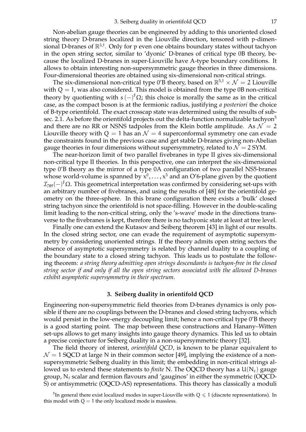Non-abelian gauge theories can be engineered by adding to this unoriented closed string theory D-branes localized in the Liouville direction, tensored with p-dimensional D-branes of  $\mathbb{R}^{3,1}$ . Only for p even one obtains boundary states without tachyon in the open string sector, similar to 'dyonic' D-branes of critical type 0B theory, because the localized D-branes in super-Liouville have A-type boundary conditions. It allows to obtain interesting non-supersymmetric gauge theories in three dimensions. Four-dimensional theories are obtained using six-dimensional non-critical strings.

The six-dimensional non-critical type 0'B theory, based on  $\mathbb{R}^{5,1} \times \mathcal{N} = 2$  Liouville with  $Q = 1$ , was also considered. This model is obtained from the type 0B non-critical theory by quotienting with  $s(-)^{F}\Omega$ ; this choice is morally the same as in the critical case, as the compact boson is at the fermionic radius, justifying *a posteriori* the choice of B-type orientifold. The exact crosscap state was determined using the results of subsec. 2.1. As before the orientifold projects out the delta-function normalizable tachyon<sup>5</sup> and there are no RR or NSNS tadpoles from the Klein bottle amplitude. As  $\mathcal{N} = 2$ Liouville theory with  $Q = 1$  has an  $\mathcal{N} = 4$  superconformal symmetry one can evade the constraints found in the previous case and get stable D-branes giving non-Abelian gauge theories in four dimensions without supersymmetry, related to  $\mathcal{N} = 2$  SYM.

The near-horizon limit of two parallel fivebranes in type II gives six-dimensional non-critical type II theories. In this perspective, one can interpret the six-dimensional type 0'B theory as the mirror of a type 0A configuration of two parallel NS5-branes whose world-volume is spanned by  $x^0,\ldots,x^5$  and an O'6-plane given by the quotient  $I_{789}(-)^\text{F}$ Ω. This geometrical interpretation was confirmed by considering set-ups with an arbitrary number of fivebranes, and using the results of [48] for the orientifold geometry on the three-sphere. In this brane configuration there exists a 'bulk' closed string tachyon since the orientifold is not space-filling. However in the double-scaling limit leading to the non-critical string, only the 's-wave' mode in the directions transverse to the fivebranes is kept, therefore there is no tachyonic state at least at tree level.

Finally one can extend the Kutasov and Seiberg theorem [43] in light of our results. In the closed string sector, one can evade the requirement of asymptotic supersymmetry by considering unoriented strings. If the theory admits open string sectors the absence of asymptotic supersymmetry is related by channel duality to a coupling of the boundary state to a closed string tachyon. This leads us to postulate the following theorem: *a string theory admitting open strings descendants is tachyon-free in the closed string sector if and only if all the open string sectors associated with the allowed D-branes exhibit asymptotic supersymmetry in their spectrum.*

### **3. Seiberg duality in orientifold QCD**

Engineering non-supersymmetric field theories from D-branes dynamics is only possible if there are no couplings between the D-branes and closed string tachyons, which would persist in the low-energy decoupling limit; hence a non-critical type 0'B theory is a good starting point. The map between these constructions and Hanany–Witten set-ups allows to get many insights into gauge theory dynamics. This led us to obtain a precise conjecture for Seiberg duality in a non-supersymmetric theory [32].

The field theory of interest, *orientifold QCD*, is known to be planar equivalent to  $\mathcal{N}=1$  SQCD at large N in their common sector [49], implying the existence of a nonsupersymmetric Seiberg duality in this limit; the embedding in non-critical strings allowed us to extend these statements to *finite* N. The OQCD theory has a  $U(N_c)$  gauge group,  $N_f$  scalar and fermion flavours and 'gauginos' in either the symmetric (OQCD-S) or antisymmetric (OQCD-AS) representations. This theory has classically a moduli

<sup>&</sup>lt;sup>5</sup>In general there exist localized modes in super-Liouville with  $Q \leq 1$  (discrete representations). In this model with  $Q = 1$  the only localized mode is massless.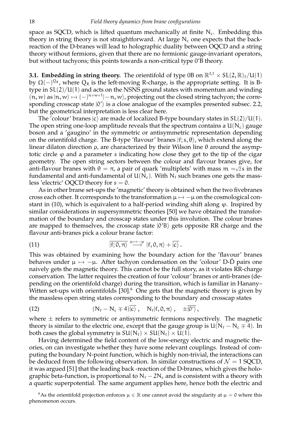space as SQCD, which is lifted quantum mechanically at finite  $N_c$ . Embedding this theory in string theory is not straightforward. At large  $N_c$  one expects that the backreaction of the D-branes will lead to holographic duality between OQCD and a string theory without fermions, given that there are no fermionic gauge-invariant operators, but without tachyons; this points towards a non-critical type 0'B theory.

**3.1. Embedding in string theory.** The orientifold of type 0B on  $\mathbb{R}^{3,1} \times SL(2,\mathbb{R})_1/U(1)$ by  $\Omega(-)^{Q_R}$ , where  $Q_R$  is the left-moving R-charge, is the appropriate setting. It is Btype in  $SL(2)/U(1)$  and acts on the NSNS ground states with momentum and winding  $(n, w)$  as  $|n, w\rangle \mapsto (-)^{n+w+1}$   $-n, w\rangle$ , projecting out the closed string tachyon; the corre-<br>considers gressive state  $|0\rangle$  is a glass analysis of the symples presented subset 2.2 sponding crosscap state  $|0'\rangle$  is a close analogue of the examples presented subsec. 2.2, but the geometrical interpretation is less clear here.

The 'colour' branes  $|c\rangle$  are made of localized B-type boundary states in  $SL(2)/U(1)$ . The open string one-loop amplitude reveals that the spectrum contains a  $U(N_c)$  gauge boson and a 'gaugino' in the symmetric or antisymmetric representation depending on the orientifold charge. The B-type 'flavour' branes  $|f; s, \theta\rangle$ , which extend along the linear dilaton direction ρ, are characterized by their Wilson line θ around the asymptotic circle  $\varphi$  and a parameter s indicating how close they get to the tip of the cigar geometry. The open string sectors between the colour and flavour branes give, for anti-flavour branes with  $\theta = \pi$ , a pair of quark 'multiplets' with mass  $m = \sqrt{2} s$  in the fundamental and anti-fundamental of  $U(N_c)$ . With  $N_f$  such branes one gets the massless 'electric' OQCD theory for  $s = 0$ .

As in other brane set-ups the 'magnetic' theory is obtained when the two fivebranes cross each other. It corresponds to the transformation  $\mu \mapsto -\mu$  on the cosmological constant in  $(10)$ , which is equivalent to a half-period winding shift along  $\varphi$ . Inspired by similar considerations in supersymmetric theories [50] we have obtained the transformation of the boundary and crosscap states under this involution. The colour branes are mapped to themselves, the crosscap state  $|0'B\rangle$  gets opposite RR charge and the flavour anti-branes pick a colour brane factor:

(11) 
$$
\overline{\ket{{\sf f};0,\pi}} \overset{\mu\mapsto -\mu}{\longrightarrow} \ket{{\sf f},0,\pi} + \overline{\ket{{\sf c}}}.
$$

This was obtained by examining how the boundary action for the 'flavour' branes behaves under  $\mu \mapsto -\mu$ . After tachyon condensation on the 'colour' D- $\bar{D}$  pairs one naively gets the magnetic theory. This cannot be the full story, as it violates RR-charge conservation. The latter requires the creation of four 'colour' branes or anti-branes (depending on the orientifold charge) during the transition, which is familiar in Hanany– Witten set-ups with orientifolds  $[30]$ <sup>6</sup> One gets that the magnetic theory is given by the massless open string states corresponding to the boundary and crosscap states

(12) 
$$
(N_f - N_c \mp 4)\overline{|c\rangle}, \quad N_f | f, 0, \pi\rangle, \quad \pm \overline{|0\rangle},
$$

where  $\pm$  refers to symmetric or antisymmetric fermions respectively. The magnetic theory is similar to the electric one, except that the gauge group is  $U(N_f - N_c \mp 4)$ . In both cases the global symmetry is  $SU(N_f) \times SU(N_f) \times U(1)$ .

Having determined the field content of the low-energy electric and magnetic theories, on can investigate whether they have some relevant couplings. Instead of computing the boundary N-point function, which is highly non-trivial, the interactions can be deduced from the following observation. In similar constructions of  $\mathcal{N} = 1$  SQCD, it was argued [51] that the leading back -reaction of the D-branes, which gives the holographic beta-function, is proportional to  $N_f - 2N_c$  and is consistent with a theory with a quartic superpotential. The same argument applies here, hence both the electric and

<sup>6</sup>As the orientifold projection enforces  $\mu \in \mathbb{R}$  one cannot avoid the singularity at  $\mu = 0$  where this phenomenon occurs.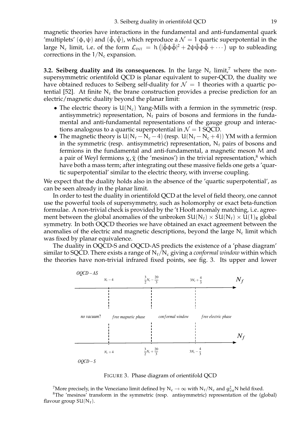magnetic theories have interactions in the fundamental and anti-fundamental quark 'multiplets' (φ, ψ) and ( $\tilde{\phi}$ , ψ), which reproduce a  $\mathcal{N} = 1$  quartic superpotential in the large N<sub>c</sub> limit, i.e. of the form  $\mathcal{L}_{\text{INT}} = h \left( |\tilde{\phi} \phi \tilde{\phi}|^2 + 2 \psi \tilde{\psi} \phi \tilde{\phi} + \cdots \right)$  up to subleading corrections in the  $1/N_c$  expansion.

**3.2. Seiberg duality and its consequences.** In the large  $N_c$  limit,<sup>7</sup> where the nonsupersymmetric orientifold QCD is planar equivalent to super-QCD, the duality we have obtained reduces to Seiberg self-duality for  $\mathcal{N} = 1$  theories with a quartic potential [52]. At finite  $N_c$  the brane construction provides a precise prediction for an electric/magnetic duality beyond the planar limit:

- The electric theory is  $U(N_c)$  Yang-Mills with a fermion in the symmetric (resp. antisymmetric) representation,  $N_f$  pairs of bosons and fermions in the fundamental and anti-fundamental representations of the gauge group and interactions analogous to a quartic superpotential in  $\mathcal{N} = 1$  SQCD.
- The magnetic theory is  $U(N_f N_c 4)$  (resp.  $U(N_f N_c + 4)$ ) YM with a fermion in the symmetric (resp. antisymmetric) representation,  $N_f$  pairs of bosons and fermions in the fundamental and anti-fundamental, a magnetic meson M and a pair of Weyl fermions  $\chi, \tilde{\chi}$  (the 'mesinos') in the trivial representation,<sup>8</sup> which have both a mass term; after integrating out these massive fields one gets a 'quartic superpotential' similar to the electric theory, with inverse coupling.

We expect that the duality holds also in the absence of the 'quartic superpotential', as can be seen already in the planar limit.

In order to test the duality in orientifold QCD at the level of field theory, one cannot use the powerful tools of supersymmetry, such as holomorphy or exact beta-function formulae. A non-trivial check is provided by the 't Hooft anomaly matching, i.e. agreement between the global anomalies of the unbroken  $SU(N_f) \times SU(N_f) \times U(1)_R$  global symmetry. In both OQCD theories we have obtained an exact agreement between the anomalies of the electric and magnetic descriptions, beyond the large  $N_c$  limit which was fixed by planar equivalence.

The duality in OQCD-S and OQCD-AS predicts the existence of a 'phase diagram' similar to SQCD. There exists a range of  $N_f/N_c$  giving a *conformal window* within which the theories have non-trivial infrared fixed points, see fig. 3. Its upper and lower



FIGURE 3. Phase diagram of orientifold QCD

The precisely, in the Veneziano limit defined by  $N_c \rightarrow \infty$  with  $N_f/N_c$  and  $g_{YM}^2 N$  held fixed. <sup>8</sup>The 'mesinos' transform in the symmetric (resp. antisymmetric) representation of the (global) flavour group  $SU(N_f)$ .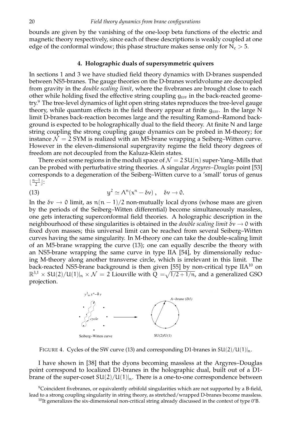bounds are given by the vanishing of the one-loop beta functions of the electric and magnetic theory respectively, since each of these descriptions is weakly coupled at one edge of the conformal window; this phase structure makes sense only for  $N_c > 5$ .

### **4. Holographic duals of supersymmetric quivers**

In sections 1 and 3 we have studied field theory dynamics with D-branes suspended between NS5-branes. The gauge theories on the D-branes worldvolume are decoupled from gravity in the *double scaling limit*, where the fivebranes are brought close to each other while holding fixed the effective string coupling  $q_{EFF}$  in the back-reacted geometry.<sup>9</sup> The tree-level dynamics of light open string states reproduces the tree-level gauge theory, while quantum effects in the field theory appear at finite  $q_{EFF}$ . In the large N limit D-branes back-reaction becomes large and the resulting Ramond–Ramond background is expected to be holographically dual to the field theory. At finite N and large string coupling the strong coupling gauge dynamics can be probed in M-theory; for instance  $\mathcal{N} = 2$  SYM is realized with an M5-brane wrapping a Seiberg–Witten curve. However in the eleven-dimensional supergravity regime the field theory degrees of freedom are not decoupled from the Kaluza-Klein states.

There exist some regions in the moduli space of  $\mathcal{N} = 2 SU(n)$  super-Yang–Mills that can be probed with perturbative string theories. A singular *Argyres–Douglas* point [53] corresponds to a degeneration of the Seiberg–Witten curve to a 'small' torus of genus  $\lfloor \frac{n-1}{2}$  $\frac{-1}{2}$ :

(13) 
$$
y^2 \simeq \Lambda^n(x^n - \delta v), \quad \delta v \to 0.
$$

In the  $\delta v \to 0$  limit, as  $n(n-1)/2$  non-mutually local dyons (whose mass are given by the periods of the Seiberg–Witten differential) become simultaneously massless, one gets interacting superconformal field theories. A holographic description in the neighbourhood of these singularities is obtained in the *double scaling limit*  $\delta v \rightarrow 0$  with fixed dyon masses; this universal limit can be reached from several Seiberg–Witten curves having the same singularity. In M-theory one can take the double-scaling limit of an M5-brane wrapping the curve (13); one can equally describe the theory with an NS5-brane wrapping the same curve in type IIA [54], by dimensionally reducing M-theory along another transverse circle, which is irrelevant in this limit. The back-reacted NS5-brane background is then given [55] by non-critical type  $IIA^{10}$  on  $\mathbb{R}^{3,1} \times SU(2)/U(1)|_{n} \times \mathcal{N} = 2$  Liouville with  $\tilde{Q} = \sqrt{1/2 + 1/n}$ , and a generalized GSO projection.



FIGURE 4. Cycles of the SW curve (13) and corresponding D1-branes in  $SU(2)/U(1)|_n$ .

I have shown in [38] that the dyons becoming massless at the Argyres–Douglas point correspond to localized D1-branes in the holographic dual, built out of a D1 brane of the super-coset  $SU(2)/U(1)|_n$ . There is a one-to-one correspondence between

<sup>9</sup>Coincident fivebranes, or equivalently orbifold singularities which are not supported by a B-field, lead to a strong coupling singularity in string theory, as stretched/wrapped D-branes become massless.  $10$ It generalizes the six-dimensional non-critical string already discussed in the context of type 0'B.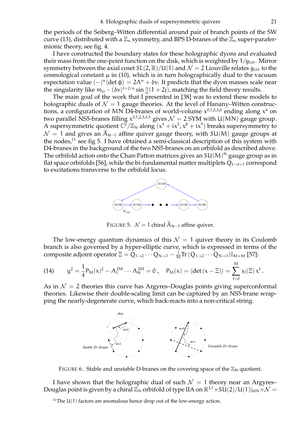the periods of the Seiberg–Witten differential around pair of branch points of the SW curve (13), distributed with a  $\mathbb{Z}_n$  symmetry, and BPS D-branes of the  $\mathbb{Z}_n$  super-parafermionic theory, see fig. 4.

I have constructed the boundary states for these holographic dyons and evaluated their mass from the one-point function on the disk, which is weighted by  $1/q_{\text{EFF}}$ . Mirror symmetry between the axial coset  $SL(2, \mathbb{R})/U(1)$  and  $\mathcal{N} = 2$  Liouville relates  $g_{\text{EFF}}$  to the cosmological constant  $\mu$  in (10), which is in turn holographically dual to the vacuum expectation value  $(-)^n \langle \det \phi \rangle = 2\Lambda^n + \delta v$ . It predicts that the dyon masses scale near the singularity like  $m_D \sim (\delta v)^{1+2/n} \sin \frac{\pi}{n}(1+2)$ , matching the field theory results.

The main goal of the work that I presented in [38] was to extend these models to holographic duals of  $\mathcal{N} = 1$  gauge theories. At the level of Hanany–Witten constructions, a configuration of MN D4-branes of world-volume  $x^{0,1,2,3,6}$  ending along  $x^6$  on two parallel NS5-branes filling  $x^{0,1,2,3,4,5}$  gives  $\mathcal{N}=2$  SYM with U(MN) gauge group. A supersymmetric quotient  $\mathbb{C}^2/\mathbb{Z}_N$  along  $(x^4 + ix^5, x^8 + ix^9)$  breaks supersymmetry to  $\mathcal{N} = 1$  and gives an  $\hat{A}_{N-1}$  affine quiver gauge theory, with SU(M) gauge groups at the nodes, $^{11}$  see fig 5. I have obtained a semi-classical description of this system with D4-branes in the background of the two NS5-branes on an orbifold as described above. The orbifold action onto the Chan-Patton matrices gives an SU(M) $^{\mathsf{N}}$  gauge group as in flat space orbifolds [56], while the bi-fundamental matter multiplets  $Q_{\ell\to\ell+1}$  correspond to excitations transverse to the orbifold locus.



FIGURE 5.  $\mathcal{N} = 1$  chiral  $\hat{A}_{N-1}$  affine quiver.

The low-energy quantum dynamics of this  $\mathcal{N} = 1$  quiver theory in its Coulomb branch is also governed by a hyper-elliptic curve, which is expressed in terms of the composite adjoint operator  $\Xi = \tilde{Q}_{1\to 2}\cdots \tilde{Q}_{N\to 1} - \frac{1}{M}\text{Tr}\,(Q_{1\to 2}\cdots Q_{N\to 1})\mathbb{I}_{M\times M}$  [57]:

$$
(14) \qquad y^2 = \frac{1}{4} P_M(x)^2 - \Lambda_1^{2M} \cdots \Lambda_N^{2M} = 0 \ , \quad P_M(x) = \langle \det(x - \Xi) \rangle = \sum_{\ell=0}^M s_\ell(\Xi) x^\ell \ .
$$

As in  $\mathcal{N} = 2$  theories this curve has Argyres–Douglas points giving superconformal theories. Likewise their double-scaling limit can be captured by an NS5-brane wrapping the nearly-degenerate curve, which back-reacts into a non-critical string.



FIGURE 6. Stable and unstable D-branes on the covering space of the  $\mathbb{Z}_N$  quotient.

I have shown that the holographic dual of such  $\mathcal{N} = 1$  theory near an Argyres– Douglas point is given by a chiral  $\mathbb{Z}_N$  orbifold of type IIA on  $\mathbb{R}^{3,1} \times SU(2)/U(1)|_{MN} \times \mathcal{N} =$ 

<sup>&</sup>lt;sup>11</sup>The U(1) factors are anomalous hence drop out of the low-energy action.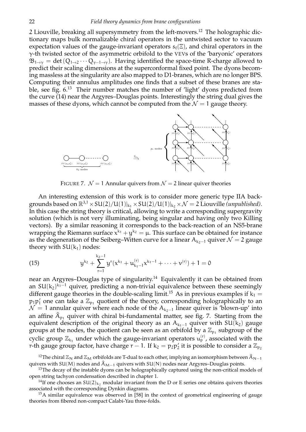2 Liouville, breaking all supersymmetry from the left-movers.<sup>12</sup> The holographic dictionary maps bulk normalizable chiral operators in the untwisted sector to vacuum expectation values of the gauge-invariant operators  $s_{\ell}(\Xi)$ , and chiral operators in the  $\gamma$ -th twisted sector of the asymmetric orbifold to the VEVs of the 'baryonic' operators  $\mathfrak{B}_{1\to\gamma} = \det(Q_{1\to 2}\cdots Q_{\gamma-1\to\gamma})$ . Having identified the space-time R-charge allowed to predict their scaling dimensions at the superconformal fixed point. The dyons becoming massless at the singularity are also mapped to D1-branes, which are no longer BPS. Computing their annulus amplitudes one finds that a subset of these branes are stable, see fig. 6.<sup>13</sup> Their number matches the number of 'light' dyons predicted from the curve (14) near the Argyres–Douglas points. Interestingly the string dual gives the masses of these dyons, which cannot be computed from the  $\mathcal{N} = 1$  gauge theory.



FIGURE 7.  $\mathcal{N} = 1$  Annular quivers from  $\mathcal{N} = 2$  linear quiver theories

An interesting extension of this work is to consider more generic type IIA backgrounds based on  $\mathbb{R}^{3,1} \times SU(2)/U(1)|_{k_1} \times SU(2)/U(1)|_{k_2} \times \mathcal{N} = 2$  Liouville *(unpublished)*. In this case the string theory is critical, allowing to write a corresponding supergravity solution (which is not very illuminating, being singular and having only two Killing vectors). By a similar reasoning it corresponds to the back-reaction of an NS5-brane wrapping the Riemann surface  $x^{k_1}+y^{k_2}=\mu.$  This surface can be obtained for instance as the degeneration of the Seiberg–Witten curve for a linear  $A_{k-1}$  quiver  $\mathcal{N} = 2$  gauge theory with  $SU(k_1)$  nodes:

(15) 
$$
y^{k_2} + \sum_{r=1}^{k_2-1} y^r (x^{k_1} + u_{k_1-1}^{(r)} x^{k_1-1} + \cdots + v^{(r)}) + 1 = 0
$$

near an Argyres–Douglas type of singularity.<sup>14</sup> Equivalently it can be obtained from an SU $(k_2)^{k_1-1}$  quiver, predicting a non-trivial equivalence between these seemingly different gauge theories in the double-scaling limit.<sup>15</sup> As in previous examples if  $k_1 =$  $p_1p'_1$  one can take a  $\mathbb{Z}_{p_1}$  quotient of the theory, corresponding holographically to an  $\mathcal{N} = 1$  annular quiver where each node of the  $A_{k-1}$  linear quiver is 'blown-up' into an affine  $\hat{A}_{p_1}$  quiver with chiral bi-fundamental matter, see fig. 7. Starting from the equivalent description of the original theory as an  $A_{k_1-1}$  quiver with SU( $k_2$ ) gauge groups at the nodes, the quotient can be seen as an orbifold by a  $\mathbb{Z}_{p_1}$  subgroup of the cyclic group  $\mathbb{Z}_{k_1}$  under which the gauge-invariant operators  $\mathfrak{u}_{\mathfrak{p}}^{(\mathsf{r})}$ , associated with the r-th gauge group factor, have charge r – 1. If  $k_2 = p_2p_2$  it is possible to consider a  $\mathbb{Z}_{p_2}$ 

<sup>12</sup>The chiral  $\mathbb{Z}_N$  and  $\mathbb{Z}_M$  orbifolds are T-dual to each other, implying an isomorphism between  $\hat{A}_{N-1}$ quivers with SU(M) nodes and  $\hat{A}_{M-1}$  quivers with SU(N) nodes near Argyres–Douglas points.

<sup>13</sup>The decay of the instable dyons can be holographically captured using the non-critical models of open string tachyon condensation described in chapter 1.

<sup>14</sup>If one chooses an SU(2)<sub>k2</sub> modular invariant from the D or E series one obtains quivers theories associated with the corresponding Dynkin diagrams.

 $<sup>15</sup>A$  similar equivalence was observed in [58] in the context of geometrical engineering of gauge</sup> theories from fibered non-compact Calabi-Yau three-folds.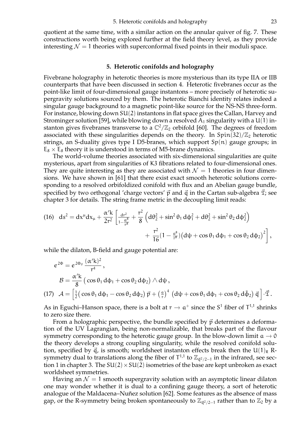quotient at the same time, with a similar action on the annular quiver of fig. 7. These constructions worth being explored further at the field theory level, as they provide interesting  $\mathcal{N} = 1$  theories with superconformal fixed points in their moduli space.

#### **5. Heterotic conifolds and holography**

Fivebrane holography in heterotic theories is more mysterious than its type IIA or IIB counterparts that have been discussed in section 4. Heterotic fivebranes occur as the point-like limit of four-dimensional gauge instantons – more precisely of heterotic supergravity solutions sourced by them. The heterotic Bianchi identity relates indeed a singular gauge background to a magnetic point-like source for the NS-NS three-form. For instance, blowing down SU(2) instantons in flat space gives the Callan, Harvey and Strominger solution [59], while blowing down a resolved  $A_1$  singularity with a U(1) instanton gives fivebranes transverse to a  $\mathbb{C}^2/\mathbb{Z}_2$  orbifold [60]. The degrees of freedom associated with these singularities depends on the theory. In  $Spin(32)/\mathbb{Z}_2$  heterotic strings, an S-duality gives type I D5-branes, which support Sp(n) gauge groups; in  $E_8 \times E_8$  theory it is understood in terms of M5-brane dynamics.

The world-volume theories associated with six-dimensional singularities are quite mysterious, apart from singularities of K3 fibrations related to four-dimensional ones. They are quite interesting as they are associated with  $\mathcal{N} = 1$  theories in four dimensions. We have shown in [61] that there exist exact smooth heterotic solutions corresponding to a resolved orbifoldized conifold with flux and an Abelian gauge bundle, specified by two orthogonal 'charge vectors'  $\vec{p}$  and  $\vec{q}$  in the Cartan sub-algebra  $\vec{x}$ ; see chapter 3 for details. The string frame metric in the decoupling limit reads:

(16) 
$$
ds^{2} = dx^{\mu}dx_{\mu} + \frac{\alpha'k}{2r^{2}} \left[ \frac{dr^{2}}{1 - \frac{\alpha^{8}}{r^{8}}} + \frac{r^{2}}{8} \left( d\theta_{2}^{2} + \sin^{2}\theta_{1} d\phi_{1}^{2} + d\theta_{2}^{2} + \sin^{2}\theta_{2} d\phi_{2}^{2} \right) + \frac{r^{2}}{16} (1 - \frac{\alpha^{8}}{r^{8}}) \left( d\psi + \cos\theta_{1} d\phi_{1} + \cos\theta_{2} d\phi_{2} \right)^{2} \right],
$$

while the dilaton, B-field and gauge potential are:

$$
e^{2\Phi} = e^{2\Phi_0} \frac{(\alpha' k)^2}{r^4},
$$
  
\n
$$
\mathcal{B} = \frac{\alpha' k}{8} \left( \cos \theta_1 d\phi_1 + \cos \theta_2 d\phi_2 \right) \wedge d\psi,
$$
  
\n
$$
(17) \quad \mathcal{A} = \left[ \frac{1}{2} \left( \cos \theta_1 d\phi_1 - \cos \theta_2 d\phi_2 \right) \vec{p} + \left( \frac{a}{r} \right)^4 \left( d\psi + \cos \theta_1 d\phi_1 + \cos \theta_2 d\tilde{\phi}_2 \right) \vec{q} \right] \cdot \vec{\mathcal{I}}.
$$

As in Eguchi–Hanson space, there is a bolt at  $r \to a^+$  since the S<sup>1</sup> fiber of  $T^{1,1}$  shrinks<br>to zero size there to zero size there.

From a holographic perspective, the bundle specified by  $\vec{p}$  determines a deformation of the UV Lagrangian, being non-normalizable, that breaks part of the flavour symmetry corresponding to the heterotic gauge group. In the blow-down limit  $a \to 0$ the theory develops a strong coupling singularity, while the resolved conifold solution, specified by  $\vec{q}$ , is smooth; worldsheet instanton effects break then the U(1)<sub>R</sub> Rsymmetry dual to translations along the fiber of  $T^{1,1}$  to  $\mathbb{Z}_{\vec{q}^2/2-1}$  in the infrared, see section 1 in chapter 3. The  $SU(2) \times SU(2)$  isometries of the base are kept unbroken as exact worldsheet symmetries.

Having an  $\mathcal{N} = 1$  smooth supergravity solution with an asymptotic linear dilaton one may wonder whether it is dual to a confining gauge theory, a sort of heterotic analogue of the Maldacena–Nuñez solution [62]. Some features as the absence of mass gap, or the R-symmetry being broken spontaneously to  $\mathbb{Z}_{d^2/2-1}$  rather than to  $\mathbb{Z}_2$  by a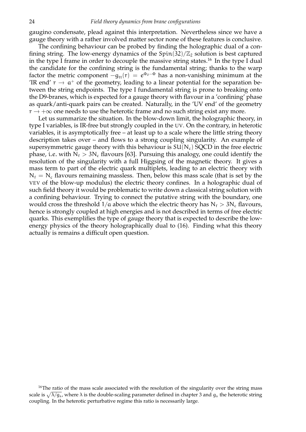gaugino condensate, plead against this interpretation. Nevertheless since we have a gauge theory with a rather involved matter sector none of these features is conclusive.

The confining behaviour can be probed by finding the holographic dual of a confining string. The low-energy dynamics of the  $Spin(32)/\mathbb{Z}_2$  solution is best captured in the type I frame in order to decouple the massive string states.<sup>16</sup> In the type I dual the candidate for the confining string is the fundamental string; thanks to the warp factor the metric component  $-g_{tt}(r)\,=\,e^{\Phi_0-\Phi}$  has a non-vanishing minimum at the TR end'  $r \to a^+$  of the geometry, leading to a linear potential for the separation be-<br>types the strips endpoints. The type I fundamental strips is prease to breaking ento tween the string endpoints. The type I fundamental string is prone to breaking onto the D9-branes, which is expected for a gauge theory with flavour in a 'confining' phase as quark/anti-quark pairs can be created. Naturally, in the 'UV end' of the geometry  $r \rightarrow +\infty$  one needs to use the heterotic frame and no such string exist any more.

Let us summarize the situation. In the blow-down limit, the holographic theory, in type I variables, is IR-free but strongly coupled in the UV. On the contrary, in heterotic variables, it is asymptotically free – at least up to a scale where the little string theory description takes over – and flows to a strong coupling singularity. An example of supersymmetric gauge theory with this behaviour is  $SU(N_c)$  SQCD in the free electric phase, i.e. with  $N_f > 3N_c$  flavours [63]. Pursuing this analogy, one could identify the resolution of the singularity with a full Higgsing of the magnetic theory. It gives a mass term to part of the electric quark multiplets, leading to an electric theory with  $N_f = N_c$  flavours remaining massless. Then, below this mass scale (that is set by the VEV of the blow-up modulus) the electric theory confines. In a holographic dual of such field theory it would be problematic to write down a classical string solution with a confining behaviour. Trying to connect the putative string with the boundary, one would cross the threshold  $1/a$  above which the electric theory has  $N_f > 3N_c$  flavours, hence is strongly coupled at high energies and is not described in terms of free electric quarks. This exemplifies the type of gauge theory that is expected to describe the lowenergy physics of the theory holographically dual to (16). Finding what this theory actually is remains a difficult open question.

<sup>&</sup>lt;sup>16</sup>The ratio of the mass scale associated with the resolution of the singularity over the string mass scale is  $\sqrt{\lambda/g_s}$ , where  $\lambda$  is the double-scaling parameter defined in chapter 3 and  $g_s$  the heterotic string coupling. In the heterotic perturbative regime this ratio is necessarily large.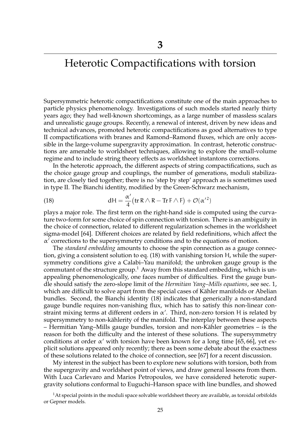## Heterotic Compactifications with torsion

Supersymmetric heterotic compactifications constitute one of the main approaches to particle physics phenomenology. Investigations of such models started nearly thirty years ago; they had well-known shortcomings, as a large number of massless scalars and unrealistic gauge groups. Recently, a renewal of interest, driven by new ideas and technical advances, promoted heterotic compactifications as good alternatives to type II compactifications with branes and Ramond–Ramond fluxes, which are only accessible in the large-volume supergravity approximation. In contrast, heterotic constructions are amenable to worldsheet techniques, allowing to explore the small-volume regime and to include string theory effects as worldsheet instantons corrections.

In the heterotic approach, the different aspects of string compactifications, such as the choice gauge group and couplings, the number of generations, moduli stabilization, are closely tied together; there is no 'step by step' approach as is sometimes used in type II. The Bianchi identity, modified by the Green-Schwarz mechanism,

(18) 
$$
dH = \frac{\alpha'}{4} \left( tr \, R \wedge R - Tr \, F \wedge F \right) + \mathcal{O}(\alpha'^2)
$$

plays a major role. The first term on the right-hand side is computed using the curvature two-form for some choice of spin connection with torsion. There is an ambiguity in the choice of connection, related to different regularization schemes in the worldsheet sigma-model [64]. Different choices are related by field redefinitions, which affect the  $\alpha'$  corrections to the supersymmetry conditions and to the equations of motion.

The *standard embedding* amounts to choose the spin connection as a gauge connection, giving a consistent solution to eq. (18) with vanishing torsion H, while the supersymmetry conditions give a Calabi–Yau manifold; the unbroken gauge group is the commutant of the structure group.<sup>1</sup> Away from this standard embedding, which is unappealing phenomenologically, one faces number of difficulties. First the gauge bundle should satisfy the zero-slope limit of the *Hermitian Yang–Mills equations*, see sec. 1, which are difficult to solve apart from the special cases of Kähler manifolds or Abelian bundles. Second, the Bianchi identity (18) indicates that generically a non-standard gauge bundle requires non-vanishing flux, which has to satisfy this non-linear constraint mixing terms at different orders in  $\alpha'$ . Third, non-zero torsion H is related by supersymmetry to non-kählerity of the manifold. The interplay between these aspects  $-$  Hermitian Yang–Mills gauge bundles, torsion and non-Kähler geometries  $-$  is the reason for both the difficulty and the interest of these solutions. The supersymmetry conditions at order  $\alpha'$  with torsion have been known for a long time [65, 66], yet explicit solutions appeared only recently; there as been some debate about the exactness of these solutions related to the choice of connection, see [67] for a recent discussion.

My interest in the subject has been to explore new solutions with torsion, both from the supergravity and worldsheet point of views, and draw general lessons from them. With Luca Carlevaro and Marios Petropoulos, we have considered heterotic supergravity solutions conformal to Euguchi–Hanson space with line bundles, and showed

 $1$ At special points in the moduli space solvable worldsheet theory are available, as toroidal orbifolds or Gepner models.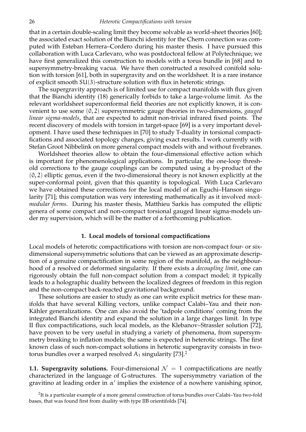that in a certain double-scaling limit they become solvable as world-sheet theories [60]; the associated exact solution of the Bianchi identity for the Chern connection was computed with Esteban Herrera–Cordero during his master thesis. I have pursued this collaboration with Luca Carlevaro, who was postdoctoral fellow at Polytechnique; we have first generalized this construction to models with a torus bundle in [68] and to supersymmetry-breaking vacua. We have then constructed a resolved conifold solution with torsion [61], both in supergravity and on the worldsheet. It is a rare instance of explicit smooth SU(3)-structure solution with flux in heterotic strings.

The supergravity approach is of limited use for compact manifolds with flux given that the Bianchi identity (18) generically forbids to take a large-volume limit. As the relevant worldsheet superconformal field theories are not explicitly known, it is convenient to use some (0, 2) supersymmetric gauge theories in two-dimensions, *gauged linear sigma-models*, that are expected to admit non-trivial infrared fixed points. The recent discovery of models with torsion in target-space [69] is a very important development. I have used these techniques in [70] to study T-duality in torsional compactifications and associated topology changes, giving exact results. I work currently with Stefan Groot Nibbelink on more general compact models with and without fivebranes.

Worldsheet theories allow to obtain the four-dimensional effective action which is important for phenomenological applications. In particular, the one-loop threshold corrections to the gauge couplings can be computed using a by-product of the (0, 2) elliptic genus, even if the two-dimensional theory is not known explicitly at the super-conformal point, given that this quantity is topological. With Luca Carlevaro we have obtained these corrections for the local model of an Eguchi–Hanson singularity [71]; this computation was very interesting mathematically as it involved *mockmodular forms*. During his master thesis, Matthieu Sarkis has computed the elliptic genera of some compact and non-compact torsional gauged linear sigma-models under my supervision, which will be the matter of a forthcoming publication.

### **1. Local models of torsional compactifications**

Local models of heterotic compactifications with torsion are non-compact four- or sixdimensional supersymmetric solutions that can be viewed as an approximate description of a genuine compactification in some region of the manifold, as the neighbourhood of a resolved or deformed singularity. If there exists a *decoupling limit*, one can rigorously obtain the full non-compact solution from a compact model; it typically leads to a holographic duality between the localized degrees of freedom in this region and the non-compact back-reacted gravitational background.

These solutions are easier to study as one can write explicit metrics for these manifolds that have several Killing vectors, unlike compact Calabi–Yau and their non-Kähler generalizations. One can also avoid the 'tadpole conditions' coming from the integrated Bianchi identity and expand the solution in a large charges limit. In type II flux compactifications, such local models, as the Klebanov–Strassler solution [72], have proven to be very useful in studying a variety of phenomena, from supersymmetry breaking to inflation models; the same is expected in heterotic strings. The first known class of such non-compact solutions in heterotic supergravity consists in twotorus bundles over a warped resolved  $A_1$  singularity [73].<sup>2</sup>

**1.1. Supergravity solutions.** Four-dimensional  $\mathcal{N} = 1$  compactifications are neatly characterized in the language of G-structures. The supersymmetry variation of the gravitino at leading order in  $\alpha'$  implies the existence of a nowhere vanishing spinor,

 $^2$ It is a particular example of a more general construction of torus bundles over Calabi–Yau two-fold bases, that was found first from duality with type IIB orientifolds [74].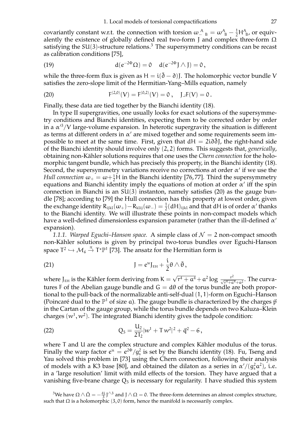covariantly constant w.r.t. the connection with torsion  $\omega_{-B}^A = \omega_{-B}^A - \frac{1}{2}H_{-B}^A$ , or equivalently the existence of globally defined real two-form J and complex three-form Ω satisfying the  $SU(3)$ -structure relations.<sup>3</sup> The supersymmetry conditions can be recast as calibration conditions [75],

(19) 
$$
d(e^{-2\Phi}\Omega) = 0 \quad d(e^{-2\Phi} J \wedge J) = 0,
$$

while the three-form flux is given as  $H = i(\bar{\partial} - \partial)$ . The holomorphic vector bundle V satisfies the zero-slope limit of the Hermitian-Yang–Mills equation, namely

(20) 
$$
F^{(2,0)}(V) = F^{(0,2)}(V) = 0, \quad J \lrcorner F(V) = 0.
$$

Finally, these data are tied together by the Bianchi identity (18).

In type II supergravities, one usually looks for exact solutions of the supersymmetry conditions and Bianchi identities, expecting them to be corrected order by order in a  $\alpha'^3/V$  large-volume expansion. In heterotic supergravity the situation is different as terms at different orders in  $\alpha'$  are mixed together and some requirements seem impossible to meet at the same time. First, given that  $dH = 2i\partial \partial J$ , the right-hand side of the Bianchi identity should involve only (2, 2) forms. This suggests that, *generically*, obtaining non-Kähler solutions requires that one uses the *Chern connection* for the holomorphic tangent bundle, which has precisely this property, in the Bianchi identity (18). Second, the supersymmetry variations receive no corrections at order  $\alpha'$  if we use the *Hull connection*  $\omega_+ = \omega + \frac{1}{2}H$  in the Bianchi identity [76,77]. Third the supersymmetry equations and Bianchi identity imply the equations of motion at order  $\alpha'$  iff the spin connection in Bianchi is an SU(3) instanton, namely satisfies (20) as the gauge bundle [78]; according to [79] the Hull connection has this property at lowest order, given the exchange identity  $R_{ijkl}(\omega_+) - R_{klij}(\omega_-) = \frac{1}{2} (dH)_{ijkl}$  and that dH is of order  $\alpha'$  thanks to the Bianchi identity. We will illustrate these points in non-compact models which have a well-defined dimensionless expansion parameter (rather than the ill-defined  $\alpha'$ expansion).

*1.1.1. Warped Eguchi–Hanson space.* A simple class of  $\mathcal{N} = 2$  non-compact smooth non-Kähler solutions is given by principal two-torus bundles over Eguchi-Hanson space  $T^2 \hookrightarrow M_6 \stackrel{\pi}{\rightarrow} T^* \mathbb{P}^1$  [73]. The ansatz for the Hermitian form is

(21) 
$$
J = e^{u} J_{EH} + \frac{i}{2} \theta \wedge \bar{\theta},
$$

where  $J_{EH}$  is the Kähler form deriving from  $K = \sqrt{r^4 + a^4} + a^2 \log \frac{r^2}{\sqrt{r^4 + a^4} + a^2}$ . The curvatures F of the Abelian gauge bundle and  $G = d\theta$  of the torus bundle are both proportional to the pull-back of the normalizable anti-self-dual (1, 1)-form on Eguchi–Hanson (Poincaré dual to the  $\mathbb{P}^1$  of size a). The gauge bundle is characterized by the charges  $\vec{p}$ in the Cartan of the gauge group, while the torus bundle depends on two Kaluza–Klein charges  $(w^1, w^2)$ . The integrated Bianchi identity gives the tadpole condition:

(22) 
$$
Q_5 = \frac{U_2}{2T_2} |w^1 + Tw^2|^2 + \vec{q}^2 - 6,
$$

where T and U are the complex structure and complex Kähler modulus of the torus. Finally the warp factor  $e^u = e^{2\Phi}/g_s^2$  is set by the Bianchi identity (18). Fu, Tseng and Yau solved this problem in [73] using the Chern connection, following their analysis of models with a K3 base [80], and obtained the dilaton as a series in  $\alpha'/(g_s^2 \alpha^2)$ , i.e. in a 'large resolution' limit with mild effects of the torsion. They have argued that a vanishing five-brane charge  $Q_5$  is necessary for regularity. I have studied this system

<sup>3</sup>We have  $\Omega\wedge\bar\Omega=-\frac{4\rm i}{3}$ J $^{\wedge 3}$  and J $\wedge\Omega=$  0. The three-form determines an almost complex structure, such that Ω is a holomorphic  $(3, 0)$  form, hence the manifold is necessarily complex.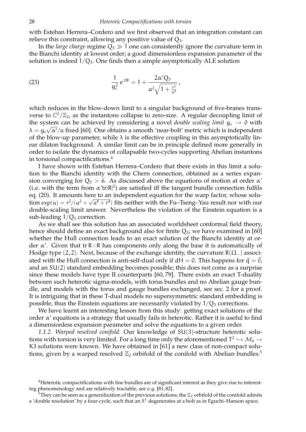with Esteban Herrera–Cordero and we first observed that an integration constant can relieve this constraint, allowing any positive value of  $Q_5$ .

In the *large charge* regime  $Q_5 \gg 1$  one can consistently ignore the curvature term in the Bianchi identity at lowest order; a good dimensionless expansion parameter of the solution is indeed  $1/Q_5$ . One finds then a simple asymptotically ALE solution

(23) 
$$
\frac{1}{g_s^2}e^{2\Phi}=1+\frac{2\alpha'Q_5}{\alpha^2\sqrt{1+\frac{r^4}{\alpha^4}}},
$$

which reduces in the blow-down limit to a singular background of five-branes transverse to  $\mathbb{C}^2/\mathbb{Z}_2$ , as the instantons collapse to zero-size. A regular decoupling limit of the system can be achieved by considering a novel *double scaling limit*  $g_s \rightarrow 0$  with  $\lambda = g_s \sqrt{\alpha'}$  a fixed [60]. One obtains a smooth 'near-bolt' metric which is independent of the blow-up parameter, while  $\lambda$  is the effective coupling in this asymptotically linear dilaton background. A similar limit can be in principle defined more generally in order to isolate the dynamics of collapsable two-cycles supporting Abelian instantons in torsional compactifications.<sup>4</sup>

I have shown with Esteban Herrera–Cordero that there exists in this limit a solution to the Bianchi identity with the Chern connection, obtained as a series expansion converging for  $Q_5 > 6$ . As discussed above the equations of motion at order  $\alpha'$ (i.e. with the term from  $\alpha'$ tr $|R|^2$ ) are satisfied iff the tangent bundle connection fulfils eq. (20). It amounts here to an independent equation for the warp factor, whose solution  $\exp(u) = r^2/(\alpha^2 + \sqrt{\alpha^4 + r^4})$  fits neither with the Fu–Tseng–Yau result nor with our double-scaling limit answer. Nevertheless the violation of the Einstein equation is a sub-leading  $1/Q_5$  correction.

As we shall see this solution has an associated worldsheet conformal field theory, hence should define an exact background also for finite  $Q_5$ ; we have examined in [60] whether the Hull connection leads to an exact solution of the Bianchi identity at order  $\alpha'$ . Given that tr R∧R has components only along the base it is automatically of Hodge type  $(2, 2)$ . Next, because of the exchange identity, the curvature R $(\Omega_{-})$  associated with the Hull connection is anti-self-dual only if  $dH = 0$ . This happens for  $\vec{q} = 0$ , and an SU(2) standard embedding becomes possible; this does not come as a surprise since these models have type II counterparts [60, 79]. There exists an exact T-duality between such heterotic sigma-models, with torus bundles and no Abelian gauge bundle, and models with the torus and gauge bundles exchanged, see sec. 2 for a proof. It is intriguing that in these T-dual models no supersymmetric standard embedding is possible, thus the Einstein equations are necessarily violated by  $1/Q_5$  corrections.

We have learnt an interesting lesson from this study: getting exact solutions of the order  $\alpha'$  equations is a strategy that usually fails in heterotic. Rather it is useful to find a dimensionless expansion parameter and solve the equations to a given order.

*1.1.2. Warped resolved conifold.* Our knowledge of SU(3)-structure heterotic solutions with torsion is very limited. For a long time only the aforementioned  $T^2 \hookrightarrow M_6 \rightarrow$ <br> $\mathcal{R}^2$  solutions very linear with have abbrined in [61] a nevy slape of new commoduals. K3 solutions were known. We have obtained in [61] a new class of non-compact solutions, given by a warped resolved  $\mathbb{Z}_2$  orbifold of the conifold with Abelian bundles.<sup>5</sup>

<sup>4</sup>Heterotic compactifications with line bundles are of significant interest as they give rise to interesting phenomenology and are relatively tractable, see e.g. [81, 82].

 $5$ They can be seen as a generalization of the previous solutions; the  $\mathbb{Z}_2$  orbifold of the conifold admits a 'double resolution' by a four-cycle, such that an  $S^1$  degenerates at a bolt as in Eguchi–Hanson space.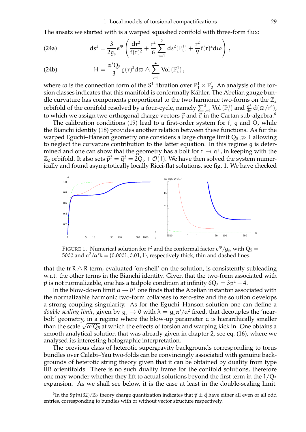The ansatz we started with is a warped squashed conifold with three-form flux:

(24a) 
$$
ds^{2} = \frac{3}{2g_{s}}e^{\Phi} \left( \frac{dr^{2}}{f(r)^{2}} + \frac{r^{2}}{6} \sum_{i=1}^{2} ds^{2}(\mathbb{P}_{i}^{1}) + \frac{r^{2}}{9} f(r)^{2} d\omega \right),
$$

(24b) 
$$
H = \frac{\alpha' Q_5}{3} g(r)^2 d\omega \wedge \sum_{i=1}^2 Vol(\mathbb{P}_i^1),
$$

where  $\varpi$  is the connection form of the S<sup>1</sup> fibration over  $\mathbb{P}^1_1 \times \mathbb{P}^1_2$ . An analysis of the torsion classes indicates that this manifold is conformally Kähler. The Abelian gauge bundle curvature has components proportional to the two harmonic two-forms on the  $\mathbb{Z}_2$ orbifold of the conifold resolved by a four-cycle, namely  $\sum_{i=1}^{2}$  Vol $(\mathbb{P}^1_i)$  and  $\frac{a^4}{4\pi}d(\varpi/r^4)$ , to which we assign two orthogonal charge vectors  $\vec{p}$  and  $\vec{q}$  in the Cartan sub-algebra.<sup>6</sup>

The calibration conditions (19) lead to a first-order system for f, q and  $\Phi$ , while the Bianchi identity (18) provides another relation between these functions. As for the warped Eguchi–Hanson geometry one considers a large charge limit  $Q_5 \gg 1$  allowing to neglect the curvature contribution to the latter equation. In this regime g is determined and one can show that the geometry has a bolt for  $r \to a^+$ , in keeping with the  $\mathbb{Z}$  existent for  $\mathbb{Z}^2$  and  $\mathbb{Z}^2$  and  $\mathbb{Z}^2$  and  $\mathbb{Z}^2$  and  $\mathbb{Z}^2$  and  $\mathbb{Z}^2$  and  $\mathbb{Z}^2$  and  $\mathbb{Z}^$  $\mathbb{Z}_2$  orbifold. It also sets  $\vec{p}^2 = \vec{q}^2 = 2Q_5 + \mathcal{O}(1)$ . We have then solved the system numerically and found asymptotically locally Ricci-flat solutions, see fig. 1. We have checked



FIGURE 1. Numerical solution for  $f^2$  and the conformal factor  $e^{\Phi}/g_s$ , with  $Q_5 =$ 5000 and  $a^2/\alpha'$ k = {0.0001, 0.01, 1}, respectively thick, thin and dashed lines.

that the tr R  $\land$  R term, evaluated 'on-shell' on the solution, is consistently subleading w.r.t. the other terms in the Bianchi identity. Given that the two-form associated with  $\vec{\rm p}$  is not normalizable, one has a tadpole condition at infinity  $6Q_5 = 3\vec{\rm p}^2 - 4.$ 

In the blow-down limit  $a \to 0^+$  one finds that the Abelian instanton associated with the normalizable harmonic two-form collapses to zero-size and the solution develops a strong coupling singularity. As for the Eguchi–Hanson solution one can define a *double scaling limit,* given by  $g_s \to 0$  with  $\lambda = g_s \alpha'/a^2$  fixed, that decouples the 'nearbolt' geometry, in a regime where the blow-up parameter a is hierarchically smaller than the scale  $\sqrt{\alpha'Q_5}$  at which the effects of torsion and warping kick in. One obtains a smooth analytical solution that was already given in chapter 2, see eq. (16), where we analysed its interesting holographic interpretation.

The previous class of heterotic supergravity backgrounds corresponding to torus bundles over Calabi–Yau two-folds can be convincingly associated with genuine backgrounds of heterotic string theory given that it can be obtained by duality from type IIB orientifolds. There is no such duality frame for the conifold solutions, therefore one may wonder whether they lift to actual solutions beyond the first term in the  $1/Q_5$ expansion. As we shall see below, it is the case at least in the double-scaling limit.

<sup>6</sup>In the Spin(32)/ $\mathbb{Z}_2$  theory charge quantization indicates that  $\vec{p} \pm \vec{q}$  have either all even or all odd entries, corresponding to bundles with or without vector structure respectively.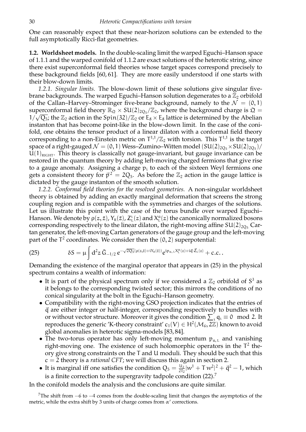One can reasonably expect that these near-horizon solutions can be extended to the full asymptotically Ricci-flat geometries.

**1.2. Worldsheet models.** In the double-scaling limit the warped Eguchi–Hanson space of 1.1.1 and the warped conifold of 1.1.2 are exact solutions of the heterotic string, since there exist superconformal field theories whose target spaces correspond precisely to these background fields [60, 61]. They are more easily understood if one starts with their blow-down limits.

*1.2.1. Singular limits.* The blow-down limit of these solutions give singular fivebrane backgrounds. The warped Eguchi–Hanson solution degenerates to a  $\mathbb{Z}_2$  orbifold of the Callan–Harvey–Strominger five-brane background, namely to the  $\mathcal{N} = \{0, 1\}$ superconformal field theory  $\mathbb{R}_{\mathfrak{Q}} \times SU(2)_{2Q_5}/\mathbb{Z}_2$ , where the background charge is  $\mathfrak{Q} =$  $1/\sqrt{Q_5}$ ; the  $\mathbb{Z}_2$  action in the Spin(32)/ $\mathbb{Z}_2$  or  $E_8 \times E_8$  lattice is determined by the Abelian instanton that has become point-like in the blow-down limit. In the case of the conifold, one obtains the tensor product of a linear dilaton with a conformal field theory corresponding to a non-Einstein metric on  $T^{1,1}/\mathbb{Z}_2$  with torsion. This  $T^{1,1}$  is the target space of a right-gauged  $\mathcal{N} = (0, 1)$  Wess–Zumino–Witten model  $(SU(2)_{2Q_5} \times SU(2)_{2Q_5})/$  $U(1)_{\text{RIGHT}}$ . This theory is classically not gauge-invariant, but gauge invariance can be restored in the quantum theory by adding left-moving charged fermions that give rise to a gauge anomaly. Assigning a charge  $p_i$  to each of the sixteen Weyl fermions one gets a consistent theory for  $\vec{p}^2 = 2Q_5$ . As before the  $\mathbb{Z}_2$  action in the gauge lattice is dictated by the gauge instanton of the smooth solution.

*1.2.2. Conformal field theories for the resolved geometries.* A non-singular worldsheet theory is obtained by adding an exactly marginal deformation that screens the strong coupling region and is compatible with the symmetries and charges of the solutions. Let us illustrate this point with the case of the torus bundle over warped Eguchi– Hanson. We denote by  $\rho(z,\bar{z})$ ,  $Y_{\rm R}(\bar{z})$ ,  $Z_{\rm L}^{\rm \iota}(z)$  and  $X_{\rm L}^{\rm \alpha}(z)$  the canonically normalized bosons corresponding respectively to the linear dilaton, the right-moving affine  $SU(2)_{205}$  Cartan generator, the left-moving Cartan generators of the gauge group and the left-moving part of the T<sup>2</sup> coordinates. We consider then the  $(0, 2)$  superpotential:

(25) 
$$
\delta S = \mu \int d^2 z \, \bar{G}_{-1/2} e^{-\sqrt{2Q_5}(\rho(z,\bar{z}) + iY_R(\bar{z}))} e^{ip_{\alpha,L}X^{\alpha}_L(z) + i\vec{q}\cdot\vec{Z}_L(z)} + c.c.
$$

Demanding the existence of the marginal operator that appears in (25) in the physical spectrum contains a wealth of information:

- It is part of the physical spectrum only if we considered a  $\mathbb{Z}_2$  orbifold of  $S^3$  as it belongs to the corresponding twisted sector; this mirrors the conditions of no conical singularity at the bolt in the Eguchi–Hanson geometry.
- Compatibility with the right-moving GSO projection indicates that the entries of  $\vec{q}$  are either integer or half-integer, corresponding respectively to bundles with or without vector structure. Moreover it gives the condition  $\sum_i q_i \equiv 0 \mod 2$ . It reproduces the generic 'K-theory constraint'  $c_1(V) \in H^2(\mathcal{M}_6, 2\mathbb{Z})$  known to avoid global anomalies in heterotic sigma-models [83, 84].
- The two-torus operator has only left-moving momentum  $p_{a,L}$  and vanishing right-moving one. The existence of such holomorphic operators in the  $T^2$  theory give strong constraints on the T and U moduli. They should be such that this c = 2 theory is a *rational CFT*; we will discuss this again in section 2.
- It is marginal iff one satisfies the condition  $Q_5 = \frac{U_2}{2T_2}$  $\frac{\mathrm{u}_2}{\mathrm{2T_2}}|w^1+\mathrm{T}\,w^2|^2+\vec{\mathsf{q}}^2-1$ , which is a finite correction to the supergravity tadpole condition  $(22)$ .<sup>7</sup>

In the conifold models the analysis and the conclusions are quite similar.

<sup>7</sup>The shift from  $-6$  to  $-4$  comes from the double-scaling limit that changes the asymptotics of the metric, while the extra shift by 3 units of charge comes from  $\alpha'$  corrections.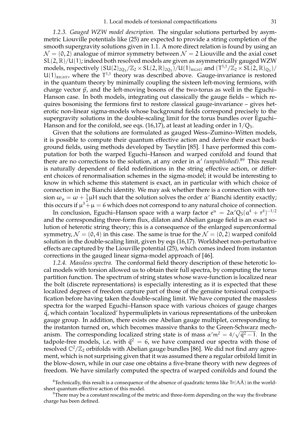*1.2.3. Gauged WZW model description.* The singular solutions perturbed by asymmetric Liouville potentials like (25) are expected to provide a string completion of the smooth supergravity solutions given in 1.1. A more direct relation is found by using an  $\mathcal{N} = (0, 2)$  analogue of mirror symmetry between  $\mathcal{N} = 2$  Liouville and the axial coset  $SL(2, \mathbb{R})/U(1)$ ; indeed both resolved models are given as asymmetrically gauged WZW models, respectively  $(SU(2)_{2Q_5}/\mathbb{Z}_2 \times SL(2,\mathbb{R})_{2Q_5})/U(1)_{RIGHT}$  and  $(T^{1,1}/\mathbb{Z}_2 \times SL(2,\mathbb{R})_{Q_5})/U(1)_{RIGHT}$  $U(1)_{\text{RIGHT}}$ , where the  $T^{1,1}$  theory was described above. Gauge-invariance is restored in the quantum theory by minimally coupling the sixteen left-moving fermions, with charge vector  $\vec{p}$ , and the left-moving bosons of the two-torus as well in the Eguchi– Hanson case. In both models, integrating out classically the gauge fields – which requires bosonising the fermions first to restore classical gauge-invariance – gives heterotic non-linear sigma-models whose background fields correspond precisely to the supergravity solutions in the double-scaling limit for the torus bundles over Eguchi– Hanson and for the conifold, see eqs. (16,17), at least at leading order in  $1/Q_5$ .

Given that the solutions are formulated as gauged Wess–Zumino–Witten models, it is possible to compute their quantum effective action and derive their exact background fields, using methods developed by Tseytlin [85]. I have performed this computation for both the warped Eguchi–Hanson and warped conifold and found that there are no corrections to the solution, at any order in  $\alpha'$  (unpublished).<sup>89</sup> This result is naturally dependent of field redefinitions in the string effective action, or different choices of renormalisation schemes in the sigma-model; it would be interesting to know in which scheme this statement is exact, an in particular with which choice of connection in the Bianchi identity. We may ask whether there is a connection with torsion  $\omega_{\mu} = \omega + \frac{1}{2}$  $\frac{1}{2}$ μH such that the solution solves the order α' Bianchi identity exactly; this occurs if  $\mu^3 + \mu = 6$  which does not correspond to any natural choice of connection.

In conclusion, Eguchi–Hanson space with a warp factor  $e^u\,=\,2\alpha'Q_5(a^4+r^4)^{-1/2}$ and the corresponding three-form flux, dilaton and Abelian gauge field is an exact solution of heterotic string theory; this is a consequence of the enlarged superconformal symmetry,  $\mathcal{N} = (0, 4)$  in this case. The same is true for the  $\mathcal{N} = (0, 2)$  warped conifold solution in the double-scaling limit, given by eqs (16,17). Worldsheet non-perturbative effects are captured by the Liouville potential (25), which comes indeed from instanton corrections in the gauged linear sigma-model approach of [46].

*1.2.4. Massless spectra.* The conformal field theory description of these heterotic local models with torsion allowed us to obtain their full spectra, by computing the torus partition function. The spectrum of string states whose wave-function is localized near the bolt (discrete representations) is especially interesting as it is expected that these localized degrees of freedom capture part of those of the genuine torsional compactification before having taken the double-scaling limit. We have computed the massless spectra for the warped Eguchi–Hanson space with various choices of gauge charges  $\vec{q}$ , which contain 'localized' hypermuliplets in various representations of the unbroken gauge group. In addition, there exists one Abelian gauge multiplet, corresponding to the instanton turned on, which becomes massive thanks to the Green-Schwarz mechanism. The corresponding localized string state is of mass  $\alpha'm^2 = 4/\sqrt{\vec{q}^2-1}$ . In the tadpole-free models, i.e. with  $\vec{q}^2 = 6$ , we have compared our spectra with those of resolved  $\mathbb{C}^2/\mathbb{Z}_2$  orbifolds with Abelian gauge bundles [86]. We did not find any agreement, which is not surprising given that it was assumed there a regular orbifold limit in the blow-down, while in our case one obtains a five-brane theory with new degrees of freedom. We have similarly computed the spectra of warped conifolds and found the

<sup>&</sup>lt;sup>8</sup>Technically, this result is a consequence of the absence of quadratic terms like  $Tr(A\overline{A})$  in the worldsheet quantum effective action of this model.

<sup>&</sup>lt;sup>9</sup>There may be a constant rescaling of the metric and three-form depending on the way the fivebrane charge has been defined.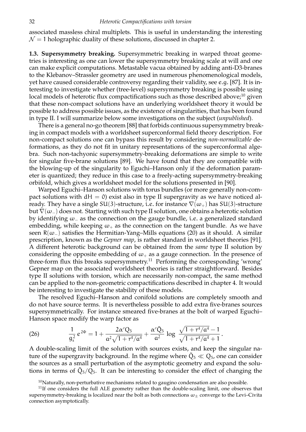associated massless chiral multiplets. This is useful in understanding the interesting  $\mathcal{N} = 1$  holographic duality of these solutions, discussed in chapter 2.

**1.3. Supersymmetry breaking.** Supersymmetric breaking in warped throat geometries is interesting as one can lower the supersymmetry breaking scale at will and one can make explicit computations. Metastable vacua obtained by adding anti-D3-branes to the Klebanov–Strassler geometry are used in numerous phenomenological models, yet have caused considerable controversy regarding their validity, see e.g. [87]. It is interesting to investigate whether (tree-level) supersymmetry breaking is possible using local models of heterotic flux compactifications such as those described above; $^{10}$  given that these non-compact solutions have an underlying worldsheet theory it would be possible to address possible issues, as the existence of singularities, that has been found in type II. I will summarize below some investigations on the subject (*unpublished*).

There is a general no-go theorem [88] that forbids continuous supersymmetry breaking in compact models with a worldsheet superconformal field theory description. For non-compact solutions one can bypass this result by considering *non-normalizable* deformations, as they do not fit in unitary representations of the superconformal algebra. Such non-tachyonic supersymmetry-breaking deformations are simple to write for singular five-brane solutions [89]. We have found that they are compatible with the blowing-up of the singularity to Eguchi–Hanson only if the deformation parameter is quantized; they reduce in this case to a freely-acting supersymmetry-breaking orbifold, which gives a worldsheet model for the solutions presented in [90].

Warped Eguchi–Hanson solutions with torus bundles (or more generally non-compact solutions with  $dH = 0$ ) exist also in type II supergravity as we have noticed already. They have a single SU(3)-structure, i.e. for instance  $\nabla(\omega_+)$  has SU(3)-structure but ∇(ω−) does not. Starting with such type II solution, one obtains a heterotic solution by identifying  $\omega_-\$  as the connection on the gauge bundle, i.e. a generalized standard embedding, while keeping  $\omega_+$  as the connection on the tangent bundle. As we have seen  $R(\omega_{-})$  satisfies the Hermitian-Yang–Mills equations (20) as it should. A similar prescription, known as the *Gepner map*, is rather standard in worldsheet theories [91]. A different heterotic background can be obtained from the *same* type II solution by considering the opposite embedding of  $\omega_+$  as a gauge connection. In the presence of three-form flux this breaks supersymmetry.<sup>11</sup> Performing the corresponding 'wrong' Gepner map on the associated worldsheet theories is rather straightforward. Besides type II solutions with torsion, which are necessarily non-compact, the same method can be applied to the non-geometric compactifications described in chapter 4. It would be interesting to investigate the stability of these models.

The resolved Eguchi–Hanson and conifold solutions are completely smooth and do not have source terms. It is nevertheless possible to add extra five-branes sources supersymmetrically. For instance smeared five-branes at the bolt of warped Eguchi– Hanson space modify the warp factor as

(26) 
$$
\frac{1}{g_s^2} e^{2\Phi} = 1 + \frac{2\alpha'Q_5}{\alpha^2 \sqrt{1 + r^4/\alpha^4}} + \frac{\alpha' \tilde{Q}_5}{\alpha^2} \log \frac{\sqrt{1 + r^4/\alpha^4} - 1}{\sqrt{1 + r^4/\alpha^4} + 1}.
$$

A double-scaling limit of the solution with sources exists, and keep the singular nature of the supergravity background. In the regime where  $\tilde{Q}_5 \ll Q_5$ , one can consider the sources as a small perturbation of the asymptotic geometry and expand the solutions in terms of  $\tilde{Q}_5/Q_5$ . It can be interesting to consider the effect of changing the

 $10$ Naturally, non-perturbative mechanisms related to gaugino condensation are also possible.

 $11$ If one considers the full ALE geometry rather than the double-scaling limit, one observes that supersymmetry-breaking is localized near the bolt as both connections  $\omega_{\pm}$  converge to the Levi–Civita connection asymptotically.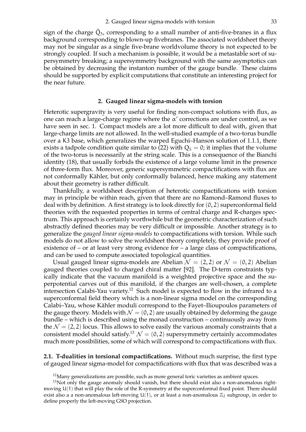sign of the charge  $\tilde{Q}_5$ , corresponding to a small number of anti-five-branes in a flux background corresponding to blown-up fivebranes. The associated worldsheet theory may not be singular as a single five-brane worldvolume theory is not expected to be strongly coupled. If such a mechanism is possible, it would be a metastable sort of supersymmetry breaking; a supersymmetry background with the same asymptotics can be obtained by decreasing the instanton number of the gauge bundle. These claims should be supported by explicit computations that constitute an interesting project for the near future.

#### **2. Gauged linear sigma-models with torsion**

Heterotic supergravity is very useful for finding non-compact solutions with flux, as one can reach a large-charge regime where the  $\alpha'$  corrections are under control, as we have seen in sec. 1. Compact models are a lot more difficult to deal with, given that large-charge limits are not allowed. In the well-studied example of a two-torus bundle over a K3 base, which generalizes the warped Eguchi–Hanson solution of 1.1.1, there exists a tadpole condition quite similar to (22) with  $Q_5 = 0$ ; it implies that the volume of the two-torus is necessarily at the string scale. This is a consequence of the Bianchi identity (18), that usually forbids the existence of a large volume limit in the presence of three-form flux. Moreover, generic supersymmetric compactifications with flux are not conformally Kähler, but only conformally balanced, hence making any statement about their geometry is rather difficult.

Thankfully, a worldsheet description of heterotic compactifications with torsion may in principle be within reach, given that there are no Ramond–Ramond fluxes to deal with by definition. A first strategy is to look directly for  $(0, 2)$  superconformal field theories with the requested properties in terms of central charge and R-charges spectrum. This approach is certainly worthwhile but the geometric characterization of such abstractly defined theories may be very difficult or impossible. Another strategy is to generalize the *gauged linear sigma-models* to compactifications with torsion. While such models do not allow to solve the worldsheet theory completely, they provide proof of existence of – or at least very strong evidence for – a large class of compactifications, and can be used to compute associated topological quantities.

Usual gauged linear sigma-models are Abelian  $\mathcal{N} = (2, 2)$  or  $\mathcal{N} = (0, 2)$  Abelian gauged theories coupled to charged chiral matter [92]. The D-term constraints typically indicate that the vacuum manifold is a weighted projective space and the superpotential carves out of this manifold, if the charges are well-chosen, a complete intersection Calabi-Yau variety.<sup>12</sup> Such model is expected to flow in the infrared to a superconformal field theory which is a non-linear sigma model on the corresponding Calabi–Yau, whose Kahler moduli correspond to the Fayet–Ilioupoulos parameters of ¨ the gauge theory. Models with  $\mathcal{N} = (0, 2)$  are usually obtained by deforming the gauge bundle – which is described using the monad construction – continuously away from the  $\mathcal{N} = (2, 2)$  locus. This allows to solve easily the various anomaly constraints that a consistent model should satisfy.<sup>13</sup>  $\mathcal{N} = (0, 2)$  supersymmetry certainly accommodates much more possibilities, some of which will correspond to compactifications with flux.

**2.1. T-dualities in torsional compactifications.** Without much surprise, the first type of gauged linear sigma-model for compactifications with flux that was described was a

 $12$ Many generalizations are possible, such as more general toric varieties as ambient spaces.

 $13$ Not only the gauge anomaly should vanish, but there should exist also a non-anomalous rightmoving U(1) that will play the role of the R-symmetry at the superconformal fixed point. There should exist also a a non-anomalous left-moving  $U(1)$ , or at least a non-anomalous  $\mathbb{Z}_2$  subgroup, in order to define properly the left-moving GSO projection.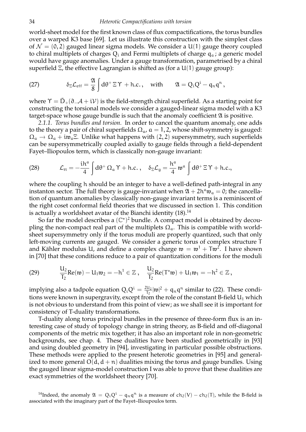world-sheet model for the first known class of flux compactifications, the torus bundles over a warped K3 base [69]. Let us illustrate this construction with the simplest class of  $\mathcal{N} = (0, 2)$  gauged linear sigma models. We consider a U(1) gauge theory coupled to chiral multiplets of charges  $Q_i$  and Fermi multiplets of charge  $q_a$ ; a generic model would have gauge anomalies. Under a gauge transformation, parametrised by a chiral superfield  $\Xi$ , the effective Lagrangian is shifted as (for a U(1) gauge group):

(27) 
$$
\delta_{\Xi}\mathcal{L}_{eff}=\frac{\mathfrak{A}}{8}\int d\theta^+\Xi\Upsilon + \text{h.c.}, \text{ with } \mathfrak{A}=Q_iQ^i-q_nq^n,
$$

where  $\Upsilon = \bar{D}_{+}(\partial_{-}A + iV)$  is the field-strength chiral superfield. As a starting point for constructing the torsional models we consider a gauged-linear sigma model with a K3 target-space whose gauge bundle is such that the anomaly coefficient  $\mathfrak A$  is positive.

*2.1.1. Torus bundles and torsion.* In order to cancel the quantum anomaly, one adds to the theory a pair of chiral superfields  $\Omega_{\alpha}$ ,  $\alpha = 1, 2$ , whose shift-symmetry is gauged:  $\Omega_a \to \Omega_a + i \mathfrak{w}_a$  =. Unlike what happens with (2, 2) supersymmetry, such superfields can be supersymmetrically coupled axially to gauge fields through a field-dependent Fayet–Iliopoulos term, which is classically non-gauge invariant:

(28) 
$$
\mathcal{L}_{FI} = -\frac{i h^a}{4} \int d\theta^+ \Omega_a \Upsilon + h.c. , \quad \delta_{\Xi} \mathcal{L}_g = \frac{h^a}{4} \mathfrak{w}^a \int d\theta^+ \Xi \Upsilon + h.c.,
$$

where the coupling h should be an integer to have a well-defined path-integral in any instanton sector. The full theory is gauge-invariant when  $\mathfrak{A} + 2h^a \mathfrak{w}_a = 0$ ; the cancellation of quantum anomalies by classically non-gauge invariant terms is a reminiscent of the right coset conformal field theories that we discussed in section 1. This condition is actually a worldsheet avatar of the Bianchi identity  $(18).^{14}$ 

So far the model describes a  $(\mathbb{C}^*)^2$  bundle. A compact model is obtained by decoupling the non-compact real part of the multiplets  $\Omega_{a}$ . This is compatible with worldsheet supersymmetry only if the torus moduli are properly quantized, such that only left-moving currents are gauged. We consider a generic torus of complex structure T and Kähler modulus U, and define a complex charge  $\mathfrak{w} = \mathfrak{w}^1 + \mathsf{Tw}^2$ . I have shown in [70] that these conditions reduce to a pair of quantization conditions for the moduli

(29) 
$$
\frac{U_2}{T_2}Re(\mathfrak{w}) - U_1 \mathfrak{w}_2 = -h^1 \in \mathbb{Z} , \quad \frac{U_2}{T_2}Re(T^{\star}\mathfrak{w}) + U_1 \mathfrak{w}_1 = -h^2 \in \mathbb{Z} ,
$$

implying also a tadpole equation  $Q_iQ^i = \frac{2U_2}{T_2}$  $\frac{2\ln 2}{\ln 2}|\mathfrak{w}|^2 + \mathfrak{q}_n\mathfrak{q}^n$  similar to (22). These conditions were known in supergravity, except from the role of the constant B-field  $U_1$  which is not obvious to understand from this point of view; as we shall see it is important for consistency of T-duality transformations.

T-duality along torus principal bundles in the presence of three-form flux is an interesting case of study of topology change in string theory, as B-field and off-diagonal components of the metric mix together; it has also an important role in non-geometric backgrounds, see chap. 4. These dualities have been studied geometrically in [93] and using doubled geometry in [94], investigating in particular possible obstructions. These methods were applied to the present heterotic geometries in [95] and generalized to more general  $O(d, d + n)$  dualities mixing the torus and gauge bundles. Using the gauged linear sigma-model construction I was able to prove that these dualities are exact symmetries of the worldsheet theory [70].

<sup>14</sup>Indeed, the anomaly  $\mathfrak{A} = Q_i Q^i - q_n q^n$  is a measure of  $ch_2(V) - ch_2(T)$ , while the B-field is associated with the imaginary part of the Fayet–Ilioupoulos term.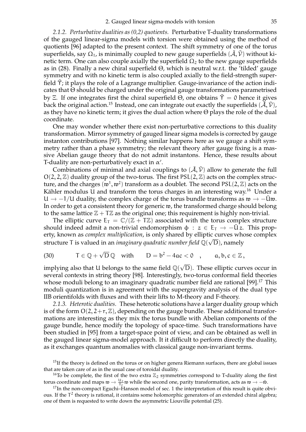*2.1.2. Perturbative dualities as (0,2) quotients.* Perturbative T-duality transformations of the gauged linear-sigma models with torsion were obtained using the method of quotients [96] adapted to the present context. The shift symmetry of one of the torus superfields, say  $\Omega_1$ , is minimally coupled to new gauge superfields  $(\tilde{\mathcal{A}}, \tilde{\mathcal{V}})$  without kinetic term. One can also couple axially the superfield  $\Omega_2$  to the new gauge superfields as in (28). Finally a new chiral superfield Θ, which is neutral w.r.t. the 'tilded' gauge symmetry and with no kinetic term is also coupled axially to the field-strength superfield  $\tilde{\gamma}$ ; it plays the role of a Lagrange multiplier. Gauge-invariance of the action indicates that Θ should be charged under the original gauge transformations parametrised by Ξ. If one integrates first the chiral superfield  $\Theta$ , one obtains  $\tilde{\Upsilon} = 0$  hence it gives back the original action.<sup>15</sup> Instead, one can integrate out exactly the superfields  $(\tilde{\mathcal{A}}, \tilde{\mathcal{V}})$ , as they have no kinetic term; it gives the dual action where Θ plays the role of the dual coordinate.

One may wonder whether there exist non-perturbative corrections to this duality transformation. Mirror symmetry of gauged linear sigma models is corrected by gauge instanton contributions [97]. Nothing similar happens here as we gauge a shift symmetry rather than a phase symmetry; the relevant theory after gauge fixing is a massive Abelian gauge theory that do not admit instantons. Hence, these results about T-duality are non-perturbatively exact in  $\alpha'$ .

Combinations of minimal and axial couplings to  $(\tilde{A}, \tilde{V})$  allow to generate the full  $O(2, 2, \mathbb{Z})$  duality group of the two-torus. The first  $PSL(2, \mathbb{Z})$  acts on the complex structure, and the charges  $(\mathfrak{w}^1, \mathfrak{w}^2)$  transform as a doublet. The second PSL(2,  $\mathbb{Z}$ ) acts on the Kähler modulus U and transform the torus charges in an interesting way.<sup>16</sup> Under a U  $\rightarrow$  -1/U duality, the complex charge of the torus bundle transforms as  $\mathfrak{w} \rightarrow -\bar{U}\mathfrak{w}$ . In order to get a consistent theory for generic w, the transformed charge should belong to the same lattice  $\mathbb{Z} + T\mathbb{Z}$  as the original one; this requirement is highly non-trivial.

The elliptic curve  $E_T = \mathbb{C}/(\mathbb{Z} + T\mathbb{Z})$  associated with the torus complex structure should indeed admit a non-trivial endomorphism  $\phi : z \in E_I \rightarrow -\bar{U}z$ . This property, known as *complex multiplication*, is only shared by elliptic curves whose complex structure T is valued in an *imaginary quadratic number field* Q( √ D), namely

(30) 
$$
T \in \mathbb{Q} + \sqrt{D} \mathbb{Q}
$$
 with  $D = b^2 - 4ac < 0$ ,  $a, b, c \in \mathbb{Z}$ ,

implying also that U belongs to the same field  $\mathbb{Q}(\sqrt{D}).$  These elliptic curves occur in several contexts in string theory [98]. Interestingly, two-torus conformal field theories whose moduli belong to an imaginary quadratic number field are rational [99].<sup>17</sup> This moduli quantization is in agreement with the supergravity analysis of the dual type IIB orientifolds with fluxes and with their lifts to M-theory and F-theory.

*2.1.3. Heterotic dualities.* These heterotic solutions have a larger duality group which is of the form  $O(2, 2+r, \mathbb{Z})$ , depending on the gauge bundle. These additional transformations are interesting as they mix the torus bundle with Abelian components of the gauge bundle, hence modify the topology of space-time. Such transformations have been studied in [95] from a target-space point of view, and can be obtained as well in the gauged linear sigma-model approach. It it difficult to perform directly the duality, as it exchanges quantum anomalies with classical gauge non-invariant terms.

<sup>&</sup>lt;sup>15</sup>If the theory is defined on the torus or on higher genera Riemann surfaces, there are global issues that are taken care of as in the usual case of toroidal duality.

<sup>&</sup>lt;sup>16</sup>To be complete, the first of the two extra  $\mathbb{Z}_2$  symmetries correspond to T-duality along the first torus coordinate and maps  $\mathfrak{w} \to \frac{\mathfrak{u}_2}{\mathfrak{f}_2} \mathfrak{w}$  while the second one, parity transformation, acts as  $\mathfrak{w} \to -\bar{\mathfrak{w}}$ .

 $17$ In the non-compact Eguchi–Hanson model of sec. 1 the interpretation of this result is quite obvious. If the  $T^2$  theory is rational, it contains some holomorphic generators of an extended chiral algebra; one of them is requested to write down the asymmetric Liouville potential (25).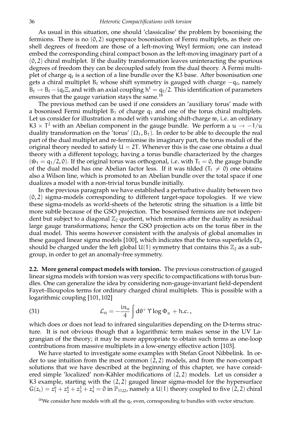#### 36 *Heterotic Compactifications with torsion*

As usual in this situation, one should 'classicalise' the problem by bosonising the fermions. There is no  $(0, 2)$  superspace bosonisation of Fermi multiplets, as their onshell degrees of freedom are those of a left-moving Weyl fermion; one can instead embed the corresponding chiral compact boson as the left-moving imaginary part of a  $(0, 2)$  chiral multiplet. If the duality transformation leaves uninteracting the spurious degrees of freedom they can be decoupled safely from the dual theory. A Fermi multiplet of charge  $\mathfrak{q}_\ell$  is a section of a line bundle over the K3 base. After bosonisation one gets a chiral multiplet B $_\ell$  whose shift symmetry is gauged with charge  $-q_\ell$ , namely  $B_\ell \to B_\ell - i q_\ell \Xi$ , and with an axial coupling  $h^\ell = q_\ell/2$ . This identification of parameters ensures that the gauge variation stays the same.<sup>18</sup>

The previous method can be used if one considers an 'auxiliary torus' made with a bosonised Fermi multiplet  $B_1$  of charge  $q_1$  and one of the torus chiral multiplets. Let us consider for illustration a model with vanishing shift-charge w, i.e. an ordinary K3  $\times$  T<sup>2</sup> with an Abelian component in the gauge bundle. We perform a u  $\rightarrow$  -1/u duality transformation on the 'torus'  $(\Omega_1, B_1)$ . In order to be able to decouple the real part of the dual multiplet and re-fermionise its imaginary part, the torus moduli of the original theory needed to satisfy  $U = 2T$ . Whenever this is the case one obtains a dual theory with a different topology, having a torus bundle characterized by the charges  $(\tilde{w}_1 = q_1/2, 0)$ . If the original torus was orthogonal, i.e. with  $T_1 = 0$ , the gauge bundle of the dual model has one Abelian factor less. If it was tilded  $(T_1 \neq 0)$  one obtains also a Wilson line, which is promoted to an Abelian bundle over the total space if one dualizes a model with a non-trivial torus bundle initially.

In the previous paragraph we have established a perturbative duality between two  $(0, 2)$  sigma-models corresponding to different target-space topologies. If we view these sigma-models as world-sheets of the heterotic string the situation is a little bit more subtle because of the GSO projection. The bosonised fermions are not independent but subject to a diagonal  $\mathbb{Z}_2$  quotient, which remains after the duality as residual large gauge transformations; hence the GSO projection acts on the torus fiber in the dual model. This seems however consistent with the analysis of global anomalies in these gauged linear sigma models [100], which indicates that the torus superfields  $\Omega_a$ should be charged under the left global  $U(1)$  symmetry that contains this  $\mathbb{Z}_2$  as a subgroup, in order to get an anomaly-free symmetry.

**2.2. More general compact models with torsion.** The previous construction of gauged linear sigma models with torsion was very specific to compactifications with torus bundles. One can generalize the idea by considering non-gauge-invariant field-dependent Fayet–Ilioupolos terms for ordinary charged chiral multiplets. This is possible with a logarithmic coupling [101, 102]

(31) 
$$
\mathcal{L}_{\text{FI}} = -\frac{\text{i}n_a}{4} \int d\theta^+ \gamma \log \Phi_a + \text{h.c.},
$$

which does or does not lead to infrared singularities depending on the D-terms structure. It is not obvious though that a logarithmic term makes sense in the UV Lagrangian of the theory; it may be more appropriate to obtain such terms as one-loop contributions from massive multiplets in a low-energy effective action [103].

We have started to investigate some examples with Stefan Groot Nibbelink. In order to use intuition from the most common (2, 2) models, and from the non-compact solutions that we have described at the beginning of this chapter, we have considered simple 'localized' non-Kähler modifications of  $(2, 2)$  models. Let us consider a K3 example, starting with the  $(2, 2)$  gauged linear sigma-model for the hypersurface  $G(z_1) = z_1^6 + z_2^6 + z_3^3 + z_4^3 = 0$  in  $\mathbb{P}_{1122}$ , namely a U(1) theory coupled to five (2, 2) chiral

<sup>&</sup>lt;sup>18</sup>We consider here models with all the  $q_\ell$  even, corresponding to bundles with vector structure.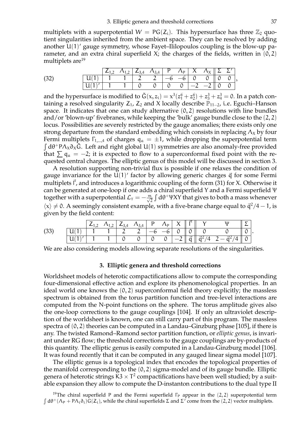multiplets with a superpotential  $W = PG(Z_i)$ . This hypersurface has three  $\mathbb{Z}_2$  quotient singularities inherited from the ambient space. They can be resolved by adding another U(1)' gauge symmetry, whose Fayet-Ililopoulos coupling is the blow-up parameter, and an extra chiral superfield X; the charges of the fields, written in  $(0, 2)$ multiplets are<sup>19</sup>

|      |                                               |  | $ Z_{1,2} \wedge_{1,2}  Z_{3,4} \wedge_{3,4}  P \wedge_{P}  X \wedge_{X}  \Sigma \Sigma'$ |  |  |  |  |
|------|-----------------------------------------------|--|-------------------------------------------------------------------------------------------|--|--|--|--|
| (32) | $ U(1) $ 1 1 2 2 $ -6$ $-6$ $ 0$ 0 $ 0$ 0 $ $ |  |                                                                                           |  |  |  |  |
|      | $U(1)'$ 1 1 0 0 0 0 $-2$ $-2$ 0 0 0           |  |                                                                                           |  |  |  |  |

and the hypersurface is modified to  $\tilde{G}(x,z_i)=x^3(z_1^6+z_2^6)+z_3^3+z_4^3=0$ . In a patch containing a resolved singularity  $Z_1$ ,  $Z_2$  and X locally describe  $\mathbb{P}_{11-2}$ , i.e. Eguchi–Hanson space. It indicates that one can study alternative  $(0, 2)$  resolutions with line bundles and/or 'blown-up' fivebranes, while keeping the 'bulk' gauge bundle close to the (2, 2) locus. Possibilities are severely restricted by the gauge anomalies; there exists only one strong departure from the standard embedding which consists in replacing  $\Lambda_X$  by four Fermi multiplets  $\Gamma_{1,\dots,4}$  of charges  $q_a = \pm 1$ , while dropping the superpotential term  $\int d\theta^+ P \Lambda_X \partial_X \tilde{G}$ . Left and right global U(1) symmetries are also anomaly-free provided that  $\sum q_{\alpha} = -2$ ; it is expected to flow to a superconformal fixed point with the requested central charges. The elliptic genus of this model will be discussed in section 3.

A resolution supporting non-trivial flux is possible if one relaxes the condition of gauge invariance for the  $U(1)'$  factor by allowing generic charges  $\vec{q}$  for some Fermi multiplets  $\vec{\Gamma}$ , and introduces a logarithmic coupling of the form (31) for X. Otherwise it can be generated at one-loop if one adds a chiral superfield Y and a Fermi superfield Ψ together with a superpotential  $\mathcal{L}_T = -\frac{m}{\sqrt{2}} \int d\theta^+ \Psi XY$  that gives to both a mass whenever  $\langle x \rangle \neq 0$ . A seemingly consistent example, with a five-brane charge equal to  $\vec{q}^2/4 - 1$ , is given by the field content:

|      |   | $\mathcal{L}$ 1 2 | $\lambda_{1,2}$ | $ Z_{3,4} \wedge_{3,4}  P \wedge_{P} $ |               | X         | $\mathsf{I}$ $\mathsf{r}$ $\mathsf{I}$ |                                                                 |  |
|------|---|-------------------|-----------------|----------------------------------------|---------------|-----------|----------------------------------------|-----------------------------------------------------------------|--|
| (33) | u |                   |                 |                                        | $-6$          |           |                                        |                                                                 |  |
|      | u |                   |                 |                                        | $\mathcal{O}$ | $-2$<br>∽ |                                        | $\parallel \vec{q} \parallel \vec{q}^2/4 \quad 2 - \vec{q}^2/4$ |  |

We are also considering models allowing separate resolutions of the singularities.

#### **3. Elliptic genera and threshold corrections**

Worldsheet models of heterotic compactifications allow to compute the corresponding four-dimensional effective action and explore its phenomenological properties. In an ideal world one knows the (0, 2) superconformal field theory explicitly; the massless spectrum is obtained from the torus partition function and tree-level interactions are computed from the N-point functions on the sphere. The torus amplitude gives also the one-loop corrections to the gauge couplings [104]. If only an ultraviolet description of the worldsheet is known, one can still carry part of this program. The massless spectra of  $(0, 2)$  theories can be computed in a Landau–Ginzburg phase [105], if there is any. The twisted Ramond–Ramond sector partition function, or *elliptic genus*, is invariant under RG flow; the threshold corrections to the gauge couplings are by-products of this quantity. The elliptic genus is easily computed in a Landau-Ginzburg model [106]. It was found recently that it can be computed in any gauged linear sigma model [107].

The elliptic genus is a topological index that encodes the topological properties of the manifold corresponding to the  $(0, 2)$  sigma-model and of its gauge bundle. Elliptic genera of heterotic strings  $K3 \times T^2$  compactifications have been well studied; by a suitable expansion they allow to compute the D-instanton contributions to the dual type II

<sup>19</sup>The chiral superfield P and the Fermi superfield  $\Gamma_P$  appear in the  $(2, 2)$  superpotential term  $\int d\theta^+ (\Lambda_P + P \Lambda_i \partial_i) \hat{G}(Z_i)$ , while the chiral superfields  $\Sigma$  and  $\Sigma'$  come from the (2, 2) vector multiplets.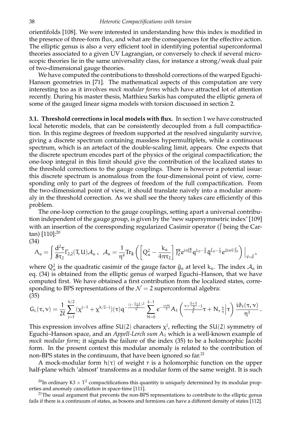orientifolds [108]. We were interested in understanding how this index is modified in the presence of three-form flux, and what are the consequences for the effective action. The elliptic genus is also a very efficient tool in identifying potential superconformal theories associated to a given UV Lagrangian, or conversely to check if several microscopic theories lie in the same universality class, for instance a strong/weak dual pair of two-dimensional gauge theories.

We have computed the contributions to threshold corrections of the warped Eguchi-Hanson geometries in [71]. The mathematical aspects of this computation are very interesting too as it involves *mock modular forms* which have attracted lot of attention recently. During his master thesis, Matthieu Sarkis has computed the elliptic genera of some of the gauged linear sigma models with torsion discussed in section 2.

**3.1. Threshold corrections in local models with flux.** In section 1 we have constructed local heterotic models, that can be consistently decoupled from a full compactification. In this regime degrees of freedom supported at the resolved singularity survive, giving a discrete spectrum containing massless hypermultiplets, while a continuous spectrum, which is an artefact of the double-scaling limit, appears. One expects that the discrete spectrum encodes part of the physics of the original compactification; the one-loop integral in this limit should give the contribution of the localized states to the threshold corrections to the gauge couplings. There is however a potential issue: this discrete spectrum is anomalous from the four-dimensional point of view, corresponding only to part of the degrees of freedom of the full compactification. From the two-dimensional point of view, it should translate naively into a modular anomaly in the threshold correction. As we shall see the theory takes care efficiently of this problem.

The one-loop correction to the gauge couplings, setting apart a universal contribution independent of the gauge group, is given by the 'new supersymmetric index' [109] with an insertion of the corresponding regularized Casimir operator  $(\vec{J})$  being the Cartan) [110]:<sup>20</sup>

$$
(34) \\ \Lambda_a = \int \frac{d^2 \tau}{8 \tau_2} \Gamma_{2,2}(\text{T},\text{U}) \mathcal{A}_a\ ,\ \ \mathcal{A}_a = \frac{1}{\eta^4} \text{Tr}_{\tilde{R}} \left( \left[ Q_a^2 - \frac{k_a}{4 \pi \tau_2} \right] \bar{J}_0^R e^{i \pi \bar{J}_0^R} q^{L_0 - \frac{5}{6}} \bar{q}^{\bar{L}_0 - \frac{1}{4}} e^{2 i \pi \vec{v} \cdot \vec{J}_0} \right) \Big|_{\vec{v} = \vec{0}},
$$

where  $Q_a^2$  is the quadratic casimir of the gauge factor  $\hat{g}_a$  at level  $k_a$ . The index  $\mathcal{A}_a$  in eq. (34) is obtained from the elliptic genus of warped Eguchi–Hanson, that we have computed first. We have obtained a first contribution from the localized states, corresponding to BPS representations of the  $\mathcal{N} = 2$  superconformal algebra: (35)

$$
G_{L}(\tau,\nu)=\frac{1}{2\ell}\sum_{j=1}^{k/2}(\chi^{j-1}+\chi^{k/2-j})(\tau)q^{-\frac{(j-\frac{\ell+1}{2})^{2}}{k}}\sum_{N=0}^{\ell-1}e^{-\frac{i\pi N}{\ell}}A_{1}\left(\tfrac{\nu+\frac{\ell+1}{2}-j}{\ell}\tau+N,\tfrac{\nu}{\tau}\Big|\tau\right)\frac{i\vartheta_{1}(\tau,\nu)}{\eta^{3}}\,.
$$

This expression involves affine SU(2) characters  $\chi^j$ , reflecting the SU(2) symmetry of Eguchi–Hanson space, and an *Appell-Lerch sum* A<sub>1</sub> which is a well-known example of *mock modular form*; it signals the failure of the index (35) to be a holomorphic Jacobi form. In the present context this modular anomaly is related to the contribution of non-BPS states in the continuum, that have been ignored so far.<sup>21</sup>

A mock-modular form  $h(\tau)$  of weight r is a holomorphic function on the upper half-plane which 'almost' transforms as a modular form of the same weight. It is such

<sup>&</sup>lt;sup>20</sup>In ordinary K3  $\times$  T<sup>2</sup> compactifications this quantity is uniquely determined by its modular properties and anomaly cancellation in space-time [111].

<sup>&</sup>lt;sup>21</sup>The usual argument that prevents the non-BPS representations to contribute to the elliptic genus fails if there is a continuum of states, as bosons and fermions can have a different density of states [112].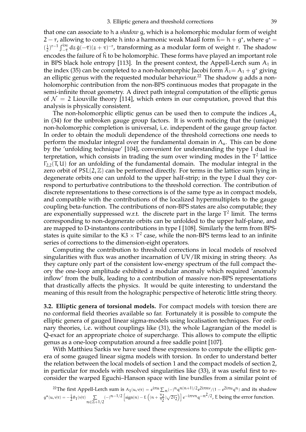that one can associate to h a *shadow* g, which is a holomorphic modular form of weight 2 — r, allowing to complete  ${\sf h}$  into a harmonic weak Maaß form  $\hat{{\sf h}} = {\sf h} + {\sf g}^\star$ , where  ${\sf g}^\star =$  $\left(\frac{1}{2}\right)$  $\frac{1}{2}$ )<sup>r-1</sup>  $\int_{-\bar{\tau}}^{i\infty}dz\,\bar{g}(-\bar{\tau})(z+\tau)^{-\tau}$ , transforming as a modular form of weight r. The shadow encodes the failure of  $\hat{h}$  to be holomorphic. These forms have played an important role in BPS black hole entropy [113]. In the present context, the Appell-Lerch sum  $A_1$  in the index (35) can be completed to a non-holomorphic Jacobi form  $\hat{A}_1 = A_1 + g^*$  giving an elliptic genus with the requested modular behaviour.<sup>22</sup> The shadow g adds a nonholomorphic contribution from the non-BPS continuous modes that propagate in the semi-infinite throat geometry. A direct path integral computation of the elliptic genus of  $\mathcal{N} = 2$  Liouville theory [114], which enters in our computation, proved that this analysis is physically consistent.

The non-holomorphic elliptic genus can be used then to compute the indices  $A_{\alpha}$ in (34) for the unbroken gauge group factors. It is worth noticing that the (unique) non-holomorphic completion is universal, i.e. independent of the gauge group factor. In order to obtain the moduli dependence of the threshold corrections one needs to perform the modular integral over the fundamental domain in  $\Lambda_a$ . This can be done by the 'unfolding technique' [104], convenient for understanding the type I dual interpretation, which consists in trading the sum over winding modes in the  $T^2$  lattice  $\Gamma_{2,2}(T, U)$  for an unfolding of the fundamental domain. The modular integral in the zero orbit of  $PSL(2, \mathbb{Z})$  can be performed directly. For terms in the lattice sum lying in degenerate orbits one can unfold to the upper half-strip; in the type I dual they correspond to perturbative contributions to the threshold correction. The contribution of discrete representations to these corrections is of the same type as in compact models, and compatible with the contributions of the localized hypermultiplets to the gauge coupling beta-function. The contributions of non-BPS states are also computable; they are exponentially suppressed w.r.t. the discrete part in the large  $T^2$  limit. The terms corresponding to non-degenerate orbits can be unfolded to the upper half-plane, and are mapped to D-instantons contributions in type I [108]. Similarly the term from BPSstates is quite similar to the  $K3 \times T^2$  case, while the non-BPS terms lead to an infinite series of corrections to the dimension-eight operators.

Computing the contribution to threshold corrections in local models of resolved singularities with flux was another incarnation of UV/IR mixing in string theory. As they capture only part of the consistent low-energy spectrum of the full compact theory the one-loop amplitude exhibited a modular anomaly which required 'anomaly inflow' from the bulk, leading to a contribution of massive non-BPS representations that drastically affects the physics. It would be quite interesting to understand the meaning of this result from the holographic perspective of heterotic little string theory.

**3.2. Elliptic genera of torsional models.** For compact models with torsion there are no conformal field theories available so far. Fortunately it is possible to compute the elliptic genera of gauged linear sigma-models using localisation techniques. For ordinary theories, i.e. without couplings like (31), the whole Lagrangian of the model is Q-exact for an appropriate choice of supercharge. This allows to compute the elliptic genus as a one-loop computation around a free saddle point [107].

With Matthieu Sarkis we have used these expressions to compute the elliptic genera of some gauged linear sigma models with torsion. In order to understand better the relation between the local models of section 1 and the compact models of section 2, in particular for models with resolved singularities like (33), it was useful first to reconsider the warped Eguchi–Hanson space with line bundles from a similar point of

<sup>22</sup>The first Appell-Lerch sum is  $A_1(u, v|\tau) = e^{i\pi u} \sum_n (-)^n q^{n(n+1)/2} e^{2i\pi nv}/(1 - e^{2i\pi u} q^n)$  and its shadow  $g^{\star}(u,v|\tau) = -\frac{i}{2}\theta_1(v|\tau)\sum_{v \in \mathbb{Z}^n}$ n∈Z+1/2  $(-)^{n-1/2}$  [sign(n) − E ((n +  $\frac{v_2}{\tau_2}$  $\left[\frac{\nu_2}{\tau_2}\right]\sqrt{2\tau_2}\Big]\Big]e^{-i\pi\nu n}q^{-n^2/2}$ , E being the error function.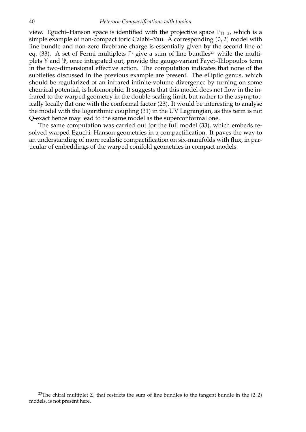view. Eguchi–Hanson space is identified with the projective space  $\mathbb{P}_{11-2}$ , which is a simple example of non-compact toric Calabi–Yau. A corresponding (0, 2) model with line bundle and non-zero fivebrane charge is essentially given by the second line of eq. (33). A set of Fermi multiplets  $\Gamma^{\rm i}$  give a sum of line bundles $^{23}$  while the multiplets Y and Ψ, once integrated out, provide the gauge-variant Fayet–Ililopoulos term in the two-dimensional effective action. The computation indicates that none of the subtleties discussed in the previous example are present. The elliptic genus, which should be regularized of an infrared infinite-volume divergence by turning on some chemical potential, is holomorphic. It suggests that this model does not flow in the infrared to the warped geometry in the double-scaling limit, but rather to the asymptotically locally flat one with the conformal factor (23). It would be interesting to analyse the model with the logarithmic coupling (31) in the UV Lagrangian, as this term is not Q-exact hence may lead to the same model as the superconformal one.

The same computation was carried out for the full model (33), which embeds resolved warped Eguchi–Hanson geometries in a compactification. It paves the way to an understanding of more realistic compactification on six-manifolds with flux, in particular of embeddings of the warped conifold geometries in compact models.

<sup>&</sup>lt;sup>23</sup>The chiral multiplet Σ, that restricts the sum of line bundles to the tangent bundle in the (2, 2) models, is not present here.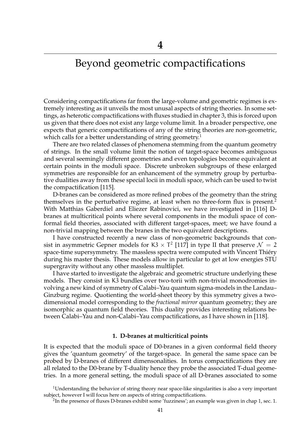## Beyond geometric compactifications

Considering compactifications far from the large-volume and geometric regimes is extremely interesting as it unveils the most unusal aspects of string theories. In some settings, as heterotic compactifications with fluxes studied in chapter 3, this is forced upon us given that there does not exist any large volume limit. In a broader perspective, one expects that generic compactifications of any of the string theories are non-geometric, which calls for a better understanding of string geometry.<sup>1</sup>

There are two related classes of phenomena stemming from the quantum geometry of strings. In the small volume limit the notion of target-space becomes ambiguous and several seemingly different geometries and even topologies become equivalent at certain points in the moduli space. Discrete unbroken subgroups of these enlarged symmetries are responsible for an enhancement of the symmetry group by perturbative dualities away from these special locii in moduli space, which can be used to twist the compactification [115].

D-branes can be considered as more refined probes of the geometry than the string themselves in the perturbative regime, at least when no three-form flux is present.<sup>2</sup> With Matthias Gaberdiel and Eliezer Rabinovici, we have investigated in [116] Dbranes at multicritical points where several components in the moduli space of conformal field theories, associated with different target-spaces, meet; we have found a non-trivial mapping between the branes in the two equivalent descriptions.

I have constructed recently a new class of non-geometric backgrounds that consist in asymmetric Gepner models for K3  $\times$  T<sup>2</sup> [117] in type II that preserve  $\mathcal{N} = 2$ space-time supersymmetry. The massless spectra were computed with Vincent Thiéry during his master thesis. These models allow in particular to get at low energies STU supergravity without any other massless multliplet.

I have started to investigate the algebraic and geometric structure underlying these models. They consist in K3 bundles over two-torii with non-trivial monodromies involving a new kind of symmetry of Calabi–Yau quantum sigma-models in the Landau– Ginzburg regime. Quotienting the world-sheet theory by this symmetry gives a twodimensional model corresponding to the *fractional mirror* quantum geometry; they are isomorphic as quantum field theories. This duality provides interesting relations between Calabi–Yau and non-Calabi–Yau compactifications, as I have shown in [118].

#### **1. D-branes at multicritical points**

It is expected that the moduli space of D0-branes in a given conformal field theory gives the 'quantum geometry' of the target-space. In general the same space can be probed by D-branes of different dimensonalities. In torus compactifications they are all related to the D0-brane by T-duality hence they probe the associated T-dual geometries. In a more general setting, the moduli space of all D-branes associated to some

<sup>&</sup>lt;sup>1</sup>Understanding the behavior of string theory near space-like singularities is also a very important subject, however I will focus here on aspects of string compactifications.

 $^2$ In the presence of fluxes D-branes exhibit some 'fuzziness'; an example was given in chap 1, sec. 1.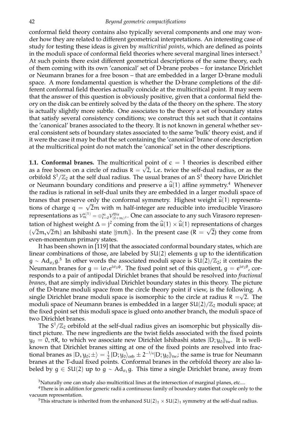conformal field theory contains also typically several components and one may wonder how they are related to different geometrical interpretations. An interesting case of study for testing these ideas is given by *multicritial points*, which are defined as points in the moduli space of conformal field theories where several marginal lines intersect.<sup>3</sup> At such points there exist different geometrical descriptions of the same theory, each of them coming with its own 'canonical' set of D-brane probes – for instance Dirichlet or Neumann branes for a free boson – that are embedded in a larger D-brane moduli space. A more fondamental question is whether the D-brane completions of the different conformal field theories actually coincide at the multicritical point. It may seem that the answer of this question is obviously positive, given that a conformal field theory on the disk can be entirely solved by the data of the theory on the sphere. The story is actually slightly more subtle. One associates to the theory a set of boundary states that satisfy several consistency conditions; we construct this set such that it contains the 'canonical' branes associated to the theory. It is not known in general whether several consistent sets of boundary states associated to the same 'bulk' theory exist, and if it were the case it may be that the set containing the 'canonical' brane of one description at the multicritical point do not match the 'canonical' set in the other descriptions.

**1.1. Conformal branes.** The multicritical point of  $c = 1$  theories is described either as a free boson on a circle of radius  $R = \sqrt{2}$ , i.e. twice the self-dual radius, or as the orbifold  $S^1/\mathbb{Z}_2$  at the self dual radius. The usual branes of an  $S^1$  theory have Dirichlet or Neumann boundary conditions and preserve a  $\hat{u}(1)$  affine symmetry.<sup>4</sup> Whenever the radius is rational in self-dual units they are embedded in a larger moduli space of branes that preserve only the conformal symmetry. Highest weight  $\hat{u}(1)$  representations of charge  $q = \sqrt{2}m$  with m half-integer are reducible into irreducible Virasoro representations as  $\mathcal{V}^{\mathfrak{u}(1)}_{\mathfrak{m}}=\oplus_{\ell=0}^{\infty}\mathcal{V}^{\mathfrak{Vir}}_{(\ell+\mathfrak{m})^2}.$  One can associate to any such Virasoro representation of highest weight  $\Delta = j^2$  coming from the  $\hat{u}(1) \times \hat{u}(1)$  representations of charges  $(\sqrt{2}m, \sqrt{2}\bar{m})$  an Ishibashi state  $\ket{jm\bar{m}}$ . In the present case  $(R = \sqrt{2})$  they come from even-momentum primary states.

It has been shown in [119] that the associated conformal boundary states, which are linear combinations of those, are labeled by SU(2) elements g up to the identification  $g \sim \text{Ad}_{\sigma_3} g^{5}$  In other words the associated moduli space is  $SU(2)/\mathbb{Z}_2$ ; it contains the Neumann branes for  $g = i\sigma_1 e^{i\sigma_3 \phi}$ . The fixed point set of this quotient,  $g = e^{i\sigma_3 \theta}$ , corresponds to a pair of antipodal Dirichlet branes that should be resolved into *fractional branes*, that are simply individual Dirichlet boundary states in this theory. The picture of the D-brane moduli space from the circle theory point if view, is the following. A single Dirichlet brane moduli space is isomorphic to the circle at radius  $R = \sqrt{2}$ . The moduli space of Neumann branes is embedded in a larger  $SU(2)/\mathbb{Z}_2$  moduli space; at the fixed point set this moduli space is glued onto another branch, the moduli space of two Dirichlet branes.

The  $S^1/\mathbb{Z}_2$  orbifold at the self-dual radius gives an isomorphic but physically distinct picture. The new ingredients are the twist fields associated with the fixed points  $y_0 = 0, \pi R$ , to which we associate new Dirichlet Ishibashi states  $|D; y_0\rangle_{tw}$ . It is wellknown that Dirichlet branes sitting at one of the fixed points are resolved into fractional branes as  $|D, y_0; \pm \rangle = \frac{1}{2}$  $\frac{1}{2}$  |D; y<sub>0</sub> $\rangle$ <sub>orb</sub>  $\pm 2^{-1/4}$ |D; y<sub>0</sub> $\rangle$ <sub>tw</sub>; the same is true for Neumann branes at the T-dual fixed points. Conformal branes in the orbifold theory are also labeled by  $g \in SU(2)$  up to  $g \sim Ad_{\sigma_1} g$ . This time a single Dirichlet brane, away from

<sup>&</sup>lt;sup>3</sup>Naturally one can study also multicritical lines at the intersection of marginal planes, etc....

<sup>4</sup>There is in addition for generic radii a continuous family of boundary states that couple only to the vacuum representation.

<sup>&</sup>lt;sup>5</sup>This structure is inherited from the enhanced  $SU(2)_1 \times SU(2)_1$  symmetry at the self-dual radius.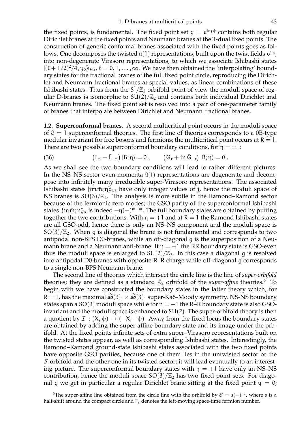the fixed points, is fundamental. The fixed point set  $g = e^{i\sigma_1 \psi}$  contains both regular Dirichlet branes at the fixed points and Neumann branes at the T-dual fixed points. The construction of generic conformal branes associated with the fixed points goes as follows. One decomposes the twisted  $\mathfrak{u}(1)$  representations, built upon the twist fields  $\sigma^{y_0}$ , into non-degenerate Virasoro representations, to which we associate Ishibashi states  $|(\ell + 1/2)^2/4, y_0\rangle_{\text{Vir}}, \ell = 0, 1, ..., \infty$ . We have then obtained the 'interpolating' bound-<br>can obtain for the fractional hypnes of the full fixed noint simile reproducing the Divish ary states for the fractional branes of the full fixed point circle, reproducing the Dirichlet and Neumann fractional branes at special values, as linear combinations of these Ishibashi states. Thus from the  $S^1/\mathbb{Z}_2$  orbifold point of view the moduli space of regular D-branes is isomorphic to  $SU(2)/\mathbb{Z}_2$  and contains both individual Dirichlet and Neumann branes. The fixed point set is resolved into a pair of one-parameter family of branes that interpolate between Dirichlet and Neumann fractional branes.

**1.2. Superconformal branes.** A second multicritical point occurs in the moduli space of  $\hat{c} = 1$  superconformal theories. The first line of theories corresponds to a 0B-type modular invariant for free bosons and fermions; the multicritical point occurs at  $R = 1$ . There are two possible superconformal boundary conditions, for  $\eta = \pm 1$ :

(36) 
$$
(L_n - \bar{L}_{-n}) |B; \eta \rangle = 0, \qquad (G_r + i\eta \bar{G}_{-r}) |B; \eta \rangle = 0.
$$

As we shall see the two boundary conditions will lead to rather different pictures. In the NS–NS sector even-momenta  $\hat{u}(1)$  representations are degenerate and decompose into infinitely many irreducible super-Virasoro representations. The associated Ishibashi states  $|j m \bar{m}$ ;  $\eta$ <sub>N<sub>NS</sub> have only integer values of j, hence the moduli space of</sub> NS branes is  $SO(3)/\mathbb{Z}_2$ . The analysis is more subtle in the Ramond–Ramond sector because of the fermionic zero modes; the GSO parity of the superconformal Ishibashi states  $|jm\bar{m};\eta\rangle_R$  is indeed  $-\eta(-)^{m-\bar{m}}$ . The full boundary states are obtained by putting together the two contributions. With  $\eta = +1$  and at  $R = 1$  the Ramond Ishibashi states are all GSO-odd, hence there is only an NS–NS component and the moduli space is  $SO(3)/\mathbb{Z}_2$ . When g is diagonal the brane is not fundamental and corresponds to two antipodal non-BPS D0-branes, while an off-diagonal g is the superposition of a Neumann brane and a Neumann anti-brane. If  $\eta = -1$  the RR boundary state is GSO-even thus the moduli space is enlarged to  $SU(2)/\mathbb{Z}_2$ . In this case a diagonal g is resolved into antipodal D0-branes with opposite R–R charge while off-diagonal g corresponds to a single non-BPS Neumann brane.

The second line of theories which intersect the circle line is the line of *super-orbifold* theories; they are defined as a standard  $\mathbb{Z}_2$  orbifold of the *super-affine* theories.<sup>6</sup> To begin with we have constructed the boundary states in the latter theory which, for  $R = 1$ , has the maximal  $\hat{\mathfrak{so}}(3)_1 \times \hat{\mathfrak{so}}(3)_1$  super-Kač–Moody symmetry. NS-NS boundary states span a SO(3) moduli space while for  $\eta = -1$  the R–R boundary state is also GSOinvariant and the moduli space is enhanced to SU(2). The super-orbifold theory is then a quotient by  $\mathcal{I}: (X, \psi) \mapsto (-X, -\psi)$ . Away from the fixed locus the boundary states are obtained by adding the super-affine boundary state and its image under the orbifold. At the fixed points infinite sets of extra super–Virasoro representations built on the twisted states appear, as well as corresponding Ishibashi states. Interestingly, the Ramond–Ramond ground-state Ishibashi states associated with the two fixed points have opposite GSO parities, because one of them lies in the untwisted sector of the S-orbifold and the other one in its twisted sector; it will lead eventually to an interesting picture. The superconformal boundary states with  $\eta = +1$  have only an NS–NS contribution, hence the moduli space  $SO(3)/\mathbb{Z}_2$  has two fixed point sets. For diagonal g we get in particular a regular Dirichlet brane sitting at the fixed point  $y = 0$ ;

<sup>6</sup>The super-affine line obtained from the circle line with the orbifold by  $S = s(-)^{F_s}$ , where s is a half-shift around the compact circle and  $F_s$  denotes the left-moving space-time fermion number.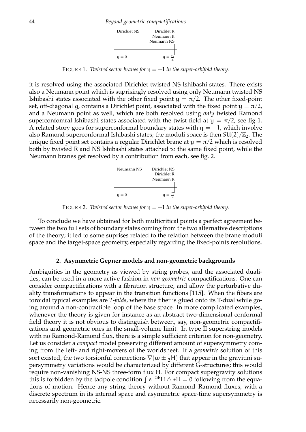

FIGURE 1. *Twisted sector branes for*  $\eta = +1$  *in the super-orbifold theory.* 

it is resolved using the associated Dirichlet twisted NS Ishibashi states. There exists also a Neumann point which is suprisingly resolved using only Neumann twisted NS Ishibashi states associated with the other fixed point  $y = \pi/2$ . The other fixed-point set, off-diagonal g, contains a Dirichlet point, associated with the fixed point  $y = \pi/2$ , and a Neumann point as well, which are both resolved using *only* twisted Ramond superconfomral Ishibashi states associated with the twist field at  $y = \pi/2$ , see fig 1. A related story goes for superconformal boundary states with  $\eta = -1$ , which involve also Ramond superconformal Ishibashi states; the moduli space is then  $SU(2)/\mathbb{Z}_2$ . The unique fixed point set contains a regular Dirichlet brane at  $y = \pi/2$  which is resolved both by twisted R and NS Ishibashi states attached to the same fixed point, while the Neumann branes get resolved by a contribution from each, see fig. 2.



FIGURE 2. *Twisted sector branes for*  $\eta = -1$  *in the super-orbifold theory.* 

To conclude we have obtained for both multicritical points a perfect agreement between the two full sets of boundary states coming from the two alternative descriptions of the theory; it led to some suprises related to the relation between the brane moduli space and the target-space geometry, especially regarding the fixed-points resolutions.

#### **2. Asymmetric Gepner models and non-geometric backgrounds**

Ambiguities in the geometry as viewed by string probes, and the associated dualities, can be used in a more active fashion in *non-geometric* compactifications. One can consider compactifications with a fibration structure, and allow the perturbative duality transformations to appear in the transition functions [115]. When the fibers are toroidal typical examples are *T-folds*, where the fiber is glued onto its T-dual while going around a non-contractible loop of the base space. In more complicated examples, whenever the theory is given for instance as an abstract two-dimensional conformal field theory it is not obvious to distinguish between, say, non-geometric compactifications and geometric ones in the small-volume limit. In type II superstring models with no Ramond-Ramond flux, there is a simple sufficient criterion for non-geometry. Let us consider a *compact* model preserving different amount of supersymmetry coming from the left- and right-movers of the worldsheet. If a *geometric* solution of this sort existed, the two torsionful connections  $\nabla(\omega \pm \frac{1}{2}H)$  that appear in the gravitini supersymmetry variations would be characterized by different G-structures; this would require non-vanishing NS-NS three-form flux H. For compact supergravity solutions this is forbidden by the tadpole condition  $\int e^{-2\Phi} H \wedge \star H = 0$  following from the equations of motion. Hence any string theory without Ramond–Ramond fluxes, with a discrete spectrum in its internal space and asymmetric space-time supersymmetry is necessarily non-geometric.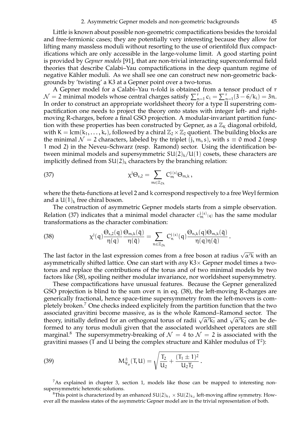Little is known about possible non-geometric compactifications besides the toroidal and free-fermionic cases; they are potentially very interesting because they allow for lifting many massless moduli without resorting to the use of orientifold flux compactifications which are only accessible in the large-volume limit. A good starting point is provided by *Gepner models* [91], that are non-trivial interacting superconformal field theories that describe Calabi–Yau compactifications in the deep quantum regime of negative Kähler moduli. As we shall see one can construct new non-geometric backgrounds by 'twisting' a K3 at a Gepner point over a two-torus.

A Gepner model for a Calabi–Yau n-fold is obtained from a tensor product of r  $\mathcal{N}=2$  minimal models whose central charges satisfy  $\sum_{n=1}^{r} c_i = \sum_{n=1}^{r} (3-6/k_i) = 3n$ . In order to construct an appropriate worldsheet theory for a type II superstring compactification one needs to project the theory onto states with integer left- and rightmoving R-charges, before a final GSO projection. A modular-invariant partition function with these properties has been constructed by Gepner, as a  $\mathbb{Z}_k$  diagonal orbifold, with K = lcm( $k_1, \ldots, k_r$ ), followed by a chiral  $\mathbb{Z}_2 \times \mathbb{Z}_2$  quotient. The building blocks are the minimal  $\mathcal{N} = 2$  characters, labeled by the triplet  $(j, m, s)$ , with  $s \equiv 0 \mod 2$  (resp 1 mod 2) in the Neveu–Schwarz (resp. Ramond) sector. Using the identification between minimal models and supersymmetric  $SU(2)_k/U(1)$  cosets, these characters are implicitly defined from  $SU(2)_k$  characters by the branching relation:

(37) 
$$
\chi^j \Theta_{s,2} = \sum_{m \in \mathbb{Z}_{2k}} C_m^{j(s)} \Theta_{m,k},
$$

where the theta-functions at level 2 and k correspond respectively to a free Weyl fermion and a  $U(1)_k$  free chiral boson.

The construction of asymmetric Gepner models starts from a simple observation. Relation (37) indicates that a minimal model character  $c_m^{j(s)}_{n(q)}$  has the same modular transformations as the character combination:

(38) 
$$
\chi^j(q)\frac{\Theta_{s,2}(q)}{\eta(q)}\frac{\Theta_{m,k}(\bar{q})}{\eta(\bar{q})}=\sum_{n\in\mathbb{Z}_{2k}}C_n^{j(s)}(q)\frac{\Theta_{n,k}(q)\Theta_{m,k}(\bar{q})}{\eta(q)\eta(\bar{q})}.
$$

The last factor in the last expression comes from a free boson at radius  $\sqrt{\alpha' k}$  with an asymmetrically shifted lattice. One can start with *any* K3× Gepner model times a twotorus and replace the contributions of the torus and of two minimal models by two factors like (38), spoiling neither modular invariance, nor worldsheet supersymmetry.

These compactifications have unusual features. Because the Gepner generalized GSO projection is blind to the sum over n in eq. (38), the left-moving R-charges are generically fractional, hence space-time supersymmetry from the left-movers is completely broken.<sup>7</sup> One checks indeed explicitely from the partition function that the two associated gravitini become massive, as is the whole Ramond–Ramond sector. The theory, initially defined for an orthogonal torus of radii  $\sqrt{\alpha' k_1}$  and  $\sqrt{\alpha' k_2}$  can be deformed to any torus moduli given that the associated worldsheet operators are still marginal.<sup>8</sup> The supersymmetry-breaking of  $\mathcal{N} = 4$  to  $\mathcal{N} = 2$  is associated with the gravitini masses (T and U being the complex structure and Kähler modulus of  $\mathrm{T}^2$ ):

(39) 
$$
M_{\Psi_{\mu}}^{\pm}(T, U) = \sqrt{\frac{T_2}{U_2} + \frac{(T_1 \pm 1)^2}{U_2 T_2}}.
$$

 $7$ As explained in chapter 3, section 1, models like those can be mapped to interesting nonsupersymmetric heterotic solutions.

<sup>8</sup>This point is characterized by an enhanced  $SU(2)_{k_1} \times SU(2)_{k_2}$  left-moving affine symmetry. However all the massless states of the asymmetric Gepner model are in the trivial representation of both.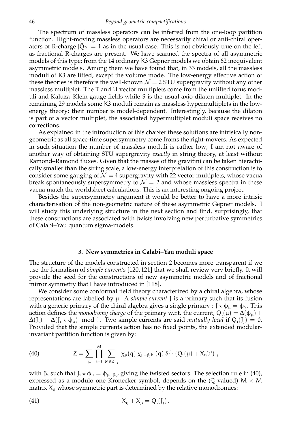The spectrum of massless operators can be inferred from the one-loop partition function. Right-moving massless operators are necessarily chiral or anti-chiral operators of R-charge  $|\bar{Q}_R| = 1$  as in the usual case. This is not obviously true on the left as fractional R-charges are present. We have scanned the spectra of all asymmetric models of this type; from the 14 ordinary K3 Gepner models we obtain 62 inequivalent asymmetric models. Among them we have found that, in 33 models, all the massless moduli of K3 are lifted, except the volume mode. The low-energy effective action of these theories is therefore the well-known  $\mathcal{N} = 2$  STU supergravity without any other massless multiplet. The T and U vector multiplets come from the unlifted torus moduli and Kaluza–Klein gauge fields while S is the usual axio-dilaton multiplet. In the remaining 29 models some K3 moduli remain as massless hypermultiplets in the lowenergy theory; their number is model-dependent. Interestingly, because the dilaton is part of a vector multiplet, the associated hypermultiplet moduli space receives no corrections.

As explained in the introduction of this chapter these solutions are intrisically nongeometric as all space-time supersymmetry come froms the right-movers. As expected in such situation the number of massless moduli is rather low; I am not aware of another way of obtaining STU supergravity *exactly* in string theory, at least without Ramond–Ramond fluxes. Given that the masses of the gravitini can be taken hierachically smaller than the string scale, a low-energy interpretation of this construction is to consider some gauging of  $\mathcal{N} = 4$  supergravity with 22 vector multiplets, whose vacua break spontaneously supersymmetry to  $\mathcal{N} = 2$  and whose massless spectra in these vacua match the worldsheet calculations. This is an interesting ongoing project.

Besides the supersymmetry argument it would be better to have a more intrisic characterisation of the non-geometric nature of these asymmetric Gepner models. I will study this underlying structure in the next section and find, surprisingly, that these constructions are associated with twists involving new perturbative symmetries of Calabi–Yau quantum sigma-models.

#### **3. New symmetries in Calabi–Yau moduli space**

The structure of the models constructed in section 2 becomes more transparent if we use the formalism of *simple currents* [120, 121] that we shall review very briefly. It will provide the seed for the constructions of new asymmetric models and of fractional mirror symmetry that I have introduced in [118].

We consider some conformal field theory characterized by a chiral algebra, whose representations are labelled by  $\mu$ . A *simple current*  $J$  is a primary such that its fusion with a generic primary of the chiral algebra gives a single primary :  $J \star \phi_{\mu} = \phi_{\nu}$ . This action defines the *monodromy charge* of the primary w.r.t. the current,  $Q_i(\mu) = \Delta(\phi_\mu) +$  $\Delta(I_1) - \Delta(I_1 \star \phi_u)$  mod 1. Two simple currents are said *mutually local* if  $Q_1(I_1) = 0$ . Provided that the simple currents action has no fixed points, the extended modularinvariant partition function is given by:

(40) 
$$
Z = \sum_{\mu} \prod_{\iota=1}^{M} \sum_{b^{\iota} \in \mathbb{Z}_{n_{\iota}}} \chi_{\mu}(q) \, \chi_{\mu+\beta_{\iota} b^{\jmath}}(\bar{q}) \, \delta^{(1)} \left( Q_{\iota}(\mu) + X_{\iota_{\jmath}} b^{\jmath} \right) ,
$$

with β<sub>ι</sub> such that J<sub>ι</sub>  $\star \phi_\mu = \phi_{\mu+\beta_1}$ , giving the twisted sectors. The selection rule in (40), expressed as a modulo one Kronecker symbol, depends on the (Q-valued)  $M \times M$ matrix  $X_{ij}$  whose symmetric part is determined by the relative monodromies:

(41) 
$$
X_{1} + X_{1} = Q_{1}(J_{1}).
$$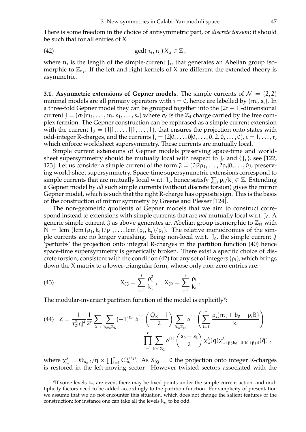There is some freedom in the choice of antisymmetric part, or *discrete torsion*; it should be such that for all entries of X

(42) 
$$
\gcd(n_i, n_j) X_{ij} \in \mathbb{Z},
$$

where  $n_i$  is the length of the simple-current  $J_i$ , that generates an Abelian group isomorphic to  $\mathbb{Z}_{n_1}$ . If the left and right kernels of X are different the extended theory is asymmetric.

**3.1. Asymmetric extensions of Gepner models.** The simple currents of  $\mathcal{N} = (2, 2)$ minimal models are all primary operators with j = 0, hence are labelled by  $(\mathfrak{m}_i, \mathfrak{s}_i)$ . In a three-fold Gepner model they can be grouped together into the  $(2r + 1)$ -dimensional current  $J = (\sigma_0 | m_1, \ldots, m_r | s_1, \ldots, s_r)$  where  $\sigma_0$  is the  $\mathbb{Z}_4$  charge carried by the free complex fermion. The Gepner construction can be rephrased as a simple current extension with the current  $J_0 = (1, 1, \ldots, 1, 1, \ldots, 1)$ , that ensures the projection onto states with odd-integer R-charges, and the currents  $J_1 = (2|0,\ldots,0|0,\ldots,0,2,0,\ldots,0)$ ,  $\iota = 1,\ldots,r$ , which enforce worldsheet supersymmetry. These currents are mutually local.

Simple current extensions of Gepner models preserving space-time and worldsheet supersymmetry should be mutually local with respect to  $J_0$  and  $\{J_t\}$ , see [122, 123]. Let us consider a simple current of the form  $\mathfrak{J} = (0|2\rho_1,\ldots,2\rho_r|0,\ldots,0)$ , preserving world-sheet supersymmetry. Space-time supersymmetric extensions correspond to simple currents that are mutually local w.r.t.  $J_0$ , hence satisfy  $\sum_i \rho_i / k_i \in \mathbb{Z}$ . Extending a Gepner model by *all* such simple currents (without discrete torsion) gives the mirror Gepner model, which is such that the right R-charge has opposite sign. This is the basis of the construction of mirror symmetry by Greene and Plesser [124].

The non-geometric quotients of Gepner models that we aim to construct correspond instead to extensions with simple currents that are *not* mutually local w.r.t.  $J_0$ . A generic simple current  $\mathfrak J$  as above generates an Abelian group isomorphic to  $\mathbb Z_N$  with  $N = \text{lcm } (\text{lcm } (\rho_1, k_1) / \rho_1, \ldots, \text{lcm } (\rho_r, k_r) / \rho_r).$  The relative monodromies of the simple currents are no longer vanishing. Being non-local w.r.t.  $J_0$ , the simple current  $\mathfrak J$ 'perturbs' the projection onto integral R-charges in the partition function (40) hence space-time supersymmetry is generically broken. There exist a specific choice of discrete torsion, consistent with the condition (42) for any set of integers  $\{\rho_i\}$ , which brings down the X matrix to a lower-triangular form, whose only non-zero entries are:

(43) 
$$
X_{\mathfrak{J}\mathfrak{J}} = \sum_{i=1}^r \frac{\rho_i^2}{k_i}, \quad X_{\mathfrak{J}\mathfrak{0}} = \sum_{i=1}^r \frac{\rho_i}{k_i}.
$$

The modular-invariant partition function of the model is explicitly $^9$ :

$$
(44) \quad Z = \frac{1}{\tau_2^2 |\eta|^4} \frac{1}{2^r} \sum_{\lambda, \mu} \sum_{b_0 \in \mathbb{Z}_K} (-1)^{b_0} \delta^{(1)}\left(\frac{Q_R - 1}{2}\right) \sum_{B \in \mathbb{Z}_N} \delta^{(1)}\left(\sum_{i=1}^r \frac{\rho_i (m_i + b_0 + \rho_i B)}{k_i}\right) \\\prod_{i=1}^r \sum_{b^i \in \mathbb{Z}_2} \delta^{(1)}\left(\frac{s_0 - s_i}{2}\right) \chi^{\lambda}_{\mu}(q) \chi^{\lambda}_{\mu + \beta_0 b_0 + \beta_j b^j + \beta_1 B}(\bar{q}),
$$

where  $\chi^{\lambda}_{\mu} = \Theta_{\sigma_0,2}/\eta \times \prod_{i=1}^{r} C_{m_i}^{j_i(s_i)}$ . As  $X_{0\mathfrak{J}} = 0$  the projection onto integer R-charges is restored in the left-moving sector. However twisted sectors associated with the

 $9$ If some levels  $k_n$  are even, there may be fixed points under the simple current action, and multiplicity factors need to be added accordingly to the partition function. For simplicity of presentation we assume that we do not encounter this situation, which does not change the salient features of the construction; for instance one can take all the levels  $k_n$  to be odd.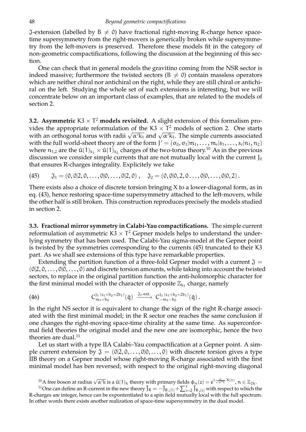$J$ -extension (labelled by B  $\neq$  0) have fractional right-moving R-charge hence spacetime supersymmetry from the right-movers is generically broken while supersymmetry from the left-movers is preserved. Therefore these models fit in the category of non-geometric compactifications, following the discussion at the beginning of this section.

One can check that in general models the gravitino coming from the NSR sector is indeed massive; furthermore the twisted sectors ( $B \neq 0$ ) contain massless operators which are neither chiral nor antichiral on the right, while they are still chiral or antichiral on the left. Studying the whole set of such extensions is interesting, but we will concentrate below on an important class of examples, that are related to the models of section 2.

**3.2. Asymmetric**  $K3 \times T^2$  **models revisited.** A slight extension of this formalism provides the appropriate reformulation of the K3  $\times$  T<sup>2</sup> models of section 2. One starts with an orthogonal torus with radii  $\sqrt{\alpha' k_1}$  and  $\sqrt{\alpha' k_1}$ . The simple currents associated with the full world-sheet theory are of the form  $J'=(\sigma_0,\sigma_1|m_1,\ldots,m_r|s_1,\ldots,s_r|n_1,n_2)$ where  $n_{1,2}$  are the  $\hat{u}(1)_{k_1} \times \hat{u}(1)_{k_2}$  charges of the two-torus theory.<sup>10</sup> As in the previous discussion we consider simple currents that are not mutually local with the current  $J_0$ that ensures R-charges integrality. Explicitely we take

(45)  $\tilde{\mathfrak{J}}_1 = (0, 0|2, 0, \ldots, 0|0, \ldots, 0|2, 0)$ ,  $\tilde{\mathfrak{J}}_2 = (0, 0|0, 2, 0 \ldots, 0|0, \ldots, 0|0, 2)$ .

There exists also a choice of discrete torsion bringing X to a lower-diagonal form, as in eq. (43), hence restoring space-time supersymmetry attached to the left-movers, while the other half is still broken. This construction reproduces precisely the models studied in section 2.

**3.3. Fractional mirror symmetry in Calabi-Yau compactifications.** The simple current reformulation of asymmetric  $K3 \times T^2$  Gepner models helps to understand the underlying symmetry that has been used. The Calabi-Yau sigma-model at the Gepner point is twisted by the symmetries corresponding to the currents (45) truncated to their K3 part. As we shall see extensions of this type have remarkable properties.

Extending the partition function of a three-fold Gepner model with a current  $\mathfrak{J} =$  $(0|2, 0, \ldots, 0|0, \ldots, 0)$  and discrete torsion amounts, while taking into account the twisted sectors, to replace in the original partition function the anti-holomorphic character for the first minimal model with the character of opposite  $\mathbb{Z}_{k_1}$  charge, namely

(46) 
$$
C_{m_1+b_0}^{j_1(s_1+b_0+2b_1)}(\bar{q}) \xrightarrow{\mathfrak{J}_1\text{-ext.}} C_{-m_1-b_0}^{j_1(s_1+b_0+2b_1)}(\bar{q}) .
$$

In the right NS sector it is equivalent to change the sign of the right R-charge associated with the first minimal model; in the R sector one reaches the same conclusion if one changes the right-moving space-time chirality at the same time. As superconformal field theories the original model and the new one are isomorphic, hence the two theories are dual.<sup>11</sup>

Let us start with a type IIA Calabi–Yau compactification at a Gepner point. A simple current extension by  $\mathfrak{J} = \{0|2, 0, \ldots, 0|0, \ldots, 0\}$  with discrete torsion gives a type IIB theory on a Gepner model whose right-moving R-charge associated with the first minimal model has ben reversed; with respect to the original right-moving diagonal

<sup>10</sup>A free boson at radius  $\sqrt{\alpha' k}$  is a  $\hat{u}(1)_k$  theory with primary fields  $\phi_n(z) = e^{i \frac{n}{\sqrt{\alpha' k}} X(z)}$ ,  $n \in \mathbb{Z}_{2k}$ .

<sup>&</sup>lt;sup>11</sup>One can define an R-current in the new theory  $\bar{J}_R = -\bar{J}_{R,(1)} + \sum_{i=2}^{r} \bar{J}_{R,(i)}^c$  with respect to which the R-charges are integer, hence can be expontentiated to a spin field mutually local with the full spectrum. In other words there exists another realization of space-time supersymmetry in the dual model.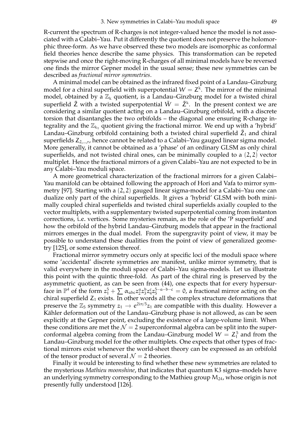R-current the spectrum of R-charges is not integer-valued hence the model is not associated with a Calabi–Yau. Put it differently the quotient does not preserve the holomorphic three-form. As we have observed these two models are isomorphic as conformal field theories hence describe the same physics. This transformation can be repeted stepwise and once the right-moving R-charges of all minimal models have be reversed one finds the mirror Gepner model in the usual sense; these new symmetries can be described as *fractional mirror symmetries*.

A minimal model can be obtained as the infrared fixed point of a Landau–Ginzburg model for a chiral superfield with superpotential  $W = \mathsf{Z}^k$ . The mirror of the minimal model, obtained by a  $\mathbb{Z}_k$  quotient, is a Landau–Ginzburg model for a twisted chiral superfield  $\tilde{Z}$  with a twisted superpotential  $\tilde{W} = \tilde{Z}^k$ . In the present context we are considering a similar quotient acting on a Landau–Ginzburg orbifold, with a discrete torsion that disantangles the two orbifolds – the diagonal one ensuring R-charge integrality and the  $\mathbb{Z}_{k_1}$  quotient giving the fractional mirror. We end up with a 'hybrid' Landau–Ginzburg orbifold containing both a twisted chiral superfield  $\tilde{Z}_1$  and chiral superfields  $Z_{2,...,r}$ , hence cannot be related to a Calabi–Yau gauged linear sigma model. More generally, it cannot be obtained as a 'phase' of an ordinary GLSM as only chiral superfields, and not twisted chiral ones, can be minimally coupled to a  $(2, 2)$  vector multiplet. Hence the fractional mirrors of a given Calabi–Yau are not expected to be in any Calabi–Yau moduli space.

A more geometrical characterization of the fractional mirrors for a given Calabi– Yau manifold can be obtained following the approach of Hori and Vafa to mirror symmetry [97]. Starting with a (2, 2) gauged linear sigma-model for a Calabi–Yau one can dualize only part of the chiral superfields. It gives a 'hybrid' GLSM with both minimally coupled chiral superfields and twisted chiral superfields axially coupled to the vector multiplets, with a supplementary twisted superpotential coming from instanton corrections, i.e. vertices. Some mysteries remain, as the role of the 'P superfield' and how the orbifold of the hybrid Landau–Ginzburg models that appear in the fractional mirrors emerges in the dual model. From the supergravity point of view, it may be possible to understand these dualities from the point of view of generalized geometry [125], or some extension thereof.

Fractional mirror symmetry occurs only at specific loci of the moduli space where some 'accidental' discrete symmetries are manifest, unlike mirror symmetry, that is valid everywhere in the moduli space of Calabi–Yau sigma-models. Let us illustrate this point with the quintic three-fold. As part of the chiral ring is preserved by the asymmetric quotient, as can be seen from (44), one expects that for every hypersurface in  $\mathbb{P}^4$  of the form  $z_1^5 + \sum_{\alpha_{abc}} \alpha_2^a z_3^b z_4^c z_5^{5-a-b-c} = 0$ , a fractional mirror acting on the chiral superfield  $Z_1$  exists. In other words all the complex structure deformations that preserve the  $\mathbb{Z}_5$  symmetry  $z_1 \to e^{2i\pi/5}z_1$  are compatible with this duality. However a<br>Kähler defermation out of the Landau Cinchurg phase is not allowed as seen be seen Kähler deformation out of the Landau–Ginzburg phase is not allowed, as can be seen explicitly at the Gepner point, excluding the existence of a large-volume limit. When these conditions are met the  $\mathcal{N} = 2$  superconformal algebra can be split into the superconformal algebra coming from the Landau–Ginzburg model  $W = Z_1^5$  and from the Landau–Ginzburg model for the other multiplets. One expects that other types of fractional mirrors exist whenever the world-sheet theory can be expressed as an orbifold of the tensor product of several  $\mathcal{N} = 2$  theories.

Finally it would be interesting to find whether these new symmetries are related to the mysterious *Mathieu moonshine*, that indicates that quantum K3 sigma–models have an underlying symmetry corresponding to the Mathieu group  $M_{24}$ , whose origin is not presently fully understood [126].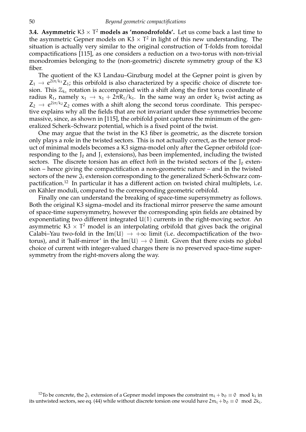**3.4.** Asymmetric  $K3 \times T^2$  models as 'monodrofolds'. Let us come back a last time to the asymmetric Gepner models on  $K3 \times T^2$  in light of this new understanding. The situation is actually very similar to the original construction of T-folds from toroidal compactifications [115], as one considers a reduction on a two-torus with non-trivial monodromies belonging to the (non-geometric) discrete symmetry group of the K3 fiber.

The quotient of the K3 Landau–Ginzburg model at the Gepner point is given by  $Z_1 \rightarrow e^{2i\pi/k_1} Z_1$ ; this orbifold is also characterized by a specific choice of discrete tor-<br>cient. This  $\mathbb{Z}$  untation is accommonial with a shift along the first terms accordinate of sion. This  $\mathbb{Z}_{k_1}$  rotation is accompanied with a shift along the first torus coordinate of radius R<sub>1</sub>, namely  $x_1 \rightarrow x_1 + 2\pi R_1/k_1$ . In the same way an order k<sub>2</sub> twist acting as  $Z_2 \rightarrow e^{2i\pi/k_2} Z_2$  comes with a shift along the second torus coordinate. This perspec-<br>tive evaluation why all the fields that are not invariant under these symmetries becomes tive explains why all the fields that are not invariant under these symmetries become massive, since, as shown in [115], the orbifold point captures the minimum of the generalized Scherk–Schwarz potential, which is a fixed point of the twist.

One may argue that the twist in the K3 fiber is geometric, as the discrete torsion only plays a role in the twisted sectors. This is not actually correct, as the tensor product of minimal models becomes a K3 sigma-model only after the Gepner orbifold (corresponding to the  $J_0$  and  $J_i$  extensions), has been implemented, including the twisted sectors. The discrete torsion has an effect *both* in the twisted sectors of the  $J_0$  extension – hence giving the compactification a non-geometric nature – and in the twisted sectors of the new  $\mathfrak{J}_i$  extension corresponding to the generalized Scherk-Schwarz compactification.<sup>12</sup> In particular it has a different action on twisted chiral multiplets, i.e. on Kähler moduli, compared to the corresponding geometric orbifold.

Finally one can understand the breaking of space-time supersymmetry as follows. Both the original K3 sigma–model and its fractional mirror preserve the same amount of space-time supersymmetry, however the corresponding spin fields are obtained by exponentiating two different integrated U(1) currents in the right-moving sector. An asymmetric  $K3 \times T^2$  model is an interpolating orbifold that gives back the original Calabi–Yau two-fold in the Im(U)  $\rightarrow +\infty$  limit (i.e. decompactification of the twotorus), and it 'half-mirror' in the Im(U)  $\rightarrow$  0 limit. Given that there exists no global choice of current with integer-valued charges there is no preserved space-time supersymmetry from the right-movers along the way.

<sup>&</sup>lt;sup>12</sup>To be concrete, the  $\mathfrak{J}_i$  extension of a Gepner model imposes the constraint  $m_i + b_0 \equiv 0 \mod k_i$  in its untwisted sectors, see eq. (44) while without discrete torsion one would have  $2m_i + b_0 \equiv 0 \mod 2k_i$ .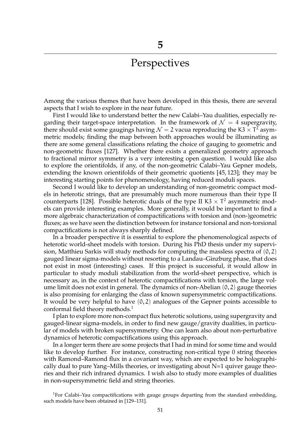## Perspectives

Among the various themes that have been developed in this thesis, there are several aspects that I wish to explore in the near future.

First I would like to understand better the new Calabi–Yau dualities, especially regarding their target-space interpretation. In the framework of  $\mathcal{N}=4$  supergravity, there should exist some gaugings having  $\mathcal{N} = 2$  vacua reproducing the K3  $\times$  T<sup>2</sup> asymmetric models; finding the map between both approaches would be illuminating as there are some general classifications relating the choice of gauging to geometric and non-geometric fluxes [127]. Whether there exists a generalized geometry approach to fractional mirror symmetry is a very interesting open question. I would like also to explore the orientifolds, if any, of the non-geometric Calabi–Yau Gepner models, extending the known orientifolds of their geometric quotients [45, 123]; they may be interesting starting points for phenomenology, having reduced moduli spaces.

Second I would like to develop an understanding of non-geometric compact models in heterotic strings, that are presumably much more numerous than their type II counterparts [128]. Possible heterotic duals of the type II K3  $\times$  T<sup>2</sup> asymmetric models can provide interesting examples. More generally, it would be important to find a more algebraic characterization of compactifications with torsion and (non-)geometric fluxes; as we have seen the distinction between for instance torsional and non-torsional compactifications is not always sharply defined.

In a broader perspective it is essential to explore the phenomenological aspects of heterotic world-sheet models with torsion. During his PhD thesis under my supervision, Matthieu Sarkis will study methods for computing the massless spectra of  $(0, 2)$ gauged linear sigma-models without resorting to a Landau–Ginzburg phase, that does not exist in most (interesting) cases. If this project is successful, it would allow in particular to study moduli stabilization from the world-sheet perspective, which is necessary as, in the context of heterotic compactifications with torsion, the large volume limit does not exist in general. The dynamics of non-Abelian (0, 2) gauge theories is also promising for enlarging the class of known supersymmetric compactifications. It would be very helpful to have  $(0, 2)$  analogues of the Gepner points accessible to conformal field theory methods.<sup>1</sup>

I plan to explore more non-compact flux heterotic solutions, using supergravity and gauged-linear sigma-models, in order to find new gauge/gravity dualities, in particular of models with broken supersymmetry. One can learn also about non-perturbative dynamics of heterotic compactifications using this approach.

In a longer term there are some projects that I had in mind for some time and would like to develop further. For instance, constructing non-critical type 0 string theories with Ramond–Ramond flux in a covariant way, which are expected to be holographically dual to pure Yang–Mills theories, or investigating about  $N=1$  quiver gauge theories and their rich infrared dynamics. I wish also to study more examples of dualities in non-supersymmetric field and string theories.

<sup>1</sup>For Calabi-Yau compactifications with gauge groups departing from the standard embedding, such models have been obtained in [129–131].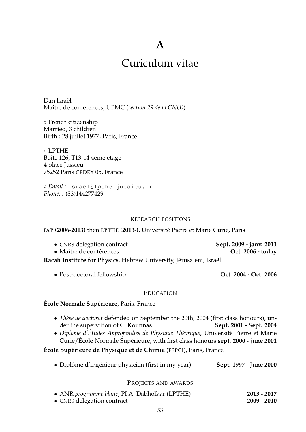## **A**

# Curiculum vitae

Dan Israël Maître de conférences, UPMC (section 29 de la CNU))

◦ French citizenship Married, 3 children Birth : 28 juillet 1977, Paris, France

◦ LPTHE Boîte 126, T13-14 4ème étage 4 place Jussieu 75252 Paris CEDEX 05, France

◦ *Email :* israel@lpthe.jussieu.fr *Phone. :* (33)144277429

#### RESEARCH POSITIONS

#### **IAP (2006-2013)** then **LPTHE (2013-)**, Universite Pierre et Marie Curie, Paris ´

- CNRS delegation contract **Sept. 2009 janv. 2011**
- Maître de conférences

- Racah Institute for Physics, Hebrew University, Jérusalem, Israël
	-

• Post-doctoral fellowship **Oct. 2004 - Oct. 2006**

#### EDUCATION

## **École Normale Supérieure**, Paris, France

- *Thèse de doctorat* defended on September the 20th, 2004 (first class honours), under the supervition of C. Kounnas der the supervition of C. Kounnas
- *Diplôme d'Études Approfondies de Physique Théorique*, Université Pierre et Marie Curie/École Normale Supérieure, with first class honours **sept. 2000 - june 2001**

**École Supérieure de Physique et de Chimie** (ESPCI), Paris, France

• Diplôme d'ingénieur physicien (first in my year) **Sept. 1997 - June 2000** 

#### PROJECTS AND AWARDS

| • ANR programme blanc, PI A. Dabholkar (LPTHE) | $2013 - 2017$ |  |
|------------------------------------------------|---------------|--|
| • CNRS delegation contract                     | $2009 - 2010$ |  |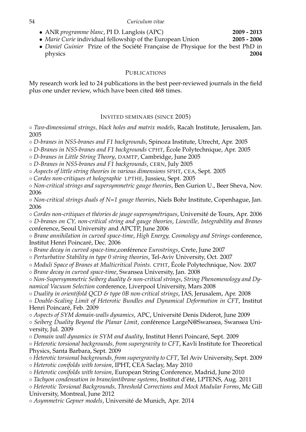• ANR *programme blanc*, PI D. Langlois (APC) **2009 - 2013**<br>• *Marie Curie* individual fellowship of the European Union **2005 - 2006** 

• *Marie Curie* individual fellowship of the European Union • *Daniel Guinier* Prize of the Société Française de Physique for the best PhD in physics **2004** physics **2004**

## PUBLICATIONS

My research work led to 24 publications in the best peer-reviewed journals in the field plus one under review, which have been cited 468 times.

## INVITED SEMINARS (SINCE 2005)

◦ *Two-dimensional strings, black holes and matrix models*, Racah Institute, Jerusalem, Jan. 2005

◦ *D-branes in NS5-branes and F1 backgrounds*, Spinoza Institute, Utrecht, Apr. 2005

◦ *D-Branes in NS5-branes and F1 backgrounds* CPHT, Ecole Polytechnique, Apr. 2005 ´

◦ *D-branes in Little String Theory*, DAMTP, Cambridge, June 2005

◦ *D-Branes in NS5-branes and F1 backgrounds*, CERN, July 2005

◦ *Aspects of little string theories in various dimensions* SPHT, CEA, Sept. 2005

◦ *Cordes non-critiques et holographie* LPTHE, Jussieu, Sept. 2005

◦ *Non-critical strings and supersymmetric gauge theories*, Ben Gurion U., Beer Sheva, Nov. 2006

◦ *Non-critical strings duals of N=1 gauge theories*, Niels Bohr Institute, Copenhague, Jan. 2006

◦ *Cordes non-critiques et th´eories de jauge supersym´etriques*, Universite de Tours, Apr. 2006 ´ ◦ *D-branes on CY, non-critical string and gauge theories*, *Liouville, Integrability and Branes*

conference, Seoul University and APCTP, June 2006

◦ *Brane annihilation in curved space-time*, *High Energy, Cosmology and Strings* conference, Institut Henri Poincaré, Dec. 2006

◦ *Brane decay in curved space-time*,conference ´ *Eurostrings*, Crete, June 2007

◦ *Perturbative Stability in type 0 string theories*, Tel-Aviv University, Oct. 2007

◦ *Moduli Space of Branes at Multicritical Points*. CPHT, Ecole Polytechnique, Nov. 2007 ´

◦ *Brane decay in curved space-time*, Swansea University, Jan. 2008

◦ *Non-Supersymmetric Seiberg duality & non-critical strings*, *String Phenomenology and Dynamical Vacuum Selection* conference, Liverpool University, Mars 2008

◦ *Duality in orientifold QCD & type 0B non-critical strings*, IAS, Jerusalem, Apr. 2008

◦ *Double-Scaling Limit of Heterotic Bundles and Dynamical Deformation in CFT*, Institut Henri Poincaré, Feb. 2009

◦ *Aspects of SYM domain-walls dynamics*, APC, Universite Denis Diderot, June 2009 ´

◦ *Seiberg Duality Beyond the Planar Limit*, conference LargeN@Swansea, Swansea Uni- ´ versity, Jul. 2009

◦ *Domain wall dynamics in SYM and duality*, Institut Henri Poincare, Sept. 2009 ´

◦ *Heterotic torsional backgrounds, from supergravity to CFT*, Kavli Institute for Theoretical Physics, Santa Barbara, Sept. 2009

◦ *Heterotic torsional backgrounds, from supergravity to CFT*, Tel Aviv University, Sept. 2009 ◦ *Heterotic conifolds with torsion*, IPHT, CEA Saclay, May 2010

◦ *Heterotic conifolds with torsion*, European String Conference, Madrid, June 2010

 $\circ$  *Tachyon condensation in brane/antibrane systems, Institut d'été, LPTENS, Aug. 2011* 

◦ *Heterotic Torsional Backgrounds, Threshold Corrections and Mock Modular Forms*, Mc Gill University, Montreal, June 2012

◦ *Asymmetric Gepner models*, Universite de Munich, Apr. 2014 ´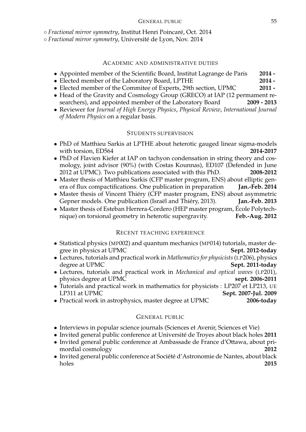◦ *Fractional mirror symmetry*, Institut Henri Poincare, Oct. 2014 ´

◦ *Fractional mirror symmetry*, Universite de Lyon, Nov. 2014 ´

#### ACADEMIC AND ADMINISTRATIVE DUTIES

- Appointed member of the Scientific Board, Institut Lagrange de Paris **2014 -**
- 
- Elected member of the Laboratory Board, LPTHE **2014 -** • Elected member of the Commitee of Experts, 29th section, UPMC **2011 -**
- Head of the Gravity and Cosmology Group (GRECO) at IAP (12 permament researchers), and appointed member of the Laboratory Board 2009 2013 searchers), and appointed member of the Laboratory Board
- Reviewer for *Journal of High Energy Physics*, *Physical Review*, *International Journal of Modern Physics* on a regular basis.

#### STUDENTS SUPERVISION

- PhD of Matthieu Sarkis at LPTHE about heterotic gauged linear sigma-models with torsion, ED564
- PhD of Flavien Kiefer at IAP on tachyon condensation in string theory and cosmology, joint advisor (90%) (with Costas Kounnas), ED107 (Defended in June 2012 at UPMC). Two publications associated with this PhD. **2008-2012**
- Master thesis of Matthieu Sarkis (CFP master program, ENS) about elliptic genera of flux compactifications. One publication in preparation **Jan.-Feb. 2014** era of flux compactifications. One publication in preparation
- Master thesis of Vincent Thiéry (CFP master program, ENS) about asymmetric Gepner models. One publication (Israël and Thiéry, 2013). **Jan.-Feb. 2013** Gepner models. One publication (Israël and Thiéry, 2013).
- Master thesis of Esteban Herrera-Cordero (HEP master program, École Polytechnique) on torsional geometry in heterotic supergravity. Feb.-Aug. 2012 nique) on torsional geometry in heterotic supergravity.

#### RECENT TEACHING EXPERIENCE

- Statistical physics (MP002) and quantum mechanics (MP014) tutorials, master degree in physics at UPMC gree in physics at UPMC
- Lectures, tutorials and practical work in *Mathematics for physicists*(LP206), physics Sept. 2011-today
- Lectures, tutorials and practical work in *Mechanical and optical waves* (LP201), physics degree at UPMC
- Tutorials and practical work in mathematics for physicists : LP207 et LP213, UE LP311 at UPMC **Sept. 2007-Jul. 2009** LP311 at UPMC **Sept. 2007-Jul. 2009**

• Practical work in astrophysics, master degree at UPMC **2006-today**

#### GENERAL PUBLIC

- Interviews in popular science journals (Sciences et Avenir, Sciences et Vie)
- Invited general public conference at Université de Troyes about black holes 2011
- Invited general public conference at Ambassade de France d'Ottawa, about primordial cosmology
- Invited general public conference at Société d'Astronomie de Nantes, about black holes holes **2015**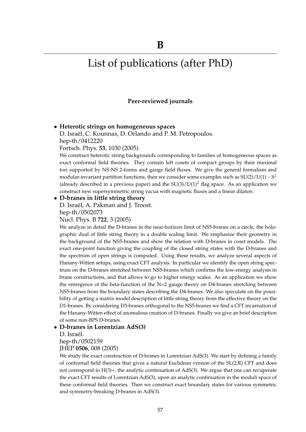# List of publications (after PhD)

#### **Peer-reviewed journals**

#### • **Heterotic strings on homogeneous spaces**

D. Israël, C. Kounnas, D. Orlando and P. M. Petropoulos. hep-th/0412220

Fortsch. Phys. **53**, 1030 (2005)

We construct heterotic string backgrounds corresponding to families of homogeneous spaces as exact conformal field theories. They contain left cosets of compact groups by their maximal tori supported by NS-NS 2-forms and gauge field fluxes. We give the general formalism and modular-invariant partition functions, then we consider some examples such as  $SU(2)/U(1) \sim S^2$ (already described in a previous paper) and the  $SU(3)/U(1)^2$  flag space. As an application we construct new supersymmetric string vacua with magnetic fluxes and a linear dilaton.

#### • **D-branes in little string theory**

D. Israël, A. Pakman and J. Troost. hep-th/0502073

Nucl. Phys. B **722**, 3 (2005)

We analyze in detail the D-branes in the near-horizon limit of NS5-branes on a circle, the holographic dual of little string theory in a double scaling limit. We emphasize their geometry in the background of the NS5-branes and show the relation with D-branes in coset models. The exact one-point function giving the coupling of the closed string states with the D-branes and the spectrum of open strings is computed. Using these results, we analyze several aspects of Hanany-Witten setups, using exact CFT analysis. In particular we identify the open string spectrum on the D-branes stretched between NS5-branes which confirms the low-energy analysis in brane constructions, and that allows to go to higher energy scales. As an application we show the emergence of the beta-function of the N=2 gauge theory on D4-branes stretching between NS5-branes from the boundary states describing the D4-branes. We also speculate on the possibility of getting a matrix model description of little string theory from the effective theory on the D1-branes. By considering D3-branes orthogonal to the NS5-branes we find a CFT incarnation of the Hanany-Witten effect of anomalous creation of D-branes. Finally we give an brief description of some non-BPS D-branes.

#### • **D-branes in Lorentzian AdS(3)**

D. Israël.

hep-th/0502159

JHEP **0506**, 008 (2005)

We study the exact construction of D-branes in Lorentzian AdS(3). We start by defining a family of conformal field theories that gives a natural Euclidean version of the SL(2,R) CFT and does not correspond to H(3)+, the analytic continuation of AdS(3). We argue that one can recuperate the exact CFT results of Lorentzian AdS(3), upon an analytic continuation in the moduli space of these conformal field theories. Then we construct exact boundary states for various symmetric and symmetry-breaking D-branes in AdS(3).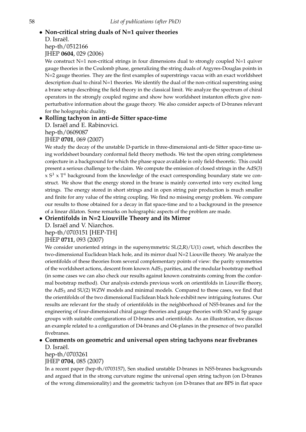## • **Non-critical string duals of N=1 quiver theories** D. Israël. hep-th/0512166

JHEP **0604**, 029 (2006)

We construct  $N=1$  non-critical strings in four dimensions dual to strongly coupled  $N=1$  quiver gauge theories in the Coulomb phase, generalizing the string duals of Argyres-Douglas points in N=2 gauge theories. They are the first examples of superstrings vacua with an exact worldsheet description dual to chiral N=1 theories. We identify the dual of the non-critical superstring using a brane setup describing the field theory in the classical limit. We analyze the spectrum of chiral operators in the strongly coupled regime and show how worldsheet instanton effects give nonperturbative information about the gauge theory. We also consider aspects of D-branes relevant for the holographic duality.

## • **Rolling tachyon in anti-de Sitter space-time**

D. Israël and E. Rabinovici.

hep-th/0609087

## JHEP **0701**, 069 (2007)

We study the decay of the unstable D-particle in three-dimensional anti-de Sitter space-time using worldsheet boundary conformal field theory methods. We test the open string completeness conjecture in a background for which the phase space available is only field-theoretic. This could present a serious challenge to the claim. We compute the emission of closed strings in the AdS(3)  $x S<sup>3</sup>$  x T<sup>4</sup> background from the knowledge of the exact corresponding boundary state we construct. We show that the energy stored in the brane is mainly converted into very excited long strings. The energy stored in short strings and in open string pair production is much smaller and finite for any value of the string coupling. We find no missing energy problem. We compare our results to those obtained for a decay in flat space-time and to a background in the presence of a linear dilaton. Some remarks on holographic aspects of the problem are made.

## • **Orientifolds in N=2 Liouville Theory and its Mirror**

D. Israël and V. Niarchos. hep-th/0703151 [HEP-TH]

## JHEP **0711**, 093 (2007)

We consider unoriented strings in the supersymmetric  $SL(2,R)/U(1)$  coset, which describes the two-dimensional Euclidean black hole, and its mirror dual N=2 Liouville theory. We analyze the orientifolds of these theories from several complementary points of view: the parity symmetries of the worldsheet actions, descent from known AdS<sub>3</sub> parities, and the modular bootstrap method (in some cases we can also check our results against known constraints coming from the conformal bootstrap method). Our analysis extends previous work on orientifolds in Liouville theory, the  $AdS<sub>3</sub>$  and SU(2) WZW models and minimal models. Compared to these cases, we find that the orientifolds of the two dimensional Euclidean black hole exhibit new intriguing features. Our results are relevant for the study of orientifolds in the neighborhood of NS5-branes and for the engineering of four-dimensional chiral gauge theories and gauge theories with SO and Sp gauge groups with suitable configurations of D-branes and orientifolds. As an illustration, we discuss an example related to a configuration of D4-branes and O4-planes in the presence of two parallel fivebranes.

## • **Comments on geometric and universal open string tachyons near fivebranes** D. Israël.

hep-th/0703261

## JHEP **0704**, 085 (2007)

In a recent paper (hep-th/0703157), Sen studied unstable D-branes in NS5-branes backgrounds and argued that in the strong curvature regime the universal open string tachyon (on D-branes of the wrong dimensionality) and the geometric tachyon (on D-branes that are BPS in flat space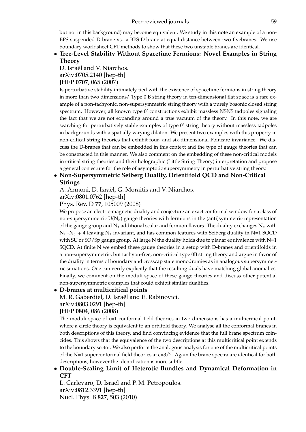but not in this background) may become equivalent. We study in this note an example of a non-BPS suspended D-brane vs. a BPS D-brane at equal distance between two fivebranes. We use boundary worldsheet CFT methods to show that these two unstable branes are identical.

## • **Tree-Level Stability Without Spacetime Fermions: Novel Examples in String Theory**

D. Israël and V. Niarchos. arXiv:0705.2140 [hep-th] JHEP **0707**, 065 (2007)

Is perturbative stability intimately tied with the existence of spacetime fermions in string theory in more than two dimensions? Type 0'B string theory in ten-dimensional flat space is a rare example of a non-tachyonic, non-supersymmetric string theory with a purely bosonic closed string spectrum. However, all known type 0' constructions exhibit massless NSNS tadpoles signaling the fact that we are not expanding around a true vacuum of the theory. In this note, we are searching for perturbatively stable examples of type 0' string theory without massless tadpoles in backgrounds with a spatially varying dilaton. We present two examples with this property in non-critical string theories that exhibit four- and six-dimensional Poincare invariance. We discuss the D-branes that can be embedded in this context and the type of gauge theories that can be constructed in this manner. We also comment on the embedding of these non-critical models in critical string theories and their holographic (Little String Theory) interpretation and propose a general conjecture for the role of asymptotic supersymmetry in perturbative string theory.

## • **Non-Supersymmetric Seiberg Duality, Orientifold QCD and Non-Critical Strings**

A. Armoni, D. Israël, G. Moraitis and V. Niarchos.

arXiv:0801.0762 [hep-th]

Phys. Rev. D **77**, 105009 (2008)

We propose an electric-magnetic duality and conjecture an exact conformal window for a class of non-supersymmetric  $U(N_c)$  gauge theories with fermions in the (anti)symmetric representation of the gauge group and  $N_f$  additional scalar and fermion flavors. The duality exchanges  $N_c$  with  $N_f$  -N<sub>c</sub>  $\mp$  4 leaving N<sub>f</sub> invariant, and has common features with Seiberg duality in N=1 SQCD with SU or SO/Sp gauge group. At large N the duality holds due to planar equivalence with  $N=1$ SQCD. At finite N we embed these gauge theories in a setup with D-branes and orientifolds in a non-supersymmetric, but tachyon-free, non-critical type 0B string theory and argue in favor of the duality in terms of boundary and crosscap state monodromies as in analogous supersymmetric situations. One can verify explicitly that the resulting duals have matching global anomalies. Finally, we comment on the moduli space of these gauge theories and discuss other potential non-supersymmetric examples that could exhibit similar dualities.

## • **D-branes at multicritical points**

M. R. Gaberdiel, D. Israël and E. Rabinovici.

arXiv:0803.0291 [hep-th]

#### JHEP **0804**, 086 (2008)

The moduli space of  $c=1$  conformal field theories in two dimensions has a multicritical point, where a circle theory is equivalent to an orbifold theory. We analyse all the conformal branes in both descriptions of this theory, and find convincing evidence that the full brane spectrum coincides. This shows that the equivalence of the two descriptions at this multicritical point extends to the boundary sector. We also perform the analogous analysis for one of the multicritical points of the N=1 superconformal field theories at c=3/2. Again the brane spectra are identical for both descriptions, however the identification is more subtle.

• **Double-Scaling Limit of Heterotic Bundles and Dynamical Deformation in CFT**

L. Carlevaro, D. Israël and P. M. Petropoulos. arXiv:0812.3391 [hep-th] Nucl. Phys. B **827**, 503 (2010)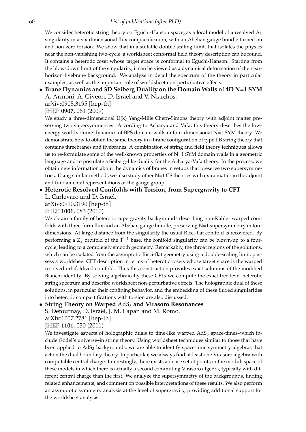We consider heterotic string theory on Eguchi-Hanson space, as a local model of a resolved  $A_1$ singularity in a six-dimensional flux compactification, with an Abelian gauge bundle turned on and non-zero torsion. We show that in a suitable double scaling limit, that isolates the physics near the non-vanishing two-cycle, a worldsheet conformal field theory description can be found. It contains a heterotic coset whose target space is conformal to Eguchi-Hanson. Starting from the blow-down limit of the singularity, it can be viewed as a dynamical deformation of the nearhorizon fivebrane background. We analyze in detail the spectrum of the theory in particular examples, as well as the important role of worldsheet non-perturbative effects.

#### • **Brane Dynamics and 3D Seiberg Duality on the Domain Walls of 4D N=1 SYM** A. Armoni, A. Giveon, D. Israël and V. Niarchos.

arXiv:0905.3195 [hep-th] JHEP **0907**, 061 (2009)

We study a three-dimensional U(k) Yang-Mills Chern-Simons theory with adjoint matter preserving two supersymmetries. According to Acharya and Vafa, this theory describes the lowenergy worldvolume dynamics of BPS domain walls in four-dimensional N=1 SYM theory. We demonstrate how to obtain the same theory in a brane configuration of type IIB string theory that contains threebranes and fivebranes. A combination of string and field theory techniques allows us to re-formulate some of the well-known properties of N=1 SYM domain walls in a geometric language and to postulate a Seiberg-like duality for the Acharya-Vafa theory. In the process, we obtain new information about the dynamics of branes in setups that preserve two supersymmetries. Using similar methods we also study other N=1 CS theories with extra matter in the adjoint and fundamental representations of the gauge group.

## • **Heterotic Resolved Conifolds with Torsion, from Supergravity to CFT**

L. Carlevaro and D. Israël. arXiv:0910.3190 [hep-th]

JHEP **1001**, 083 (2010)

We obtain a family of heterotic supergravity backgrounds describing non-Kahler warped conifolds with three-form flux and an Abelian gauge bundle, preserving N=1 supersymmetry in four dimensions. At large distance from the singularity the usual Ricci-flat conifold is recovered. By performing a  $Z_2$  orbifold of the  $T^{1,1}$  base, the conifold singularity can be blown-up to a fourcycle, leading to a completely smooth geometry. Remarkably, the throat regions of the solutions, which can be isolated from the asymptotic Ricci-flat geometry using a double-scaling limit, possess a worldsheet CFT description in terms of heterotic cosets whose target space is the warped resolved orbifoldized conifold. Thus this construction provides exact solutions of the modified Bianchi identity. By solving algebraically these CFTs we compute the exact tree-level heterotic string spectrum and describe worldsheet non-perturbative effects. The holographic dual of these solutions, in particular their confining behavior, and the embedding of these fluxed singularities into heterotic compactifications with torsion are also discussed.

## • String Theory on Warped  $AdS_3$  and Virasoro Resonances

S. Detournay, D. Israël, J. M. Lapan and M. Romo.

arXiv:1007.2781 [hep-th] JHEP **1101**, 030 (2011)

We investigate aspects of holographic duals to time-like warped  $AdS<sub>3</sub>$  space-times–which include Gödel's universe–in string theory. Using worldsheet techniques similar to those that have been applied to AdS<sub>3</sub> backgrounds, we are able to identify space-time symmetry algebras that act on the dual boundary theory. In particular, we always find at least one Virasoro algebra with computable central charge. Interestingly, there exists a dense set of points in the moduli space of these models in which there is actually a second commuting Virasoro algebra, typically with different central charge than the first. We analyze the supersymmetry of the backgrounds, finding related enhancements, and comment on possible interpretations of these results. We also perform an asymptotic symmetry analysis at the level of supergravity, providing additional support for the worldsheet analysis.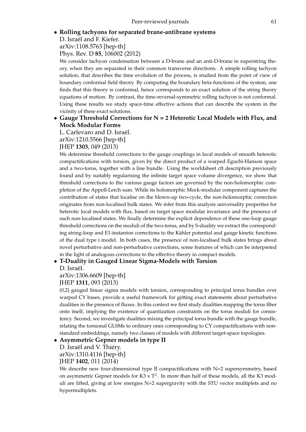#### • **Rolling tachyons for separated brane-antibrane systems**

D. Israël and F. Kiefer. arXiv:1108.5763 [hep-th]

Phys. Rev. D **85**, 106002 (2012)

We consider tachyon condensation between a D-brane and an anti-D-brane in superstring theory, when they are separated in their common transverse directions. A simple rolling tachyon solution, that describes the time evolution of the process, is studied from the point of view of boundary conformal field theory. By computing the boundary beta-functions of the system, one finds that this theory is conformal, hence corresponds to an exact solution of the string theory equations of motion. By contrast, the time-reversal-symmetric rolling tachyon is not conformal. Using these results we study space-time effective actions that can describe the system in the vicinity of these exact solutions.

## • **Gauge Threshold Corrections for N = 2 Heterotic Local Models with Flux, and Mock Modular Forms**

L. Carlevaro and D. Israël.

arXiv:1210.5566 [hep-th]

#### JHEP **1303**, 049 (2013)

We determine threshold corrections to the gauge couplings in local models of smooth heterotic compactifications with torsion, given by the direct product of a warped Eguchi-Hanson space and a two-torus, together with a line bundle. Using the worldsheet cft description previously found and by suitably regularising the infinite target space volume divergence, we show that threshold corrections to the various gauge factors are governed by the non-holomorphic completion of the Appell-Lerch sum. While its holomorphic Mock-modular component captures the contribution of states that localise on the blown-up two-cycle, the non-holomorphic correction originates from non-localised bulk states. We infer from this analysis universality properties for heterotic local models with flux, based on target space modular invariance and the presence of such non-localised states. We finally determine the explicit dependence of these one-loop gauge threshold corrections on the moduli of the two-torus, and by S-duality we extract the corresponding string-loop and E1-instanton corrections to the Kähler potential and gauge kinetic functions of the dual type i model. In both cases, the presence of non-localised bulk states brings about novel perturbative and non-perturbative corrections, some features of which can be interpreted in the light of analogous corrections to the effective theory in compact models.

## • **T-Duality in Gauged Linear Sigma-Models with Torsion**

D. Israël.

arXiv:1306.6609 [hep-th]

JHEP **1311**, 093 (2013)

(0,2) gauged linear sigma models with torsion, corresponding to principal torus bundles over warped CY bases, provide a useful framework for getting exact statements about perturbative dualities in the presence of fluxes. In this context we first study dualities mapping the torus fiber onto itself, implying the existence of quantization constraints on the torus moduli for consistency. Second, we investigate dualities mixing the principal torus bundle with the gauge bundle, relating the torsional GLSMs to ordinary ones corresponding to CY compactifications with nonstandard embeddings, namely two classes of models with different target-space topologies.

## • **Asymmetric Gepner models in type II**

D. Israël and V. Thiéry. arXiv:1310.4116 [hep-th]

JHEP **1402**, 011 (2014)

We describe new four-dimensional type II compactifications with N=2 supersymmetry, based on asymmetric Gepner models for K3 x  $T^2$ . In more than half of these models, all the K3 moduli are lifted, giving at low energies N=2 supergravity with the STU vector multiplets and no hypermultiplets.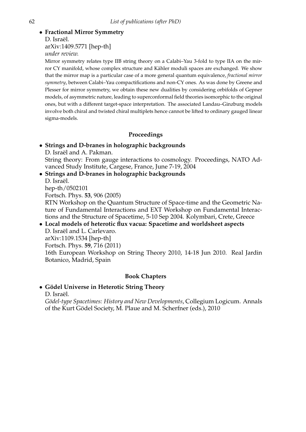## • **Fractional Mirror Symmetry**

D. Israël.

arXiv:1409.5771 [hep-th]

*under review.*

Mirror symmetry relates type IIB string theory on a Calabi–Yau 3-fold to type IIA on the mirror CY manifold, whose complex structure and Kähler moduli spaces are exchanged. We show that the mirror map is a particular case of a more general quantum equivalence, *fractional mirror symmetry*, between Calabi–Yau compactifications and non-CY ones. As was done by Greene and Plesser for mirror symmetry, we obtain these new dualities by considering orbifolds of Gepner models, of asymmetric nature, leading to superconformal field theories isomorphic to the original ones, but with a different target-space interpretation. The associated Landau–Ginzburg models involve both chiral and twisted chiral multiplets hence cannot be lifted to ordinary gauged linear sigma-models.

## **Proceedings**

## • **Strings and D-branes in holographic backgrounds**

D. Israël and A. Pakman.

String theory: From gauge interactions to cosmology. Proceedings, NATO Advanced Study Institute, Cargese, France, June 7-19, 2004

• **Strings and D-branes in holographic backgrounds**

D. Israël.

hep-th/0502101

Fortsch. Phys. **53**, 906 (2005)

RTN Workshop on the Quantum Structure of Space-time and the Geometric Nature of Fundamental Interactions and EXT Workshop on Fundamental Interactions and the Structure of Spacetime, 5-10 Sep 2004. Kolymbari, Crete, Greece

#### • **Local models of heterotic flux vacua: Spacetime and worldsheet aspects** D. Israël and L. Carlevaro.

arXiv:1109.1534 [hep-th] Fortsch. Phys. **59**, 716 (2011)

16th European Workshop on String Theory 2010, 14-18 Jun 2010. Real Jardin Botanico, Madrid, Spain

## **Book Chapters**

## • **G ¨odel Universe in Heterotic String Theory**

D. Israël.

*G¨odel-type Spacetimes: History and New Developments*, Collegium Logicum. Annals of the Kurt Gödel Society, M. Plaue and M. Scherfner (eds.), 2010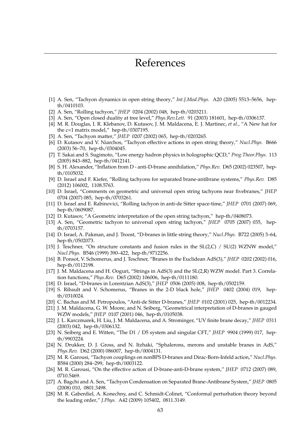- [1] A. Sen, "Tachyon dynamics in open string theory," *Int.J.Mod.Phys.* A20 (2005) 5513–5656, hepth/0410103.
- [2] A. Sen, "Rolling tachyon," *JHEP* 0204 (2002) 048, hep-th/0203211.
- [3] A. Sen, "Open closed duality at tree level," *Phys.Rev.Lett.* 91 (2003) 181601, hep-th/0306137.
- [4] M. R. Douglas, I. R. Klebanov, D. Kutasov, J. M. Maldacena, E. J. Martinec, *et al.*, "A New hat for the c=1 matrix model," hep-th/0307195.
- [5] A. Sen, "Tachyon matter," *JHEP* 0207 (2002) 065, hep-th/0203265.
- [6] D. Kutasov and V. Niarchos, "Tachyon effective actions in open string theory," *Nucl.Phys.* B666 (2003) 56–70, hep-th/0304045.
- [7] T. Sakai and S. Sugimoto, "Low energy hadron physics in holographic QCD," *Prog.Theor.Phys.* 113 (2005) 843–882, hep-th/0412141.
- [8] S. H. Alexander, "Inflation from D anti-D-brane annihilation," *Phys.Rev.* D65 (2002) 023507, hepth/0105032.
- [9] D. Israel and F. Kiefer, "Rolling tachyons for separated brane-antibrane systems," *Phys.Rev.* D85 (2012) 106002, 1108.5763.
- [10] D. Israel, "Comments on geometric and universal open string tachyons near fivebranes," *JHEP* 0704 (2007) 085, hep-th/0703261.
- [11] D. Israel and E. Rabinovici, "Rolling tachyon in anti-de Sitter space-time," *JHEP* 0701 (2007) 069, hep-th/0609087.
- [12] D. Kutasov, "A Geometric interpretation of the open string tachyon," hep-th/0408073.
- [13] A. Sen, "Geometric tachyon to universal open string tachyon," *JHEP* 0705 (2007) 035, hepth/0703157.
- [14] D. Israel, A. Pakman, and J. Troost, "D-branes in little string theory," *Nucl.Phys.* B722 (2005) 3–64, hep-th/0502073.
- [15] J. Teschner, "On structure constants and fusion rules in the SL(2,C) / SU(2) WZNW model," *Nucl.Phys.* B546 (1999) 390–422, hep-th/9712256.
- [16] B. Ponsot, V. Schomerus, and J. Teschner, "Branes in the Euclidean AdS(3)," *JHEP* 0202 (2002) 016, hep-th/0112198.
- [17] J. M. Maldacena and H. Ooguri, "Strings in AdS(3) and the SL(2,R) WZW model. Part 3. Correlation functions," *Phys.Rev.* D65 (2002) 106006, hep-th/0111180.
- [18] D. Israel, "D-branes in Lorentzian AdS(3)," *JHEP* 0506 (2005) 008, hep-th/0502159.
- [19] S. Ribault and V. Schomerus, "Branes in the 2-D black hole," *JHEP* 0402 (2004) 019, hepth/0310024.
- [20] C. Bachas and M. Petropoulos, "Anti-de Sitter D-branes," *JHEP* 0102 (2001) 025, hep-th/0012234.
- [21] J. M. Maldacena, G. W. Moore, and N. Seiberg, "Geometrical interpretation of D-branes in gauged WZW models," *JHEP* 0107 (2001) 046, hep-th/0105038.
- [22] J. L. Karczmarek, H. Liu, J. M. Maldacena, and A. Strominger, "UV finite brane decay," *JHEP* 0311 (2003) 042, hep-th/0306132.
- [23] N. Seiberg and E. Witten, "The D1 / D5 system and singular CFT," *JHEP* 9904 (1999) 017, hepth/9903224.
- [24] N. Drukker, D. J. Gross, and N. Itzhaki, "Sphalerons, merons and unstable branes in AdS," *Phys.Rev.* D62 (2000) 086007, hep-th/0004131.
- [25] M. R. Garousi, "Tachyon couplings on nonBPS D-branes and Dirac-Born-Infeld action," *Nucl.Phys.* B584 (2000) 284–299, hep-th/0003122.
- [26] M. R. Garousi, "On the effective action of D-brane-anti-D-brane system," *JHEP* 0712 (2007) 089, 0710.5469.
- [27] A. Bagchi and A. Sen, "Tachyon Condensation on Separated Brane-Antibrane System," *JHEP* 0805 (2008) 010, 0801.3498.
- [28] M. R. Gaberdiel, A. Konechny, and C. Schmidt-Colinet, "Conformal perturbation theory beyond the leading order," *J.Phys.* A42 (2009) 105402, 0811.3149.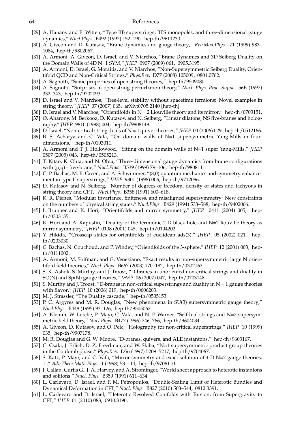- [29] A. Hanany and E. Witten, "Type IIB superstrings, BPS monopoles, and three-dimensional gauge dynamics," *Nucl.Phys.* B492 (1997) 152–190, hep-th/9611230.
- [30] A. Giveon and D. Kutasov, "Brane dynamics and gauge theory," *Rev.Mod.Phys.* 71 (1999) 983– 1084, hep-th/9802067.
- [31] A. Armoni, A. Giveon, D. Israel, and V. Niarchos, "Brane Dynamics and 3D Seiberg Duality on the Domain Walls of 4D N=1 SYM," *JHEP* 0907 (2009) 061, 0905.3195.
- [32] A. Armoni, D. Israel, G. Moraitis, and V. Niarchos, "Non-Supersymmetric Seiberg Duality, Orientifold QCD and Non-Critical Strings," *Phys.Rev.* D77 (2008) 105009, 0801.0762.
- [33] A. Sagnotti, "Some properties of open string theories," hep-th/9509080.
- [34] A. Sagnotti, "Surprises in open-string perturbation theory," *Nucl. Phys. Proc. Suppl.* 56B (1997) 332–343, hep-th/9702093.
- [35] D. Israel and V. Niarchos, "Tree-level stability without spacetime fermions: Novel examples in string theory," *JHEP* 07 (2007) 065, arXiv:0705.2140 [hep-th].
- [36] D. Israel and V. Niarchos, "Orientifolds in N = 2 Liouville theory and its mirror," hep-th/0703151.
- [37] O. Aharony, M. Berkooz, D. Kutasov, and N. Seiberg, "Linear dilatons, NS five-branes and holography," *JHEP* 9810 (1998) 004, hep-th/9808149.
- [38] D. Israel, "Non-critical string duals of N = 1 quiver theories," *JHEP* 04 (2006) 029, hep-th/0512166.
- [39] B. S. Acharya and C. Vafa, "On domain walls of N=1 supersymmetric Yang-Mills in fourdimensions," hep-th/0103011.
- [40] A. Armoni and T. J. Hollowood, "Sitting on the domain walls of N=1 super Yang-Mills," *JHEP* 0507 (2005) 043, hep-th/0505213.
- [41] T. Kitao, K. Ohta, and N. Ohta, "Three-dimensional gauge dynamics from brane configurations with (p,q) - five-brane," *Nucl.Phys.* B539 (1999) 79–106, hep-th/9808111.
- [42] C. P. Bachas, M. B. Green, and A. Schwimmer, "(8,0) quantum mechanics and symmetry enhancement in type I' superstrings," *JHEP* 9801 (1998) 006, hep-th/9712086.
- [43] D. Kutasov and N. Seiberg, "Number of degrees of freedom, density of states and tachyons in string theory and CFT," *Nucl.Phys.* B358 (1991) 600–618.
- [44] K. R. Dienes, "Modular invariance, finiteness, and misaligned supersymmetry: New constraints on the numbers of physical string states," *Nucl.Phys.* B429 (1994) 533–588, hep-th/9402006.
- [45] I. Brunner and K. Hori, "Orientifolds and mirror symmetry," *JHEP* 0411 (2004) 005, hepth/0303135.
- [46] K. Hori and A. Kapustin, "Duality of the fermionic 2-D black hole and N=2 liouville theory as mirror symmetry," *JHEP* 0108 (2001) 045, hep-th/0104202.
- [47] Y. Hikida, "Crosscap states for orientifolds of euclidean ads(3)," *JHEP* 05 (2002) 021, hepth/0203030.
- [48] C. Bachas, N. Couchoud, and P. Windey, "Orientifolds of the 3-sphere," *JHEP* 12 (2001) 003, hepth/0111002.
- [49] A. Armoni, M. Shifman, and G. Veneziano, "Exact results in non-supersymmetric large N orientifold field theories," *Nucl. Phys.* B667 (2003) 170–182, hep-th/0302163.
- [50] S. K. Ashok, S. Murthy, and J. Troost, "D-branes in unoriented non-critical strings and duality in SO(N) and Sp(N) gauge theories," *JHEP* 06 (2007) 047, hep-th/0703148.
- [51] S. Murthy and J. Troost, "D-branes in non-critical superstrings and duality in  $N = 1$  gauge theories with flavor," *JHEP* 10 (2006) 019, hep-th/0606203.
- [52] M. J. Strassler, "The Duality cascade," hep-th/0505153.
- [53] P. C. Argyres and M. R. Douglas, "New phenomena in SU(3) supersymmetric gauge theory," *Nucl.Phys.* B448 (1995) 93–126, hep-th/9505062.
- [54] A. Klemm, W. Lerche, P. Mayr, C. Vafa, and N. P. Warner, "Selfdual strings and N=2 supersymmetric field theory," *Nucl.Phys.* B477 (1996) 746–766, hep-th/9604034.
- [55] A. Giveon, D. Kutasov, and O. Pelc, "Holography for non-critical superstrings," *JHEP* 10 (1999) 035, hep-th/9907178.
- [56] M. R. Douglas and G. W. Moore, "D-branes, quivers, and ALE instantons," hep-th/9603167.
- [57] C. Csaki, J. Erlich, D. Z. Freedman, and W. Skiba, "N=1 supersymmetric product group theories in the Coulomb phase," *Phys.Rev.* D56 (1997) 5209–5217, hep-th/9704067.
- [58] S. Katz, P. Mayr, and C. Vafa, "Mirror symmetry and exact solution of 4-D N=2 gauge theories: 1.," *Adv.Theor.Math.Phys.* 1 (1998) 53–114, hep-th/9706110.
- [59] J. Callan, Curtis G., J. A. Harvey, and A. Strominger, "World sheet approach to heterotic instantons and solitons," *Nucl. Phys.* B359 (1991) 611–634.
- [60] L. Carlevaro, D. Israel, and P. M. Petropoulos, "Double-Scaling Limit of Heterotic Bundles and Dynamical Deformation in CFT," *Nucl. Phys.* B827 (2010) 503–544, 0812.3391.
- [61] L. Carlevaro and D. Israel, "Heterotic Resolved Conifolds with Torsion, from Supergravity to CFT," *JHEP* 01 (2010) 083, 0910.3190.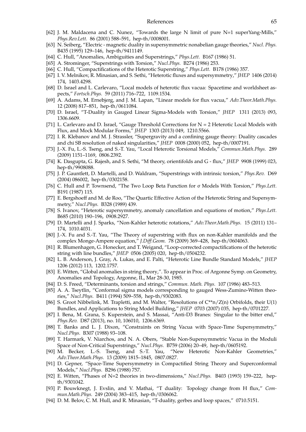- [62] J. M. Maldacena and C. Nunez, "Towards the large N limit of pure N=1 superYang-Mills," *Phys.Rev.Lett.* 86 (2001) 588–591, hep-th/0008001.
- [63] N. Seiberg, "Electric magnetic duality in supersymmetric nonabelian gauge theories," *Nucl. Phys.* B435 (1995) 129–146, hep-th/9411149.
- [64] C. Hull, "Anomalies, Ambiguities and Superstrings," *Phys.Lett.* B167 (1986) 51.
- [65] A. Strominger, "Superstrings with Torsion," *Nucl.Phys.* B274 (1986) 253.
- [66] C. Hull, "Compactifications of the Heterotic Superstring," *Phys.Lett.* B178 (1986) 357.
- [67] I. V. Melnikov, R. Minasian, and S. Sethi, "Heterotic fluxes and supersymmetry," *JHEP* 1406 (2014) 174, 1403.4298.
- [68] D. Israel and L. Carlevaro, "Local models of heterotic flux vacua: Spacetime and worldsheet aspects," *Fortsch.Phys.* 59 (2011) 716–722, 1109.1534.
- [69] A. Adams, M. Ernebjerg, and J. M. Lapan, "Linear models for flux vacua," *Adv.Theor.Math.Phys.* 12 (2008) 817–851, hep-th/0611084.
- [70] D. Israel, "T-Duality in Gauged Linear Sigma-Models with Torsion," *JHEP* 1311 (2013) 093, 1306.6609.
- [71] L. Carlevaro and D. Israel, "Gauge Threshold Corrections for N = 2 Heterotic Local Models with Flux, and Mock Modular Forms," *JHEP* 1303 (2013) 049, 1210.5566.
- [72] I. R. Klebanov and M. J. Strassler, "Supergravity and a confining gauge theory: Duality cascades and chi SB resolution of naked singularities," *JHEP* 0008 (2000) 052, hep-th/0007191.
- [73] J.-X. Fu, L.-S. Tseng, and S.-T. Yau, "Local Heterotic Torsional Models," *Commun.Math.Phys.* 289 (2009) 1151–1169, 0806.2392.
- [74] K. Dasgupta, G. Rajesh, and S. Sethi, "M theory, orientifolds and G flux," *JHEP* 9908 (1999) 023, hep-th/9908088.
- [75] J. P. Gauntlett, D. Martelli, and D. Waldram, "Superstrings with intrinsic torsion," *Phys.Rev.* D69 (2004) 086002, hep-th/0302158.
- [76] C. Hull and P. Townsend, "The Two Loop Beta Function for σ Models With Torsion," *Phys.Lett.* B191 (1987) 115.
- [77] E. Bergshoeff and M. de Roo, "The Quartic Effective Action of the Heterotic String and Supersymmetry," *Nucl.Phys.* B328 (1989) 439.
- [78] S. Ivanov, "Heterotic supersymmetry, anomaly cancellation and equations of motion," *Phys.Lett.* B685 (2010) 190–196, 0908.2927.
- [79] D. Martelli and J. Sparks, "Non-Kahler heterotic rotations," *Adv.Theor.Math.Phys.* 15 (2011) 131– 174, 1010.4031.
- [80] J.-X. Fu and S.-T. Yau, "The Theory of superstring with flux on non-Kahler manifolds and the complex Monge-Ampere equation," *J.Diff.Geom.* 78 (2009) 369–428, hep-th/0604063.
- [81] R. Blumenhagen, G. Honecker, and T. Weigand, "Loop-corrected compactifications of the heterotic string with line bundles," *JHEP* 0506 (2005) 020, hep-th/0504232.
- [82] L. B. Anderson, J. Gray, A. Lukas, and E. Palti, "Heterotic Line Bundle Standard Models," *JHEP* 1206 (2012) 113, 1202.1757.
- [83] E. Witten, "Global anomalies in string theory,". To appear in Proc. of Argonne Symp. on Geometry, Anomalies and Topology, Argonne, IL, Mar 28-30, 1985.
- [84] D. S. Freed, "Determinants, torsion and strings," *Commun. Math. Phys.* 107 (1986) 483–513.
- [85] A. A. Tseytlin, "Conformal sigma models corresponding to gauged Wess-Zumino-Witten theories," *Nucl.Phys.* B411 (1994) 509–558, hep-th/9302083.
- [86] S. Groot Nibbelink, M. Trapletti, and M. Walter, "Resolutions of C\*\*n/Z(n) Orbifolds, their U(1) Bundles, and Applications to String Model Building," *JHEP* 0703 (2007) 035, hep-th/0701227.
- [87] I. Bena, M. Grana, S. Kuperstein, and S. Massai, "Anti-D3 Branes: Singular to the bitter end," *Phys.Rev.* D87 (2013), no. 10, 106010, 1206.6369.
- [88] T. Banks and L. J. Dixon, "Constraints on String Vacua with Space-Time Supersymmetry," *Nucl.Phys.* B307 (1988) 93–108.
- [89] T. Harmark, V. Niarchos, and N. A. Obers, "Stable Non-Supersymmetric Vacua in the Moduli Space of Non-Critical Superstrings," *Nucl.Phys.* B759 (2006) 20–49, hep-th/0605192.
- [90] M. Becker, L.-S. Tseng, and S.-T. Yau, "New Heterotic Non-Kahler Geometries," *Adv.Theor.Math.Phys.* 13 (2009) 1815–1845, 0807.0827.
- [91] D. Gepner, "Space-Time Supersymmetry in Compactified String Theory and Superconformal Models," *Nucl.Phys.* B296 (1988) 757.
- [92] E. Witten, "Phases of N=2 theories in two-dimensions," *Nucl.Phys.* B403 (1993) 159–222, hepth/9301042.
- [93] P. Bouwknegt, J. Evslin, and V. Mathai, "T duality: Topology change from H flux," *Commun.Math.Phys.* 249 (2004) 383–415, hep-th/0306062.
- [94] D. M. Belov, C. M. Hull, and R. Minasian, "T-duality, gerbes and loop spaces," 0710.5151.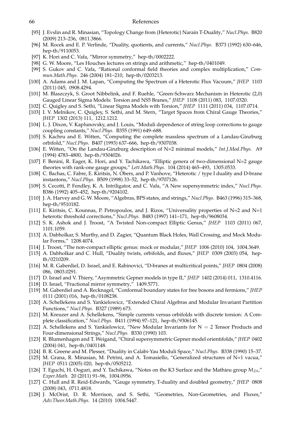- [95] J. Evslin and R. Minasian, "Topology Change from (Heterotic) Narain T-Duality," *Nucl.Phys.* B820 (2009) 213–236, 0811.3866.
- [96] M. Rocek and E. P. Verlinde, "Duality, quotients, and currents," *Nucl.Phys.* B373 (1992) 630–646, hep-th/9110053.
- [97] K. Hori and C. Vafa, "Mirror symmetry," hep-th/0002222.
- [98] G. W. Moore, "Les Houches lectures on strings and arithmetic," hep-th/0401049.
- [99] S. Gukov and C. Vafa, "Rational conformal field theories and complex multiplication," *Commun.Math.Phys.* 246 (2004) 181–210, hep-th/0203213.
- [100] A. Adams and J. M. Lapan, "Computing the Spectrum of a Heterotic Flux Vacuum," *JHEP* 1103 (2011) 045, 0908.4294.
- [101] M. Blaszczyk, S. Groot Nibbelink, and F. Ruehle, "Green-Schwarz Mechanism in Heterotic (2,0) Gauged Linear Sigma Models: Torsion and NS5 Branes," *JHEP* 1108 (2011) 083, 1107.0320.
- [102] C. Quigley and S. Sethi, "Linear Sigma Models with Torsion," *JHEP* 1111 (2011) 034, 1107.0714.
- [103] I. V. Melnikov, C. Quigley, S. Sethi, and M. Stern, "Target Spaces from Chiral Gauge Theories," *JHEP* 1302 (2013) 111, 1212.1212.
- [104] L. J. Dixon, V. Kaplunovsky, and J. Louis, "Moduli dependence of string loop corrections to gauge coupling constants," *Nucl.Phys.* B355 (1991) 649–688.
- [105] S. Kachru and E. Witten, "Computing the complete massless spectrum of a Landau-Ginzburg orbifold," *Nucl.Phys.* B407 (1993) 637–666, hep-th/9307038.
- [106] E. Witten, "On the Landau-Ginzburg description of N=2 minimal models," *Int.J.Mod.Phys.* A9 (1994) 4783–4800, hep-th/9304026.
- [107] F. Benini, R. Eager, K. Hori, and Y. Tachikawa, "Elliptic genera of two-dimensional N=2 gauge theories with rank-one gauge groups," *Lett.Math.Phys.* 104 (2014) 465–493, 1305.0533.
- [108] C. Bachas, C. Fabre, E. Kiritsis, N. Obers, and P. Vanhove, "Heterotic / type I duality and D-brane instantons," *Nucl.Phys.* B509 (1998) 33–52, hep-th/9707126.
- [109] S. Cecotti, P. Fendley, K. A. Intriligator, and C. Vafa, "A New supersymmetric index," *Nucl.Phys.* B386 (1992) 405–452, hep-th/9204102.
- [110] J. A. Harvey and G. W. Moore, "Algebras, BPS states, and strings," *Nucl.Phys.* B463 (1996) 315–368, hep-th/9510182.
- [111] E. Kiritsis, C. Kounnas, P. Petropoulos, and J. Rizos, "Universality properties of N=2 and N=1 heterotic threshold corrections," *Nucl.Phys.* B483 (1997) 141–171, hep-th/9608034.
- [112] S. K. Ashok and J. Troost, "A Twisted Non-compact Elliptic Genus," *JHEP* 1103 (2011) 067, 1101.1059.
- [113] A. Dabholkar, S. Murthy, and D. Zagier, "Quantum Black Holes, Wall Crossing, and Mock Modular Forms," 1208.4074.
- [114] J. Troost, "The non-compact elliptic genus: mock or modular," *JHEP* 1006 (2010) 104, 1004.3649.
- [115] A. Dabholkar and C. Hull, "Duality twists, orbifolds, and fluxes," *JHEP* 0309 (2003) 054, hepth/0210209.
- [116] M. R. Gaberdiel, D. Israel, and E. Rabinovici, "D-branes at multicritical points," *JHEP* 0804 (2008) 086, 0803.0291.
- [117] D. Israel and V. Thiery, "Asymmetric Gepner models in type II," *JHEP* 1402 (2014) 011, 1310.4116.
- [118] D. Israel, "Fractional mirror symmetry," 1409.5771.
- [119] M. Gaberdiel and A. Recknagel, "Conformal boundary states for free bosons and fermions," *JHEP* 0111 (2001) 016, hep-th/0108238.
- [120] A. Schellekens and S. Yankielowicz, "Extended Chiral Algebras and Modular Invariant Partition Functions," *Nucl.Phys.* B327 (1989) 673.
- [121] M. Kreuzer and A. Schellekens, "Simple currents versus orbifolds with discrete torsion: A Complete classification," *Nucl.Phys.* B411 (1994) 97–121, hep-th/9306145.
- [122] A. Schellekens and S. Yankielowicz, "New Modular Invariants for  $N = 2$  Tensor Products and Four-dimensional Strings," *Nucl.Phys.* B330 (1990) 103.
- [123] R. Blumenhagen and T. Weigand, "Chiral supersymmetric Gepner model orientifolds," *JHEP* 0402 (2004) 041, hep-th/0401148.
- [124] B. R. Greene and M. Plesser, "Duality in Calabi-Yau Moduli Space," *Nucl.Phys.* B338 (1990) 15–37.
- [125] M. Grana, R. Minasian, M. Petrini, and A. Tomasiello, "Generalized structures of N=1 vacua," *JHEP* 0511 (2005) 020, hep-th/0505212.
- [126] T. Eguchi, H. Ooguri, and Y. Tachikawa, "Notes on the K3 Surface and the Mathieu group  $M_{24}$ ," *Exper.Math.* 20 (2011) 91–96, 1004.0956.
- [127] C. Hull and R. Reid-Edwards, "Gauge symmetry, T-duality and doubled geometry," *JHEP* 0808 (2008) 043, 0711.4818.
- [128] J. McOrist, D. R. Morrison, and S. Sethi, "Geometries, Non-Geometries, and Fluxes," *Adv.Theor.Math.Phys.* 14 (2010) 1004.5447.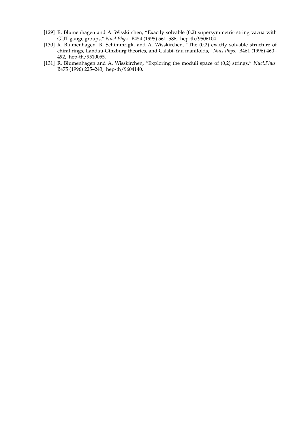- [129] R. Blumenhagen and A. Wisskirchen, "Exactly solvable (0,2) supersymmetric string vacua with GUT gauge groups," *Nucl.Phys.* B454 (1995) 561–586, hep-th/9506104.
- [130] R. Blumenhagen, R. Schimmrigk, and A. Wisskirchen, "The (0,2) exactly solvable structure of chiral rings, Landau-Ginzburg theories, and Calabi-Yau manifolds," *Nucl.Phys.* B461 (1996) 460– 492, hep-th/9510055.
- [131] R. Blumenhagen and A. Wisskirchen, "Exploring the moduli space of (0,2) strings," *Nucl.Phys.* B475 (1996) 225–243, hep-th/9604140.